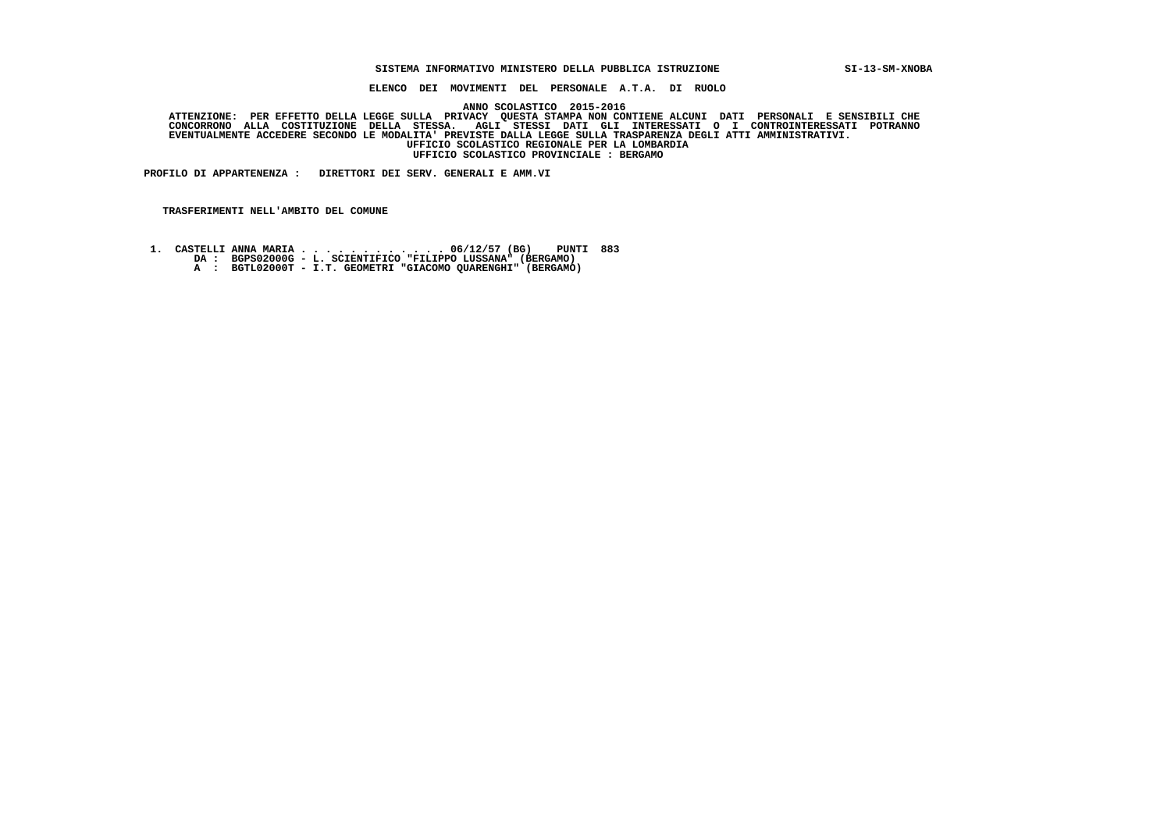#### **SISTEMA INFORMATIVO MINISTERO DELLA PUBBLICA ISTRUZIONE SI-13-SM-XNOBA**

 **ELENCO DEI MOVIMENTI DEL PERSONALE A.T.A. DI RUOLO**

 **ANNO SCOLASTICO 2015-2016**

ATTENZIONE: PER EFFETTO DELLA LEGGE SULLA PRIVACY QUESTA STAMPA NON CONTIENE ALCUNI DATI PERSONALI E SENSIBILI<br>CONCORRONO ALLA COSTITUZIONE DELLA STESSA. AGLI STESSI DATI GLI INTERESSATI O I CONTROINTERESSATI POTRANNO  **EVENTUALMENTE ACCEDERE SECONDO LE MODALITA' PREVISTE DALLA LEGGE SULLA TRASPARENZA DEGLI ATTI AMMINISTRATIVI. UFFICIO SCOLASTICO REGIONALE PER LA LOMBARDIA UFFICIO SCOLASTICO PROVINCIALE : BERGAMO**

 **PROFILO DI APPARTENENZA : DIRETTORI DEI SERV. GENERALI E AMM.VI**

- **1. CASTELLI ANNA MARIA . . . . . . . . . . . . 06/12/57 (BG) PUNTI 883 DA : BGPS02000G L. SCIENTIFICO "FILIPPO LUSSANA" (BERGAMO)**
	-
- **A : BGTL02000T I.T. GEOMETRI "GIACOMO QUARENGHI" (BERGAMO)**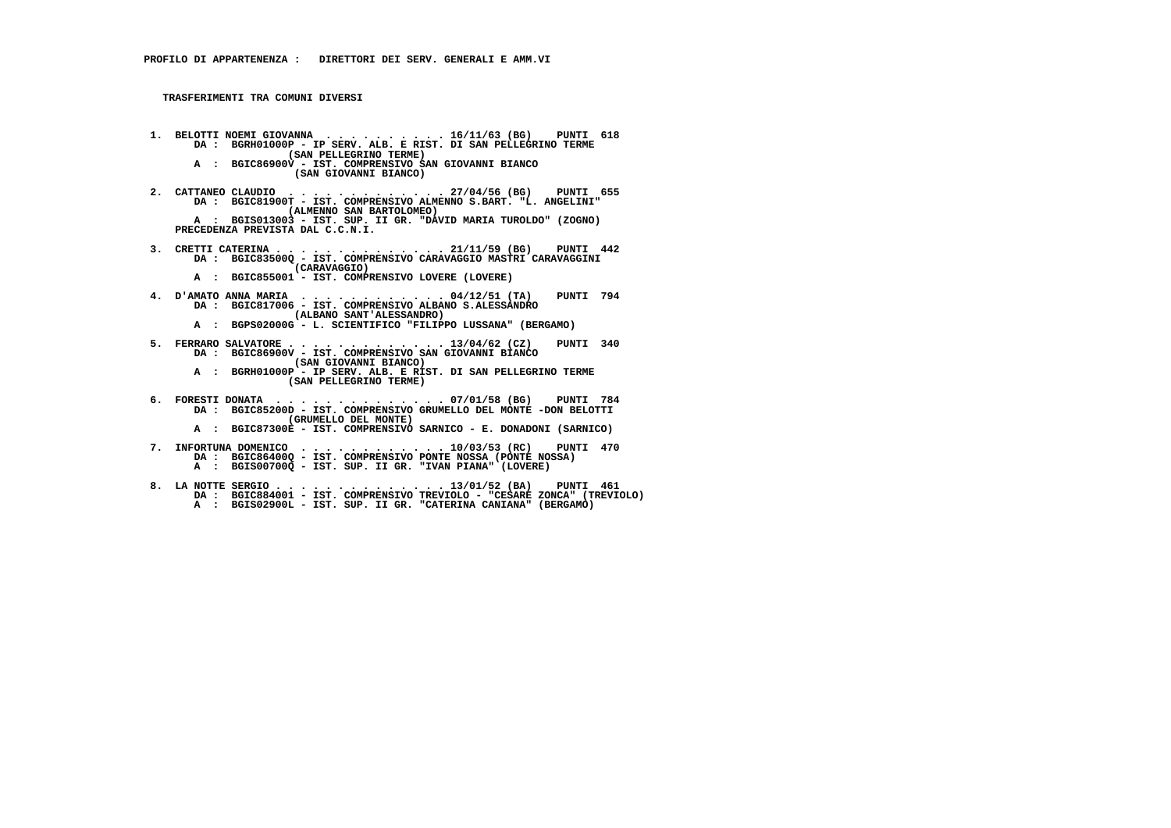- **1. BELOTTI NOEMI GIOVANNA . . . . . . . . . . 16/11/63 (BG) PUNTI 618 DA : BGRH01000P IP SERV. ALB. E RIST. DI SAN PELLEGRINO TERME (SAN PELLEGRINO TERME) A : BGIC86900V - IST. COMPRENSIVO SAN GIOVANNI BIANCO**
	- **(SAN GIOVANNI BIANCO)**
- **2. CATTANEO CLAUDIO . . . . . . . . . . . . . 27/04/56 (BG) PUNTI 655 DA : BGIC81900T IST. COMPRENSIVO ALMENNO S.BART. "L. ANGELINI" (ALMENNO SAN BARTOLOMEO)**
- **A : BGIS013003 IST. SUP. II GR. "DAVID MARIA TUROLDO" (ZOGNO) PRECEDENZA PREVISTA DAL C.C.N.I.**
- **3. CRETTI CATERINA . . . . . . . . . . . . . . 21/11/59 (BG) PUNTI 442 DA : BGIC83500Q IST. COMPRENSIVO CARAVAGGIO MASTRI CARAVAGGINI (CARAVAGGIO)**
- **A : BGIC855001 IST. COMPRENSIVO LOVERE (LOVERE)**
	- **4. D'AMATO ANNA MARIA . . . . . . . . . . . . 04/12/51 (TA) PUNTI 794 DA : BGIC817006 - IST. COMPRENSIVO ALBANO S.ALESSANDRO (ALBANO SANT'ALESSANDRO)**
- **A : BGPS02000G L. SCIENTIFICO "FILIPPO LUSSANA" (BERGAMO)**
- **5. FERRARO SALVATORE . . . . . . . . . . . . . 13/04/62 (CZ) PUNTI 340 DA : BGIC86900V IST. COMPRENSIVO SAN GIOVANNI BIANCO (SAN GIOVANNI BIANCO)**
- **A : BGRH01000P IP SERV. ALB. E RIST. DI SAN PELLEGRINO TERME (SAN PELLEGRINO TERME)**
- **6. FORESTI DONATA . . . . . . . . . . . . . . 07/01/58 (BG) PUNTI 784 DA : BGIC85200D IST. COMPRENSIVO GRUMELLO DEL MONTE -DON BELOTTI (GRUMELLO DEL MONTE)**
- **A : BGIC87300E IST. COMPRENSIVO SARNICO E. DONADONI (SARNICO)**
- **7. INFORTUNA DOMENICO . . . . . . . . . . . . 10/03/53 (RC) PUNTI 470 DA : BGIC86400Q IST. COMPRENSIVO PONTE NOSSA (PONTE NOSSA) A : BGIS00700Q - IST. SUP. II GR. "IVAN PIANA" (LOVERE)**
- **8. LA NOTTE SERGIO . . . . . . . . . . . . . . 13/01/52 (BA) PUNTI 461 DA : BGIC884001 IST. COMPRENSIVO TREVIOLO "CESARE ZONCA" (TREVIOLO) A : BGIS02900L - IST. SUP. II GR. "CATERINA CANIANA" (BERGAMO)**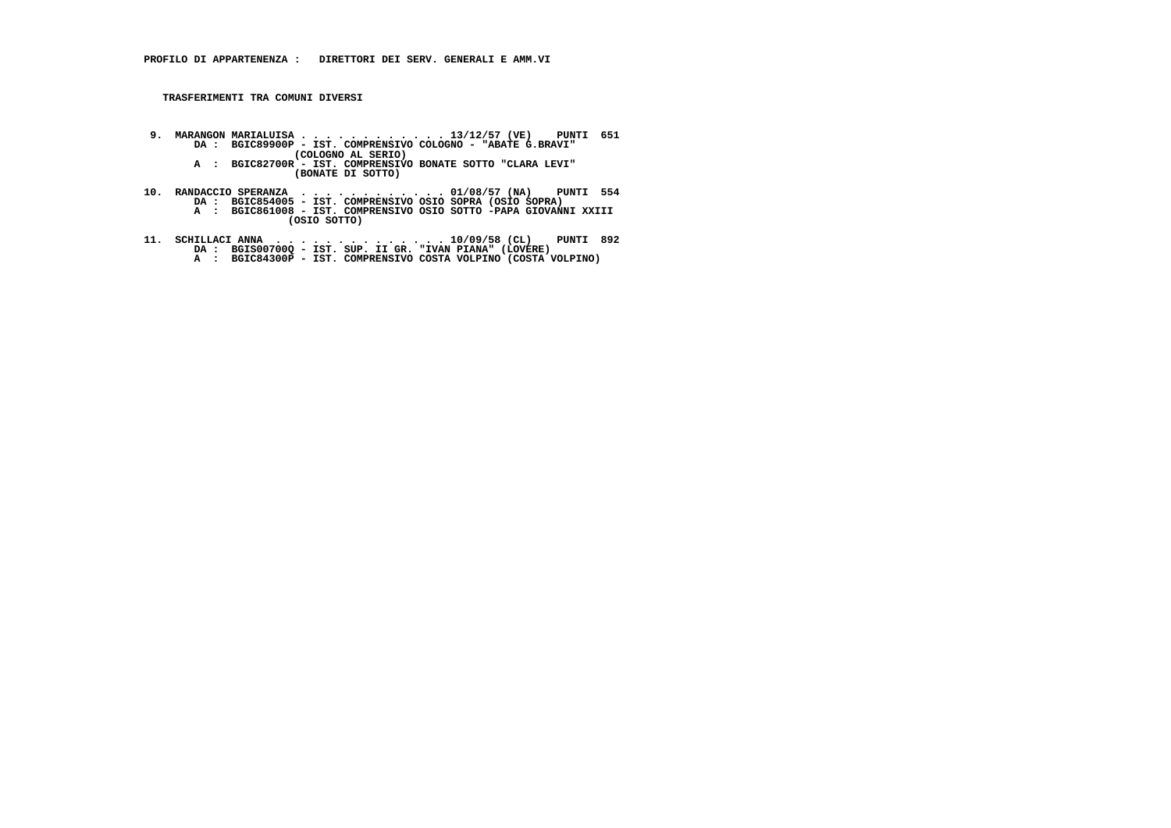- **9. MARANGON MARIALUISA . . . . . . . . . . . . 13/12/57 (VE) PUNTI 651 DA : BGIC89900P IST. COMPRENSIVO COLOGNO "ABATE G.BRAVI" (COLOGNO AL SERIO)**
- **A : BGIC82700R IST. COMPRENSIVO BONATE SOTTO "CLARA LEVI" (BONATE DI SOTTO)**
- **10. RANDACCIO SPERANZA . . . . . . . . . . . . 01/08/57 (NA) PUNTI 554 DA : BGIC854005 IST. COMPRENSIVO OSIO SOPRA (OSIO SOPRA) A : BGIC861008 IST. COMPRENSIVO OSIO SOTTO -PAPA GIOVANNI XXIII (OSIO SOTTO)**
- **11. SCHILLACI ANNA . . . . . . . . . . . . . . 10/09/58 (CL) PUNTI 892 DA : BGIS00700Q IST. SUP. II GR. "IVAN PIANA" (LOVERE) A : BGIC84300P IST. COMPRENSIVO COSTA VOLPINO (COSTA VOLPINO)**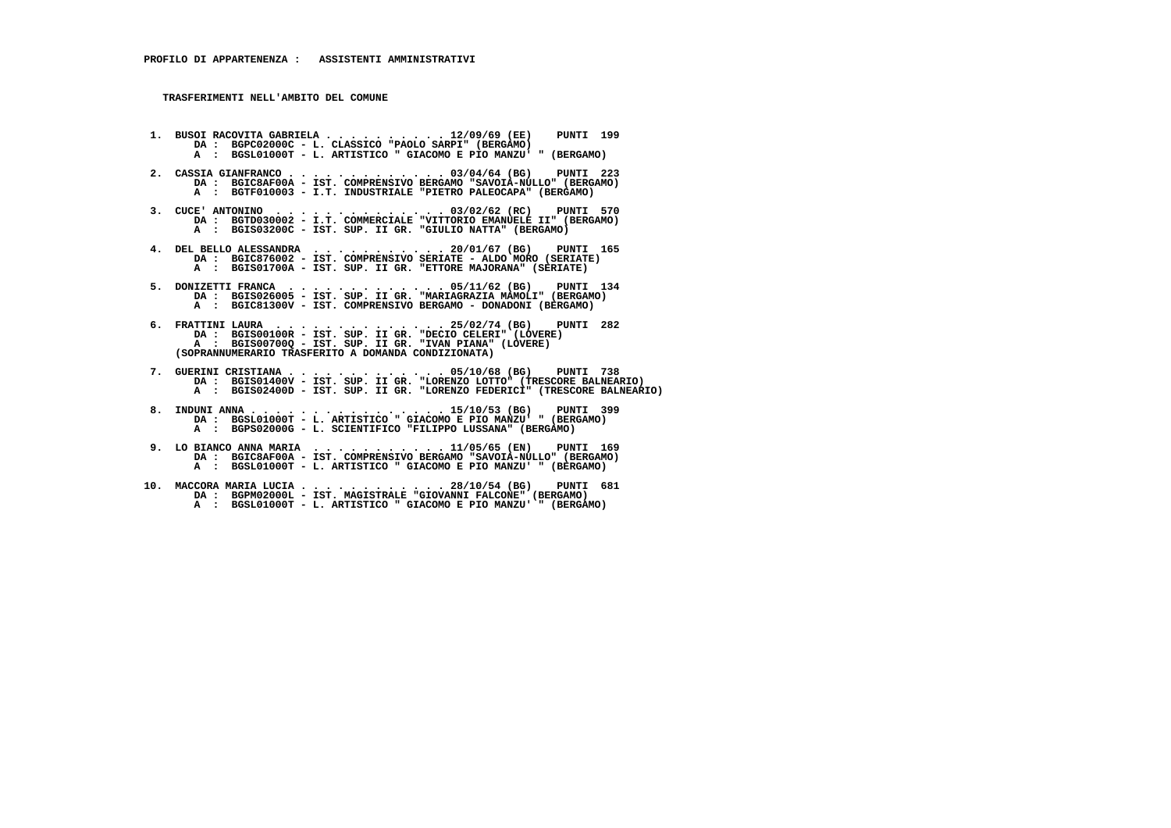- **1. BUSOI RACOVITA GABRIELA . . . . . . . . . . 12/09/69 (EE) PUNTI 199**DA : BGPC02000C - L. CLASSICO "PAOLO SARPI" (BERGAMO)  **A : BGSL01000T - L. ARTISTICO " GIACOMO E PIO MANZU' " (BERGAMO)**
- **2. CASSIA GIANFRANCO . . . . . . . . . . . . . 03/04/64 (BG) PUNTI 223 DA : BGIC8AF00A - IST. COMPRENSIVO BERGAMO "SAVOIA-NULLO" (BERGAMO) A : BGTF010003 - I.T. INDUSTRIALE "PIETRO PALEOCAPA" (BERGAMO)**
- **3. CUCE' ANTONINO . . . . . . . . . . . . . . 03/02/62 (RC) PUNTI 570 DA : BGTD030002 I.T. COMMERCIALE "VITTORIO EMANUELE II" (BERGAMO) A : BGIS03200C - IST. SUP. II GR. "GIULIO NATTA" (BERGAMO)**
- **4. DEL BELLO ALESSANDRA . . . . . . . . . . . 20/01/67 (BG) PUNTI 165 DA : BGIC876002 IST. COMPRENSIVO SERIATE ALDO MORO (SERIATE) A : BGIS01700A - IST. SUP. II GR. "ETTORE MAJORANA" (SERIATE)**
- **5. DONIZETTI FRANCA . . . . . . . . . . . . . 05/11/62 (BG) PUNTI 134 DA : BGIS026005 IST. SUP. II GR. "MARIAGRAZIA MAMOLI" (BERGAMO) A : BGIC81300V - IST. COMPRENSIVO BERGAMO - DONADONI (BERGAMO)**
- **6. FRATTINI LAURA . . . . . . . . . . . . . . 25/02/74 (BG) PUNTI 282 DA : BGIS00100R IST. SUP. II GR. "DECIO CELERI" (LOVERE) A : BGIS00700Q - IST. SUP. II GR. "IVAN PIANA" (LOVERE) (SOPRANNUMERARIO TRASFERITO A DOMANDA CONDIZIONATA)**
- **7. GUERINI CRISTIANA . . . . . . . . . . . . . 05/10/68 (BG) PUNTI 738 DA : BGIS01400V IST. SUP. II GR. "LORENZO LOTTO" (TRESCORE BALNEARIO) A : BGIS02400D - IST. SUP. II GR. "LORENZO FEDERICI" (TRESCORE BALNEARIO)**
- **8. INDUNI ANNA . . . . . . . . . . . . . . . . 15/10/53 (BG) PUNTI 399 DA : BGSL01000T L. ARTISTICO " GIACOMO E PIO MANZU' " (BERGAMO) A : BGPS02000G - L. SCIENTIFICO "FILIPPO LUSSANA" (BERGAMO)**
- **9. LO BIANCO ANNA MARIA . . . . . . . . . . . 11/05/65 (EN) PUNTI 169 DA : BGIC8AF00A IST. COMPRENSIVO BERGAMO "SAVOIA-NULLO" (BERGAMO) A : BGSL01000T - L. ARTISTICO " GIACOMO E PIO MANZU' " (BERGAMO)**
- **10. MACCORA MARIA LUCIA . . . . . . . . . . . . 28/10/54 (BG) PUNTI 681 DA : BGPM02000L IST. MAGISTRALE "GIOVANNI FALCONE" (BERGAMO) A : BGSL01000T - L. ARTISTICO " GIACOMO E PIO MANZU' " (BERGAMO)**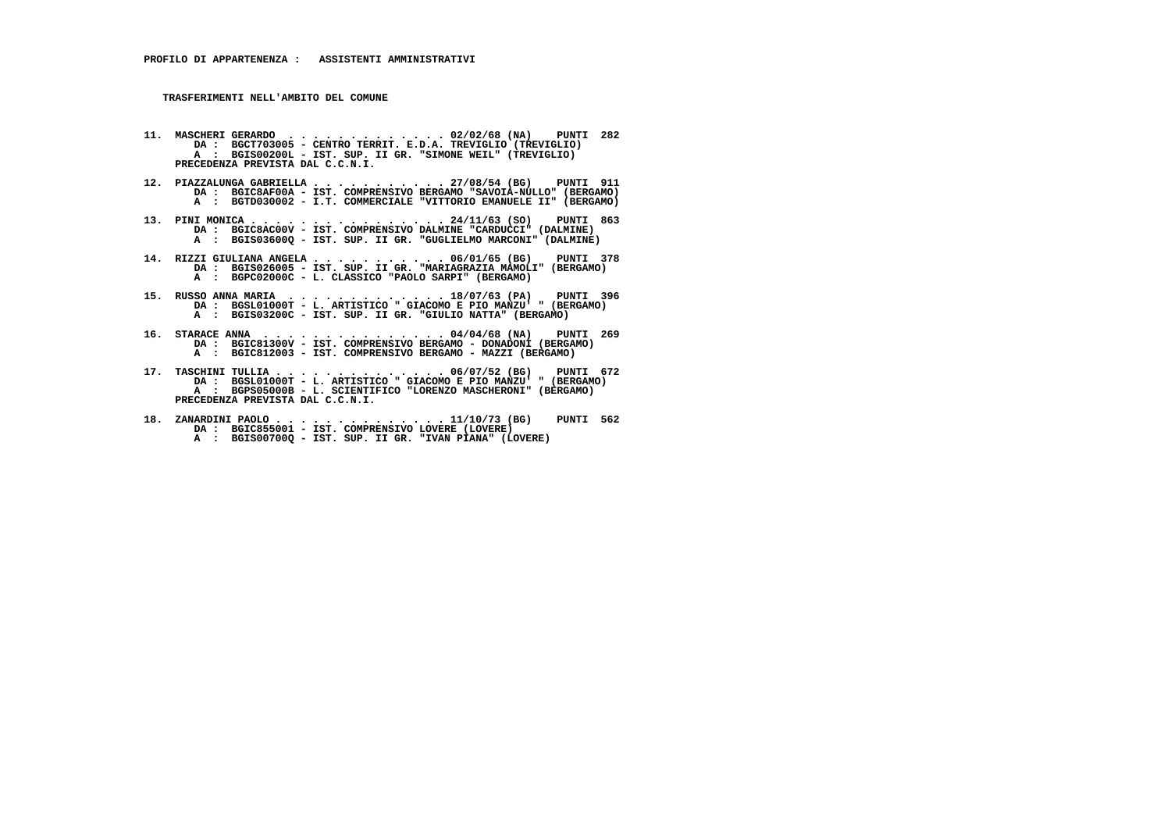- **11. MASCHERI GERARDO . . . . . . . . . . . . . 02/02/68 (NA) PUNTI 282 DA : BGCT703005 CENTRO TERRIT. E.D.A. TREVIGLIO (TREVIGLIO) A : BGIS00200L - IST. SUP. II GR. "SIMONE WEIL" (TREVIGLIO) PRECEDENZA PREVISTA DAL C.C.N.I.**
- **12. PIAZZALUNGA GABRIELLA . . . . . . . . . . . 27/08/54 (BG) PUNTI 911 DA : BGIC8AF00A IST. COMPRENSIVO BERGAMO "SAVOIA-NULLO" (BERGAMO) A : BGTD030002 - I.T. COMMERCIALE "VITTORIO EMANUELE II" (BERGAMO)**
- **13. PINI MONICA . . . . . . . . . . . . . . . . 24/11/63 (SO) PUNTI 863 DA : BGIC8AC00V IST. COMPRENSIVO DALMINE "CARDUCCI" (DALMINE) A : BGIS03600Q - IST. SUP. II GR. "GUGLIELMO MARCONI" (DALMINE)**
- **14. RIZZI GIULIANA ANGELA . . . . . . . . . . . 06/01/65 (BG) PUNTI 378 DA : BGIS026005 IST. SUP. II GR. "MARIAGRAZIA MAMOLI" (BERGAMO) A : BGPC02000C - L. CLASSICO "PAOLO SARPI" (BERGAMO)**
- **15. RUSSO ANNA MARIA . . . . . . . . . . . . . 18/07/63 (PA) PUNTI 396 DA : BGSL01000T L. ARTISTICO " GIACOMO E PIO MANZU' " (BERGAMO)**A : BGIS03200C - IST. SUP. II GR. "GIULIO NATTA" (BERGAMO)
- **16. STARACE ANNA . . . . . . . . . . . . . . . 04/04/68 (NA) PUNTI 269 DA : BGIC81300V IST. COMPRENSIVO BERGAMO DONADONI (BERGAMO) A : BGIC812003 - IST. COMPRENSIVO BERGAMO - MAZZI (BERGAMO)**
- **17. TASCHINI TULLIA . . . . . . . . . . . . . . 06/07/52 (BG) PUNTI 672 DA : BGSL01000T L. ARTISTICO " GIACOMO E PIO MANZU' " (BERGAMO) A : BGPS05000B - L. SCIENTIFICO "LORENZO MASCHERONI" (BERGAMO) PRECEDENZA PREVISTA DAL C.C.N.I.**
- **18. ZANARDINI PAOLO . . . . . . . . . . . . . . 11/10/73 (BG) PUNTI 562 DA : BGIC855001 IST. COMPRENSIVO LOVERE (LOVERE) A : BGIS00700Q - IST. SUP. II GR. "IVAN PIANA" (LOVERE)**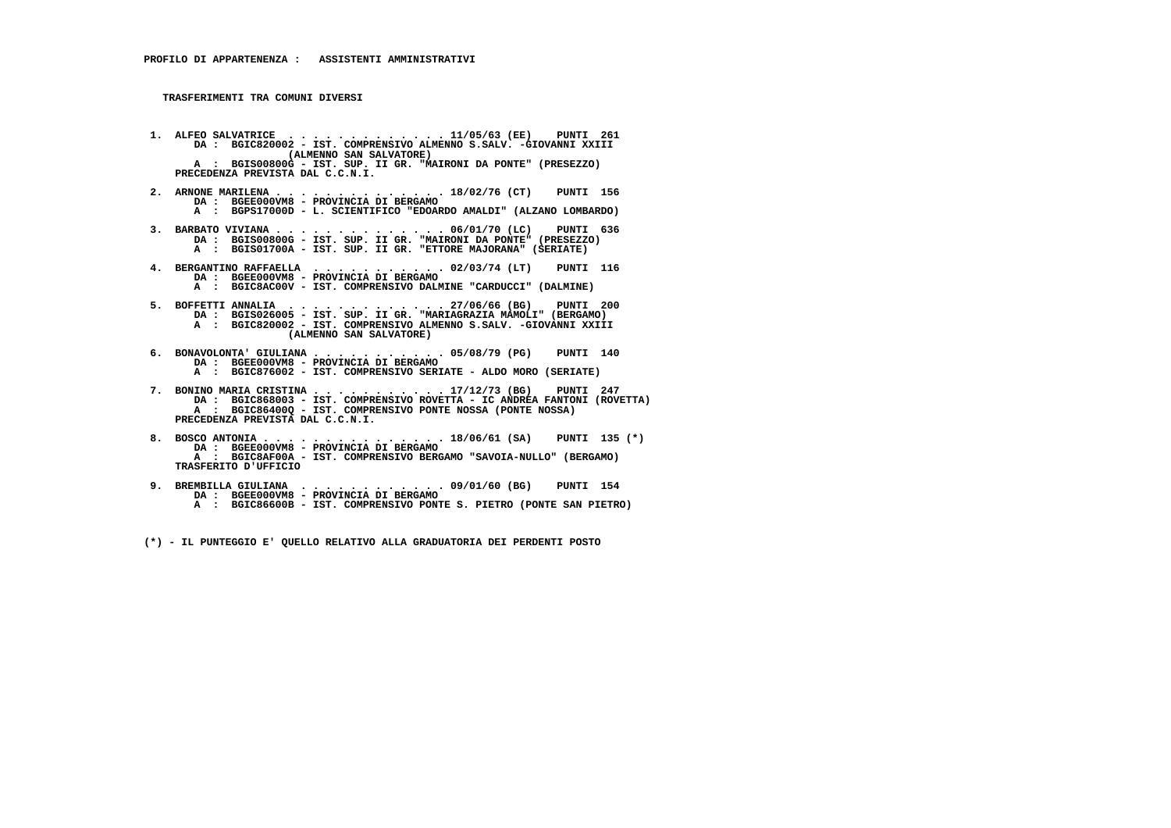**1. ALFEO SALVATRICE . . . . . . . . . . . . . 11/05/63 (EE) PUNTI 261 DA : BGIC820002 - IST. COMPRENSIVO ALMENNO S.SALV. -GIOVANNI XXIII (ALMENNO SAN SALVATORE) A : BGIS00800G - IST. SUP. II GR. "MAIRONI DA PONTE" (PRESEZZO) PRECEDENZA PREVISTA DAL C.C.N.I.**

- **2. ARNONE MARILENA . . . . . . . . . . . . . . 18/02/76 (CT) PUNTI 156 DA : BGEE000VM8 PROVINCIA DI BERGAMO A : BGPS17000D - L. SCIENTIFICO "EDOARDO AMALDI" (ALZANO LOMBARDO)**
- **3. BARBATO VIVIANA . . . . . . . . . . . . . . 06/01/70 (LC) PUNTI 636 DA : BGIS00800G IST. SUP. II GR. "MAIRONI DA PONTE" (PRESEZZO) A : BGIS01700A IST. SUP. II GR. "ETTORE MAJORANA" (SERIATE)**
- **4. BERGANTINO RAFFAELLA . . . . . . . . . . . 02/03/74 (LT) PUNTI 116**DA : BGEE000VM8 - PROVINCIA DI BERGAMO<br>A : BGIC8AC00V - IST. COMPRENSIVO DALMINE "CARDUCCI" (DALMINE)
- **5. BOFFETTI ANNALIA . . . . . . . . . . . . . 27/06/66 (BG) PUNTI 200 DA : BGIS026005 IST. SUP. II GR. "MARIAGRAZIA MAMOLI" (BERGAMO) A : BGIC820002 - IST. COMPRENSIVO ALMENNO S.SALV. -GIOVANNI XXIII (ALMENNO SAN SALVATORE)**
	- **6. BONAVOLONTA' GIULIANA . . . . . . . . . . . 05/08/79 (PG) PUNTI 140 DA : BGEE000VM8 - PROVINCIA DI BERGAMO**
- **A : BGIC876002 IST. COMPRENSIVO SERIATE ALDO MORO (SERIATE)**
- **7. BONINO MARIA CRISTINA . . . . . . . . . . . 17/12/73 (BG) PUNTI 247 DA : BGIC868003 - IST. COMPRENSIVO ROVETTA - IC ANDREA FANTONI (ROVETTA) A : BGIC86400Q - IST. COMPRENSIVO PONTE NOSSA (PONTE NOSSA) PRECEDENZA PREVISTA DAL C.C.N.I.**
- **8. BOSCO ANTONIA . . . . . . . . . . . . . . . 18/06/61 (SA) PUNTI 135 (\*) DA : BGEE000VM8 PROVINCIA DI BERGAMO A : BGIC8AF00A - IST. COMPRENSIVO BERGAMO "SAVOIA-NULLO" (BERGAMO) TRASFERITO D'UFFICIO**
- **9. BREMBILLA GIULIANA . . . . . . . . . . . . 09/01/60 (BG) PUNTI 154 DA : BGEE000VM8 PROVINCIA DI BERGAMO A : BGIC86600B - IST. COMPRENSIVO PONTE S. PIETRO (PONTE SAN PIETRO)**

 **(\*) - IL PUNTEGGIO E' QUELLO RELATIVO ALLA GRADUATORIA DEI PERDENTI POSTO**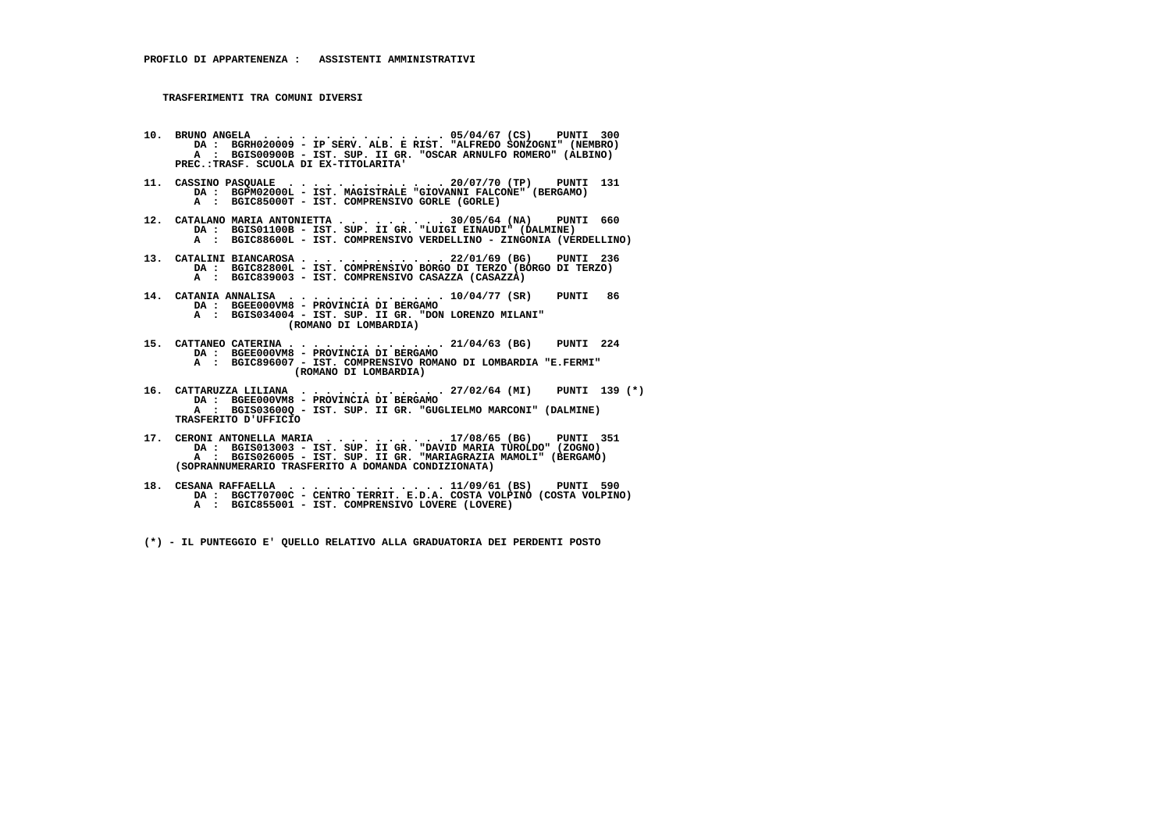- **10. BRUNO ANGELA . . . . . . . . . . . . . . . 05/04/67 (CS) PUNTI 300 DA : BGRH020009 IP SERV. ALB. E RIST. "ALFREDO SONZOGNI" (NEMBRO) A : BGIS00900B - IST. SUP. II GR. "OSCAR ARNULFO ROMERO" (ALBINO) PREC.:TRASF. SCUOLA DI EX-TITOLARITA'**
- **11. CASSINO PASQUALE . . . . . . . . . . . . . 20/07/70 (TP) PUNTI 131 DA : BGPM02000L IST. MAGISTRALE "GIOVANNI FALCONE" (BERGAMO) A : BGIC85000T - IST. COMPRENSIVO GORLE (GORLE)**
- 12. CATALANO MARIA ANTONIETTA . . . . . . . . 30/05/64 (NA) PUNTI 660<br>DA : BGISO1100B IST. SUP. II GR. "LUIGI EINAUDI" (DALMINE)<br>A : BGIC88600L IST. COMPRENSIVO VERDELLINO ZINGONIA (VERDELLINO)
- **13. CATALINI BIANCAROSA . . . . . . . . . . . . 22/01/69 (BG) PUNTI 236 DA : BGIC82800L - IST. COMPRENSIVO BORGO DI TERZO (BORGO DI TERZO) A : BGIC839003 - IST. COMPRENSIVO CASAZZA (CASAZZA)**
- **14. CATANIA ANNALISA . . . . . . . . . . . . . 10/04/77 (SR) PUNTI 86 DA : BGEE000VM8 - PROVINCIA DI BERGAMO A : BGIS034004 - IST. SUP. II GR. "DON LORENZO MILANI" (ROMANO DI LOMBARDIA)**
- **15. CATTANEO CATERINA . . . . . . . . . . . . . 21/04/63 (BG) PUNTI 224 DA : BGEE000VM8 - PROVINCIA DI BERGAMO A : BGIC896007 - IST. COMPRENSIVO ROMANO DI LOMBARDIA "E.FERMI" (ROMANO DI LOMBARDIA)**
- **16. CATTARUZZA LILIANA . . . . . . . . . . . . 27/02/64 (MI) PUNTI 139 (\*) DA : BGEE000VM8 - PROVINCIA DI BERGAMO A : BGIS03600Q - IST. SUP. II GR. "GUGLIELMO MARCONI" (DALMINE) TRASFERITO D'UFFICIO**
- **17. CERONI ANTONELLA MARIA . . . . . . . . . . 17/08/65 (BG) PUNTI 351 DA : BGIS013003 IST. SUP. II GR. "DAVID MARIA TUROLDO" (ZOGNO) A : BGIS026005 IST. SUP. II GR. "MARIAGRAZIA MAMOLI" (BERGAMO) (SOPRANNUMERARIO TRASFERITO A DOMANDA CONDIZIONATA)**
- **18. CESANA RAFFAELLA . . . . . . . . . . . . . 11/09/61 (BS) PUNTI 590 DA : BGCT70700C CENTRO TERRIT. E.D.A. COSTA VOLPINO (COSTA VOLPINO) A : BGIC855001 - IST. COMPRENSIVO LOVERE (LOVERE)**
	- **(\*) IL PUNTEGGIO E' QUELLO RELATIVO ALLA GRADUATORIA DEI PERDENTI POSTO**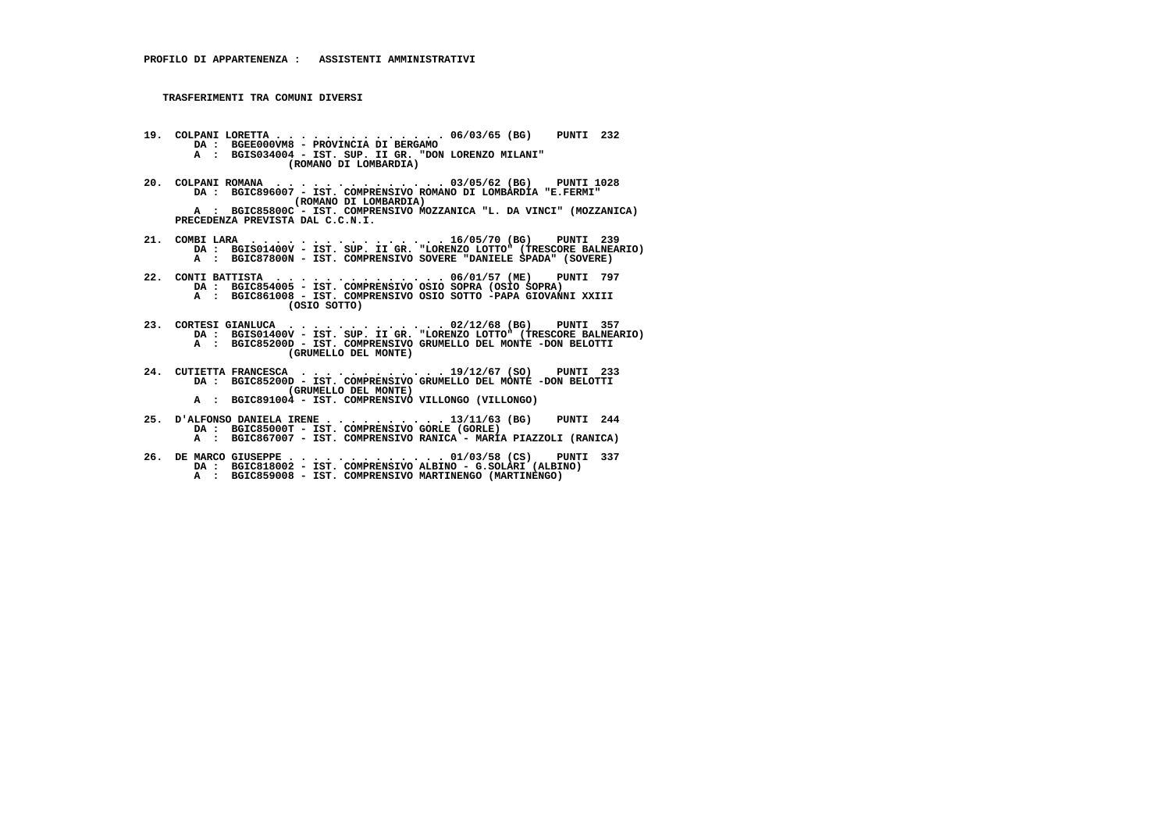- **19. COLPANI LORETTA . . . . . . . . . . . . . . 06/03/65 (BG) PUNTI 232 DA : BGEE000VM8 PROVINCIA DI BERGAMO A : BGIS034004 - IST. SUP. II GR. "DON LORENZO MILANI" (ROMANO DI LOMBARDIA)**
- **20. COLPANI ROMANA . . . . . . . . . . . . . . 03/05/62 (BG) PUNTI 1028 DA : BGIC896007 IST. COMPRENSIVO ROMANO DI LOMBARDIA "E.FERMI" (ROMANO DI LOMBARDIA) A : BGIC85800C - IST. COMPRENSIVO MOZZANICA "L. DA VINCI" (MOZZANICA) PRECEDENZA PREVISTA DAL C.C.N.I.**
- **21. COMBI LARA . . . . . . . . . . . . . . . . 16/05/70 (BG) PUNTI 239 DA : BGIS01400V IST. SUP. II GR. "LORENZO LOTTO" (TRESCORE BALNEARIO) A : BGIC87800N - IST. COMPRENSIVO SOVERE "DANIELE SPADA" (SOVERE)**
- **22. CONTI BATTISTA . . . . . . . . . . . . . . 06/01/57 (ME) PUNTI 797 DA : BGIC854005 IST. COMPRENSIVO OSIO SOPRA (OSIO SOPRA) A : BGIC861008 - IST. COMPRENSIVO OSIO SOTTO -PAPA GIOVANNI XXIII (OSIO SOTTO)**
- **23. CORTESI GIANLUCA . . . . . . . . . . . . . 02/12/68 (BG) PUNTI 357 DA : BGIS01400V IST. SUP. II GR. "LORENZO LOTTO" (TRESCORE BALNEARIO) A : BGIC85200D - IST. COMPRENSIVO GRUMELLO DEL MONTE -DON BELOTTI (GRUMELLO DEL MONTE)**
- **24. CUTIETTA FRANCESCA . . . . . . . . . . . . 19/12/67 (SO) PUNTI 233 DA : BGIC85200D IST. COMPRENSIVO GRUMELLO DEL MONTE -DON BELOTTI (GRUMELLO DEL MONTE) A : BGIC891004 - IST. COMPRENSIVO VILLONGO (VILLONGO)**
- **25. D'ALFONSO DANIELA IRENE . . . . . . . . . . 13/11/63 (BG) PUNTI 244 DA : BGIC85000T IST. COMPRENSIVO GORLE (GORLE) A : BGIC867007 - IST. COMPRENSIVO RANICA - MARIA PIAZZOLI (RANICA)**
	- **26. DE MARCO GIUSEPPE . . . . . . . . . . . . . 01/03/58 (CS) PUNTI 337 DA : BGIC818002 - IST. COMPRENSIVO ALBINO - G.SOLARI (ALBINO) A : BGIC859008 - IST. COMPRENSIVO MARTINENGO (MARTINENGO)**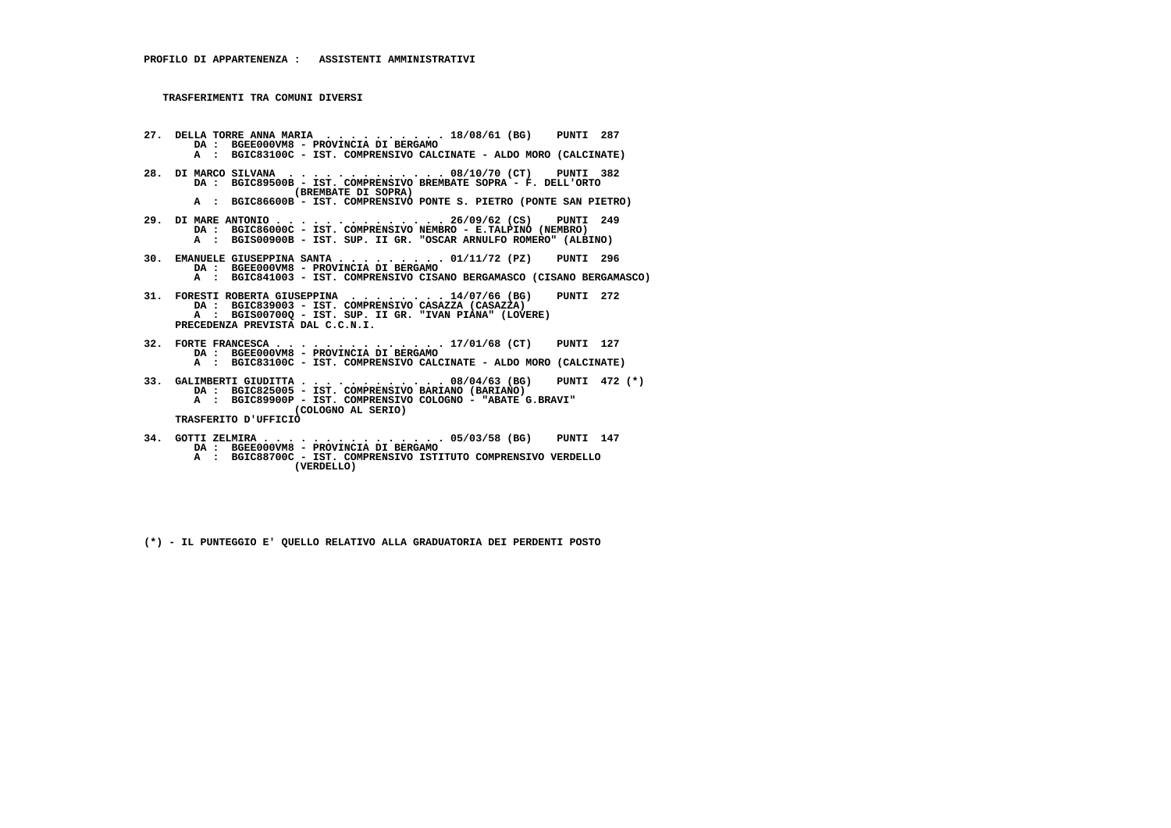- **27. DELLA TORRE ANNA MARIA . . . . . . . . . . 18/08/61 (BG) PUNTI 287 DA : BGEE000VM8 - PROVINCIA DI BERGAMO A : BGIC83100C - IST. COMPRENSIVO CALCINATE - ALDO MORO (CALCINATE) 28. DI MARCO SILVANA . . . . . . . . . . . . . 08/10/70 (CT) PUNTI 382 DA : BGIC89500B - IST. COMPRENSIVO BREMBATE SOPRA - F. DELL'ORTO (BREMBATE DI SOPRA) A : BGIC86600B - IST. COMPRENSIVO PONTE S. PIETRO (PONTE SAN PIETRO)**
- **29. DI MARE ANTONIO . . . . . . . . . . . . . . 26/09/62 (CS) PUNTI 249 DA : BGIC86000C IST. COMPRENSIVO NEMBRO E.TALPINO (NEMBRO) A : BGIS00900B - IST. SUP. II GR. "OSCAR ARNULFO ROMERO" (ALBINO)**
- **30. EMANUELE GIUSEPPINA SANTA . . . . . . . . . 01/11/72 (PZ) PUNTI 296 DA : BGEE000VM8 - PROVINCIA DI BERGAMO A : BGIC841003 - IST. COMPRENSIVO CISANO BERGAMASCO (CISANO BERGAMASCO)**
- **31. FORESTI ROBERTA GIUSEPPINA . . . . . . . . 14/07/66 (BG) PUNTI 272 DA : BGIC839003 - IST. COMPRENSIVO CASAZZA (CASAZZA) A : BGIS00700Q - IST. SUP. II GR. "IVAN PIANA" (LOVERE) PRECEDENZA PREVISTA DAL C.C.N.I.**
- **32. FORTE FRANCESCA . . . . . . . . . . . . . . 17/01/68 (CT) PUNTI 127 DA : BGEE000VM8 - PROVINCIA DI BERGAMO A : BGIC83100C - IST. COMPRENSIVO CALCINATE - ALDO MORO (CALCINATE)**
- **33. GALIMBERTI GIUDITTA . . . . . . . . . . . . 08/04/63 (BG) PUNTI 472 (\*) DA : BGIC825005 IST. COMPRENSIVO BARIANO (BARIANO) A : BGIC89900P - IST. COMPRENSIVO COLOGNO - "ABATE G.BRAVI" (COLOGNO AL SERIO) TRASFERITO D'UFFICIO**
	-
- **34. GOTTI ZELMIRA . . . . . . . . . . . . . . . 05/03/58 (BG) PUNTI 147 DA : BGEE000VM8 PROVINCIA DI BERGAMO A : BGIC88700C IST. COMPRENSIVO ISTITUTO COMPRENSIVO VERDELLO**
	- **(VERDELLO)**
	- **(\*) IL PUNTEGGIO E' QUELLO RELATIVO ALLA GRADUATORIA DEI PERDENTI POSTO**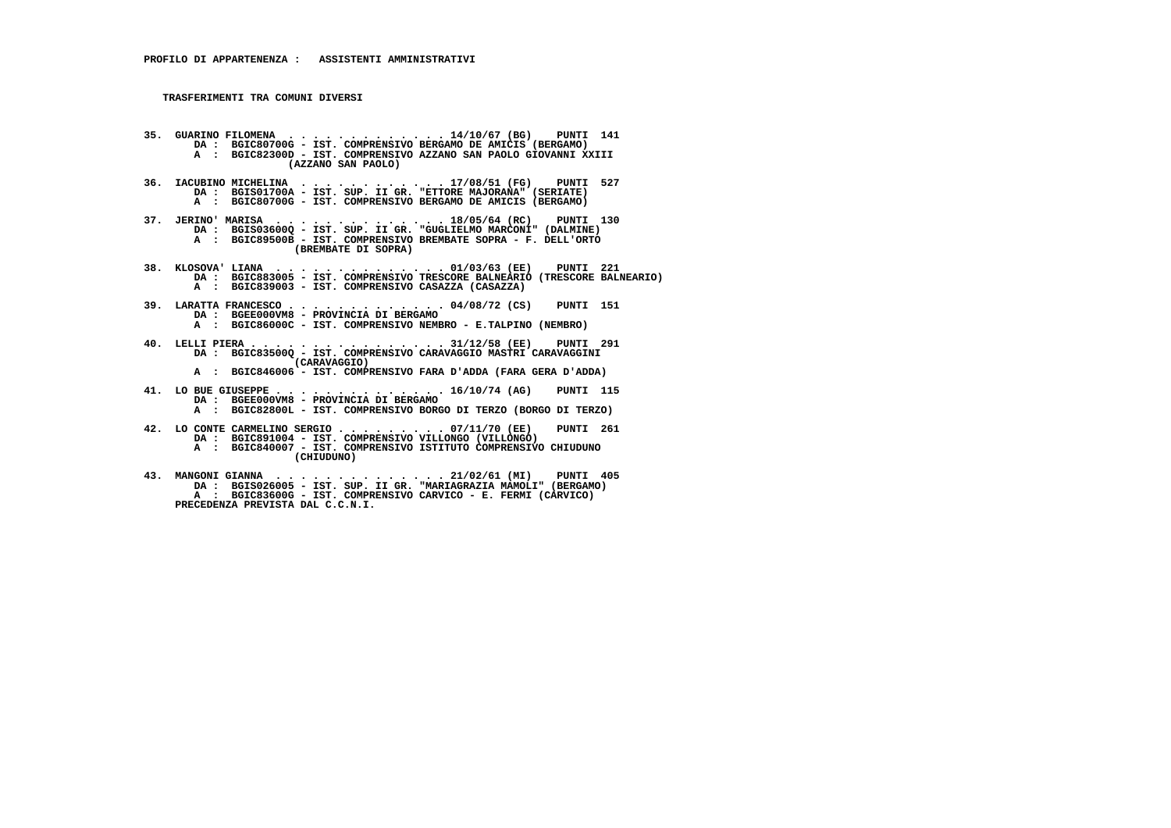- **35. GUARINO FILOMENA . . . . . . . . . . . . . 14/10/67 (BG) PUNTI 141 DA : BGIC80700G IST. COMPRENSIVO BERGAMO DE AMICIS (BERGAMO) A : BGIC82300D - IST. COMPRENSIVO AZZANO SAN PAOLO GIOVANNI XXIII (AZZANO SAN PAOLO)**
- **36. IACUBINO MICHELINA . . . . . . . . . . . . 17/08/51 (FG) PUNTI 527 DA : BGIS01700A IST. SUP. II GR. "ETTORE MAJORANA" (SERIATE) A : BGIC80700G - IST. COMPRENSIVO BERGAMO DE AMICIS (BERGAMO)**
- **37. JERINO' MARISA . . . . . . . . . . . . . . 18/05/64 (RC) PUNTI 130 DA : BGIS03600Q IST. SUP. II GR. "GUGLIELMO MARCONI" (DALMINE) A : BGIC89500B IST. COMPRENSIVO BREMBATE SOPRA F. DELL'ORTO (BREMBATE DI SOPRA)**
- **38. KLOSOVA' LIANA . . . . . . . . . . . . . . 01/03/63 (EE) PUNTI 221 DA : BGIC883005 IST. COMPRENSIVO TRESCORE BALNEARIO (TRESCORE BALNEARIO) A : BGIC839003 - IST. COMPRENSIVO CASAZZA (CASAZZA)**
- **39. LARATTA FRANCESCO . . . . . . . . . . . . . 04/08/72 (CS) PUNTI 151 DA : BGEE000VM8 PROVINCIA DI BERGAMO A : BGIC86000C - IST. COMPRENSIVO NEMBRO - E.TALPINO (NEMBRO)**
- **40. LELLI PIERA . . . . . . . . . . . . . . . . 31/12/58 (EE) PUNTI 291 DA : BGIC83500Q IST. COMPRENSIVO CARAVAGGIO MASTRI CARAVAGGINI (CARAVAGGIO)**
- **A : BGIC846006 IST. COMPRENSIVO FARA D'ADDA (FARA GERA D'ADDA)**
- **41. LO BUE GIUSEPPE . . . . . . . . . . . . . . 16/10/74 (AG) PUNTI 115 DA : BGEE000VM8 - PROVINCIA DI BERGAMO A : BGIC82800L - IST. COMPRENSIVO BORGO DI TERZO (BORGO DI TERZO)**
- **42. LO CONTE CARMELINO SERGIO . . . . . . . . . 07/11/70 (EE) PUNTI 261 DA : BGIC891004 - IST. COMPRENSIVO VILLONGO (VILLONGO) A : BGIC840007 - IST. COMPRENSIVO ISTITUTO COMPRENSIVO CHIUDUNO (CHIUDUNO)**
- **43. MANGONI GIANNA . . . . . . . . . . . . . . 21/02/61 (MI) PUNTI 405 DA : BGIS026005 IST. SUP. II GR. "MARIAGRAZIA MAMOLI" (BERGAMO) A : BGIC83600G - IST. COMPRENSIVO CARVICO - E. FERMI (CARVICO) PRECEDENZA PREVISTA DAL C.C.N.I.**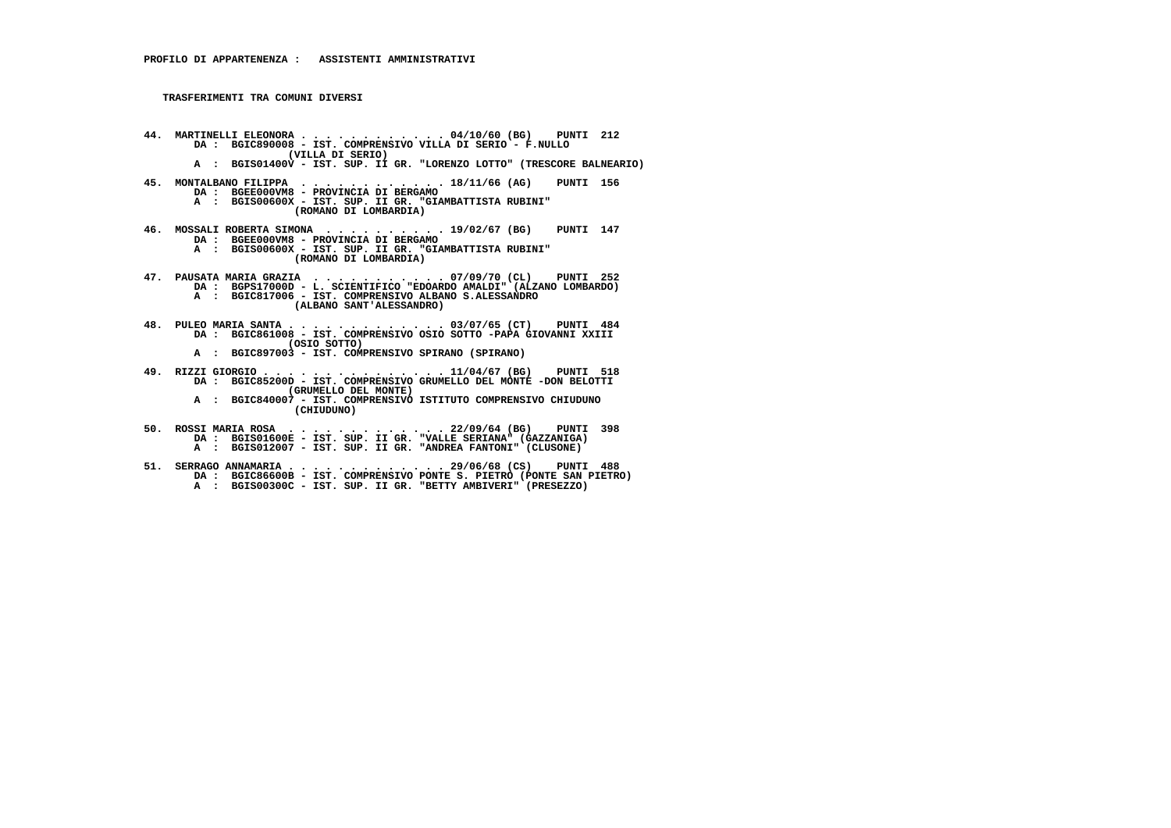- **44. MARTINELLI ELEONORA . . . . . . . . . . . . 04/10/60 (BG) PUNTI 212 DA : BGIC890008 IST. COMPRENSIVO VILLA DI SERIO F.NULLO (VILLA DI SERIO)**
- **A : BGIS01400V IST. SUP. II GR. "LORENZO LOTTO" (TRESCORE BALNEARIO)**
- **45. MONTALBANO FILIPPA . . . . . . . . . . . . 18/11/66 (AG) PUNTI 156 DA : BGEE000VM8 PROVINCIA DI BERGAMO**
- **A : BGIS00600X IST. SUP. II GR. "GIAMBATTISTA RUBINI" (ROMANO DI LOMBARDIA)**
- **46. MOSSALI ROBERTA SIMONA . . . . . . . . . . 19/02/67 (BG) PUNTI 147 DA : BGEE000VM8 PROVINCIA DI BERGAMO**
- **A : BGIS00600X IST. SUP. II GR. "GIAMBATTISTA RUBINI" (ROMANO DI LOMBARDIA)**
- **47. PAUSATA MARIA GRAZIA . . . . . . . . . . . 07/09/70 (CL) PUNTI 252 DA : BGPS17000D L. SCIENTIFICO "EDOARDO AMALDI" (ALZANO LOMBARDO) A : BGIC817006 - IST. COMPRENSIVO ALBANO S.ALESSANDRO (ALBANO SANT'ALESSANDRO)**
- **48. PULEO MARIA SANTA . . . . . . . . . . . . . 03/07/65 (CT) PUNTI 484 DA : BGIC861008 IST. COMPRENSIVO OSIO SOTTO -PAPA GIOVANNI XXIII (OSIO SOTTO)**
- **A : BGIC897003 IST. COMPRENSIVO SPIRANO (SPIRANO)**
- **49. RIZZI GIORGIO . . . . . . . . . . . . . . . 11/04/67 (BG) PUNTI 518 DA : BGIC85200D IST. COMPRENSIVO GRUMELLO DEL MONTE -DON BELOTTI (GRUMELLO DEL MONTE) A : BGIC840007 - IST. COMPRENSIVO ISTITUTO COMPRENSIVO CHIUDUNO (CHIUDUNO)**
- **50. ROSSI MARIA ROSA . . . . . . . . . . . . . 22/09/64 (BG) PUNTI 398 DA : BGIS01600E - IST. SUP. II GR. "VALLE SERIANA" (GAZZANIGA) A : BGIS012007 - IST. SUP. II GR. "ANDREA FANTONI" (CLUSONE)**
- **51. SERRAGO ANNAMARIA . . . . . . . . . . . . . 29/06/68 (CS) PUNTI 488 DA : BGIC86600B IST. COMPRENSIVO PONTE S. PIETRO (PONTE SAN PIETRO) A : BGIS00300C - IST. SUP. II GR. "BETTY AMBIVERI" (PRESEZZO)**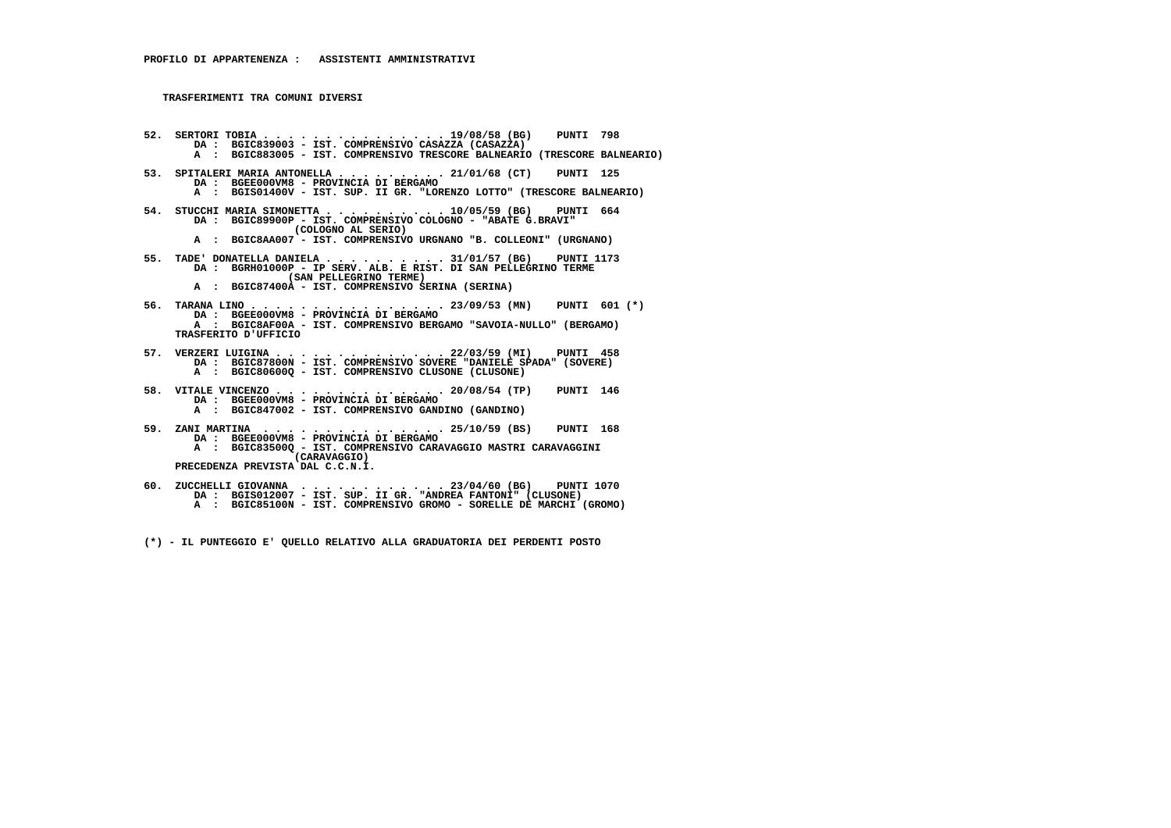**52. SERTORI TOBIA . . . . . . . . . . . . . . . 19/08/58 (BG) PUNTI 798 DA : BGIC839003 - IST. COMPRENSIVO CASAZZA (CASAZZA) A : BGIC883005 - IST. COMPRENSIVO TRESCORE BALNEARIO (TRESCORE BALNEARIO) 53. SPITALERI MARIA ANTONELLA . . . . . . . . . 21/01/68 (CT) PUNTI 125 DA : BGEE000VM8 - PROVINCIA DI BERGAMO A : BGIS01400V - IST. SUP. II GR. "LORENZO LOTTO" (TRESCORE BALNEARIO) 54. STUCCHI MARIA SIMONETTA . . . . . . . . . . 10/05/59 (BG) PUNTI 664 DA : BGIC89900P - IST. COMPRENSIVO COLOGNO - "ABATE G.BRAVI" (COLOGNO AL SERIO) A : BGIC8AA007 - IST. COMPRENSIVO URGNANO "B. COLLEONI" (URGNANO) 55. TADE' DONATELLA DANIELA . . . . . . . . . . 31/01/57 (BG) PUNTI 1173 DA : BGRH01000P - IP SERV. ALB. E RIST. DI SAN PELLEGRINO TERME (SAN PELLEGRINO TERME) A : BGIC87400A - IST. COMPRENSIVO SERINA (SERINA) 56. TARANA LINO . . . . . . . . . . . . . . . . 23/09/53 (MN) PUNTI 601 (\*) DA : BGEE000VM8 - PROVINCIA DI BERGAMO A : BGIC8AF00A - IST. COMPRENSIVO BERGAMO "SAVOIA-NULLO" (BERGAMO) TRASFERITO D'UFFICIO 57. VERZERI LUIGINA . . . . . . . . . . . . . . 22/03/59 (MI) PUNTI 458 DA : BGIC87800N - IST. COMPRENSIVO SOVERE "DANIELE SPADA" (SOVERE) A : BGIC80600Q - IST. COMPRENSIVO CLUSONE (CLUSONE) 58. VITALE VINCENZO . . . . . . . . . . . . . . 20/08/54 (TP) PUNTI 146 DA : BGEE000VM8 - PROVINCIA DI BERGAMO A : BGIC847002 - IST. COMPRENSIVO GANDINO (GANDINO) 59. ZANI MARTINA . . . . . . . . . . . . . . . 25/10/59 (BS) PUNTI 168 DA : BGEE000VM8 - PROVINCIA DI BERGAMO A : BGIC83500Q - IST. COMPRENSIVO CARAVAGGIO MASTRI CARAVAGGINI (CARAVAGGIO) PRECEDENZA PREVISTA DAL C.C.N.I.**60. ZUCCHELLI GIOVANNA .......... 23/04/60 (BG) PUNTI 1070<br>DA : BGIS012007 - IST. SUP. II GR. "RADREA FANTONI" (CLUSONE)<br>A : BGIC85100N - IST. COMPRENSIVO GROMO - SORELLE DE MARCHI (GROMO)

 **(\*) - IL PUNTEGGIO E' QUELLO RELATIVO ALLA GRADUATORIA DEI PERDENTI POSTO**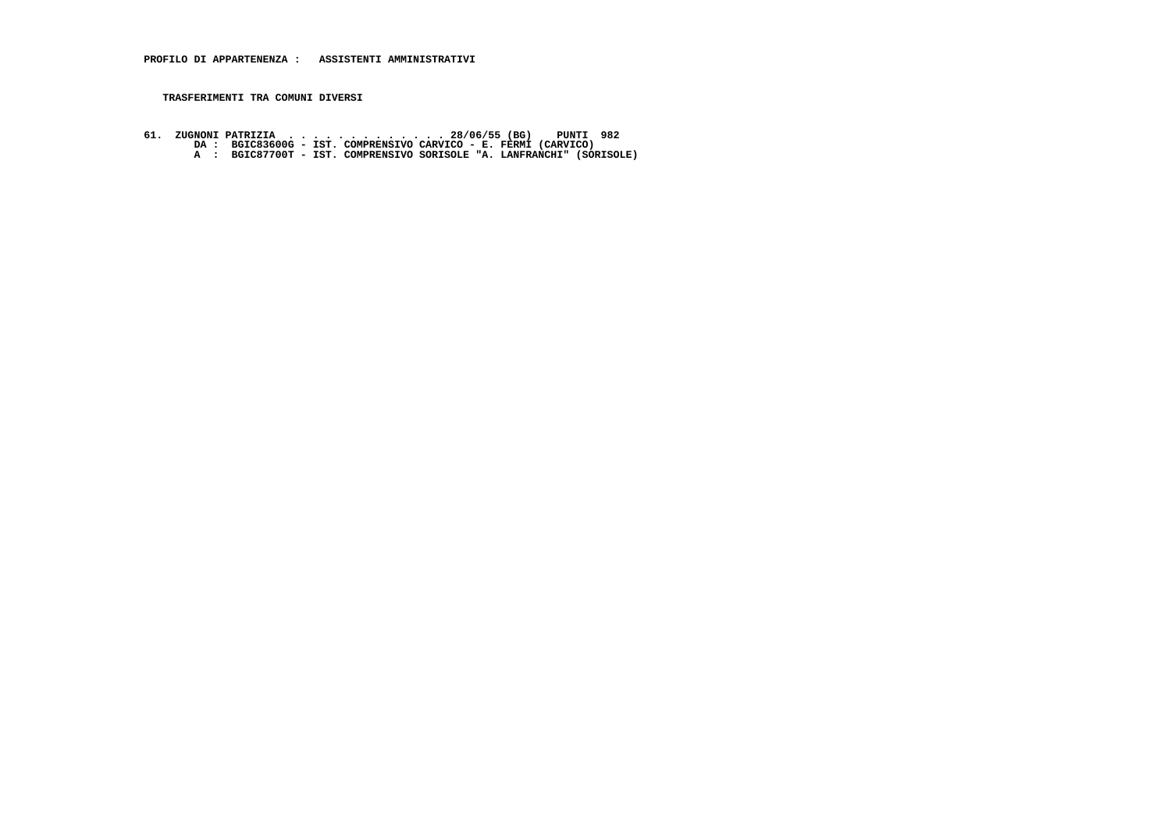61. ZUGNONI PATRIZIA ............ 28/06/55 (BG) PUNTI 982<br>DA: BGIC83600G - IST. COMPRENSIVO CARVICO - E. FERMI (CARVICO)<br>A: BGIC87700T - IST. COMPRENSIVO SORISOLE "A. LANFRANCHI" (SORISOLE)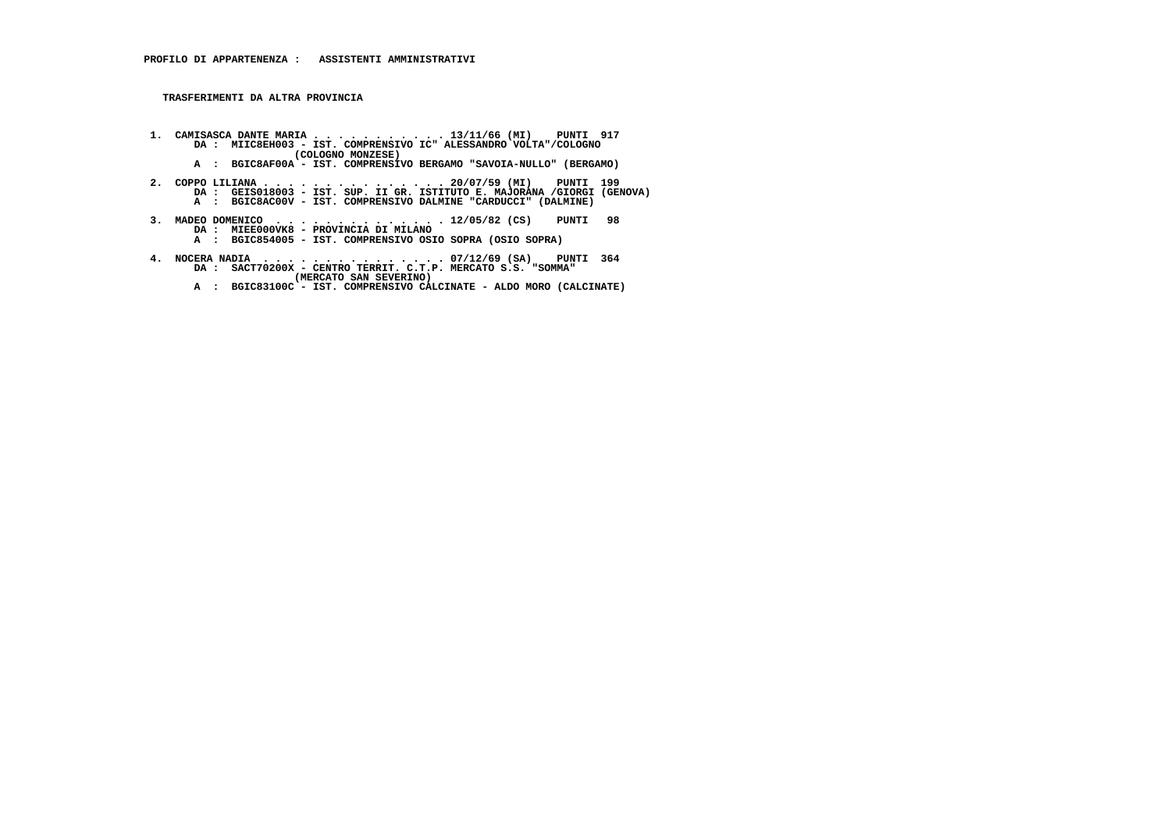**TRASFERIMENTI DA ALTRA PROVINCIA**

- **1. CAMISASCA DANTE MARIA . . . . . . . . . . . 13/11/66 (MI) PUNTI 917 DA : MIIC8EH003 IST. COMPRENSIVO IC" ALESSANDRO VOLTA"/COLOGNO (COLOGNO MONZESE)**
- **A : BGIC8AF00A IST. COMPRENSIVO BERGAMO "SAVOIA-NULLO" (BERGAMO)**
- **2. COPPO LILIANA . . . . . . . . . . . . . . . 20/07/59 (MI) PUNTI 199 DA : GEIS018003 IST. SUP. II GR. ISTITUTO E. MAJORANA /GIORGI (GENOVA) A : BGIC8AC00V - IST. COMPRENSIVO DALMINE "CARDUCCI" (DALMINE)**
- **3. MADEO DOMENICO . . . . . . . . . . . . . . 12/05/82 (CS) PUNTI 98 DA : MIEE000VK8 PROVINCIA DI MILANO A : BGIC854005 IST. COMPRENSIVO OSIO SOPRA (OSIO SOPRA)**
- **4. NOCERA NADIA . . . . . . . . . . . . . . . 07/12/69 (SA) PUNTI 364 DA : SACT70200X CENTRO TERRIT. C.T.P. MERCATO S.S. "SOMMA" (MERCATO SAN SEVERINO)**
- **A : BGIC83100C IST. COMPRENSIVO CALCINATE ALDO MORO (CALCINATE)**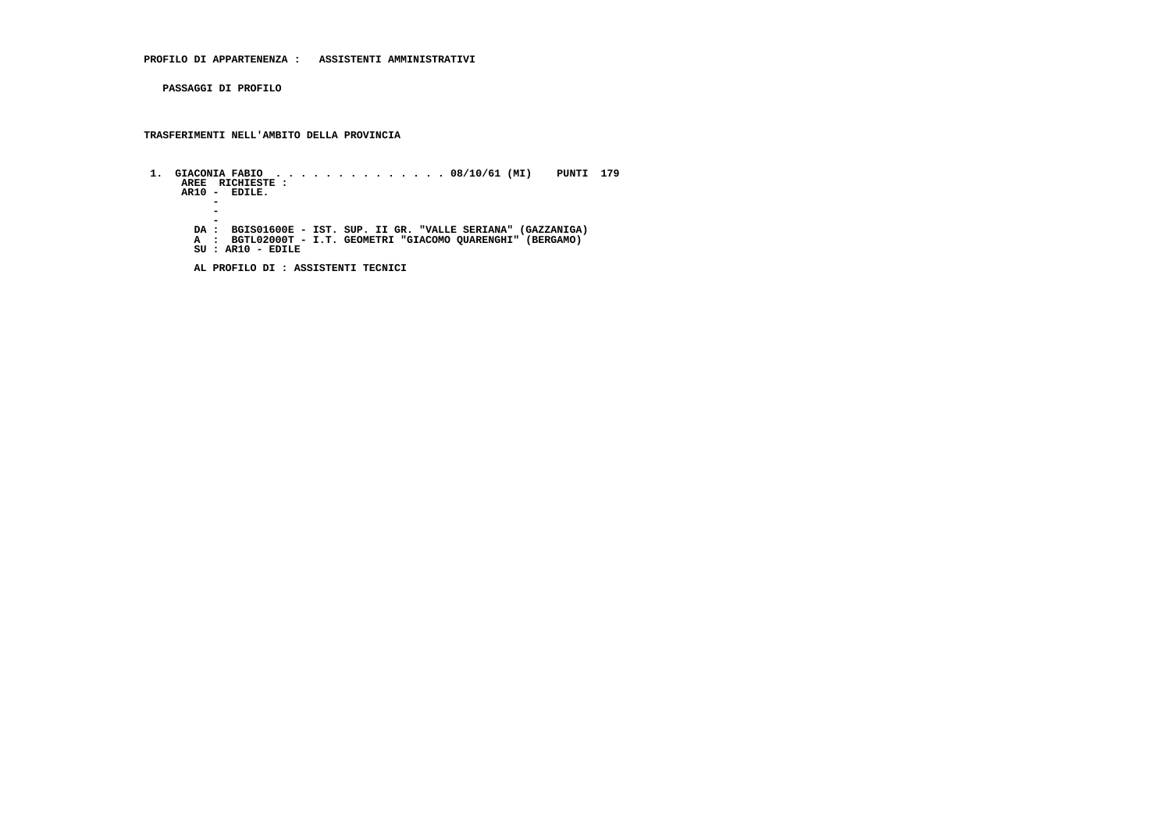**PASSAGGI DI PROFILO**

 **TRASFERIMENTI NELL'AMBITO DELLA PROVINCIA**

 **1. GIACONIA FABIO . . . . . . . . . . . . . . 08/10/61 (MI) PUNTI 179 AREE RICHIESTE : AR10 - EDILE. -** $\overline{a}$  **- - DA : BGIS01600E - IST. SUP. II GR. "VALLE SERIANA" (GAZZANIGA) A : BGTL02000T - I.T. GEOMETRI "GIACOMO QUARENGHI" (BERGAMO) SU : AR10 - EDILE**

 **AL PROFILO DI : ASSISTENTI TECNICI**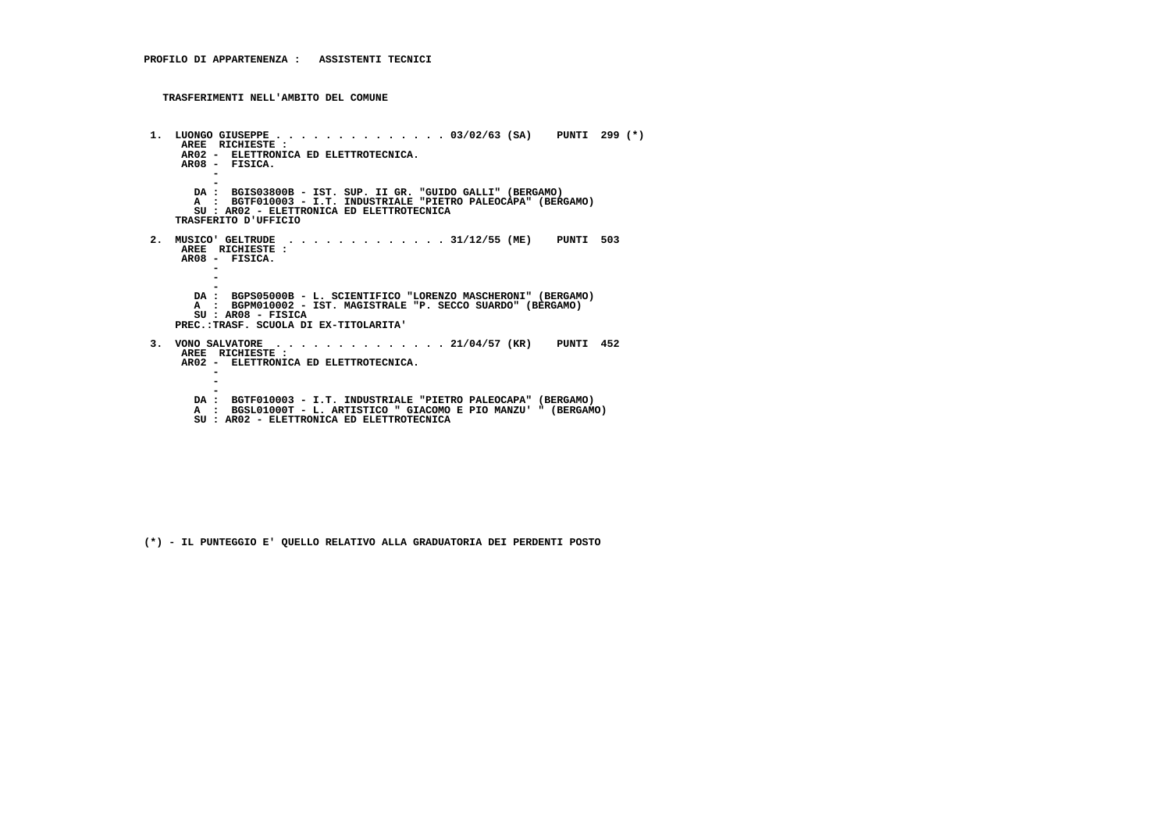```
 1. LUONGO GIUSEPPE . . . . . . . . . . . . . . 03/02/63 (SA) PUNTI 299 (*) AREE RICHIESTE :
AR02 - ELETTRONICA ED ELETTROTECNICA.
AR08 - FISICA. - -
DA : BGIS03800B - IST. SUP. II GR. "GUIDO GALLI" (BERGAMO)
A : BGTF010003 - I.T. INDUSTRIALE "PIETRO PALEOCAPA" (BERGAMO) SU : AR02 - ELETTRONICA ED ELETTROTECNICA TRASFERITO D'UFFICIO 2. MUSICO' GELTRUDE . . . . . . . . . . . . . 31/12/55 (ME) PUNTI 503 AREE RICHIESTE : AR08 - FISICA. -\sim - -
DA : BGPS05000B - L. SCIENTIFICO "LORENZO MASCHERONI" (BERGAMO)A : BGPM010002 - IST. MAGISTRALE "P. SECCO SUARDO" (BERGAMO)
         SU : AR08 - FISICA
PREC.:TRASF. SCUOLA DI EX-TITOLARITA' 3. VONO SALVATORE . . . . . . . . . . . . . . 21/04/57 (KR) PUNTI 452 AREE RICHIESTE :
AR02 - ELETTRONICA ED ELETTROTECNICA. - - -
DA : BGTF010003 - I.T. INDUSTRIALE "PIETRO PALEOCAPA" (BERGAMO)
A : BGSL01000T - L. ARTISTICO " GIACOMO E PIO MANZU' " (BERGAMO)
SU : AR02 - ELETTRONICA ED ELETTROTECNICA
```
 **(\*) - IL PUNTEGGIO E' QUELLO RELATIVO ALLA GRADUATORIA DEI PERDENTI POSTO**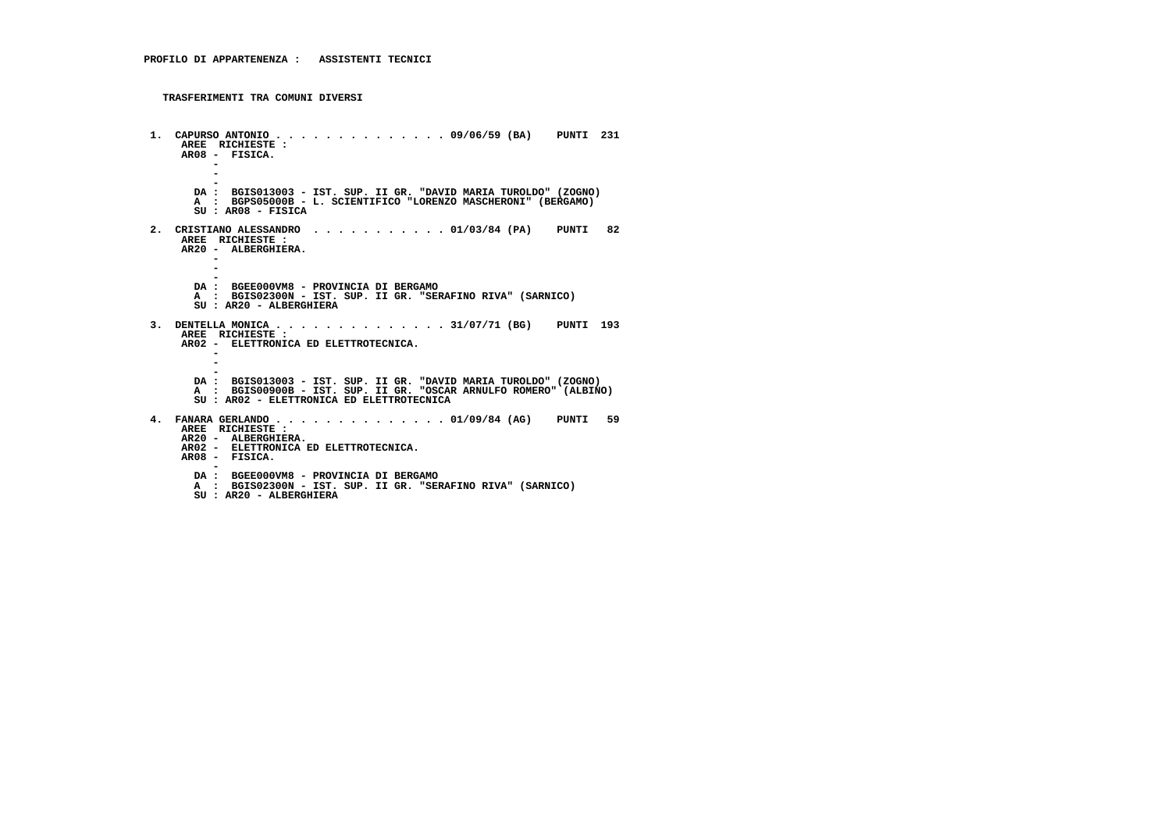```
 1. CAPURSO ANTONIO . . . . . . . . . . . . . . 09/06/59 (BA) PUNTI 231 AREE RICHIESTE : AR08 - FISICA. - - -
DA : BGIS013003 - IST. SUP. II GR. "DAVID MARIA TUROLDO" (ZOGNO) A : BGPS05000B - L. SCIENTIFICO "LORENZO MASCHERONI" (BERGAMO) SU : AR08 - FISICA 2. CRISTIANO ALESSANDRO . . . . . . . . . . . 01/03/84 (PA) PUNTI 82 AREE RICHIESTE :
AR20 - ALBERGHIERA. - - -
DA : BGEE000VM8 - PROVINCIA DI BERGAMO
A : BGIS02300N - IST. SUP. II GR. "SERAFINO RIVA" (SARNICO) SU : AR20 - ALBERGHIERA 3. DENTELLA MONICA . . . . . . . . . . . . . . 31/07/71 (BG) PUNTI 193 AREE RICHIESTE :
AR02 - ELETTRONICA ED ELETTROTECNICA. - - -
DA : BGIS013003 - IST. SUP. II GR. "DAVID MARIA TUROLDO" (ZOGNO)
A : BGIS00900B - IST. SUP. II GR. "OSCAR ARNULFO ROMERO" (ALBINO) SU : AR02 - ELETTRONICA ED ELETTROTECNICA 4. FANARA GERLANDO . . . . . . . . . . . . . . 01/09/84 (AG) PUNTI 59 AREE RICHIESTE :
AR20 - ALBERGHIERA.
AR02 - ELETTRONICA ED ELETTROTECNICA. AR08 - FISICA. -
DA : BGEE000VM8 - PROVINCIA DI BERGAMO
A : BGIS02300N - IST. SUP. II GR. "SERAFINO RIVA" (SARNICO) SU : AR20 - ALBERGHIERA
```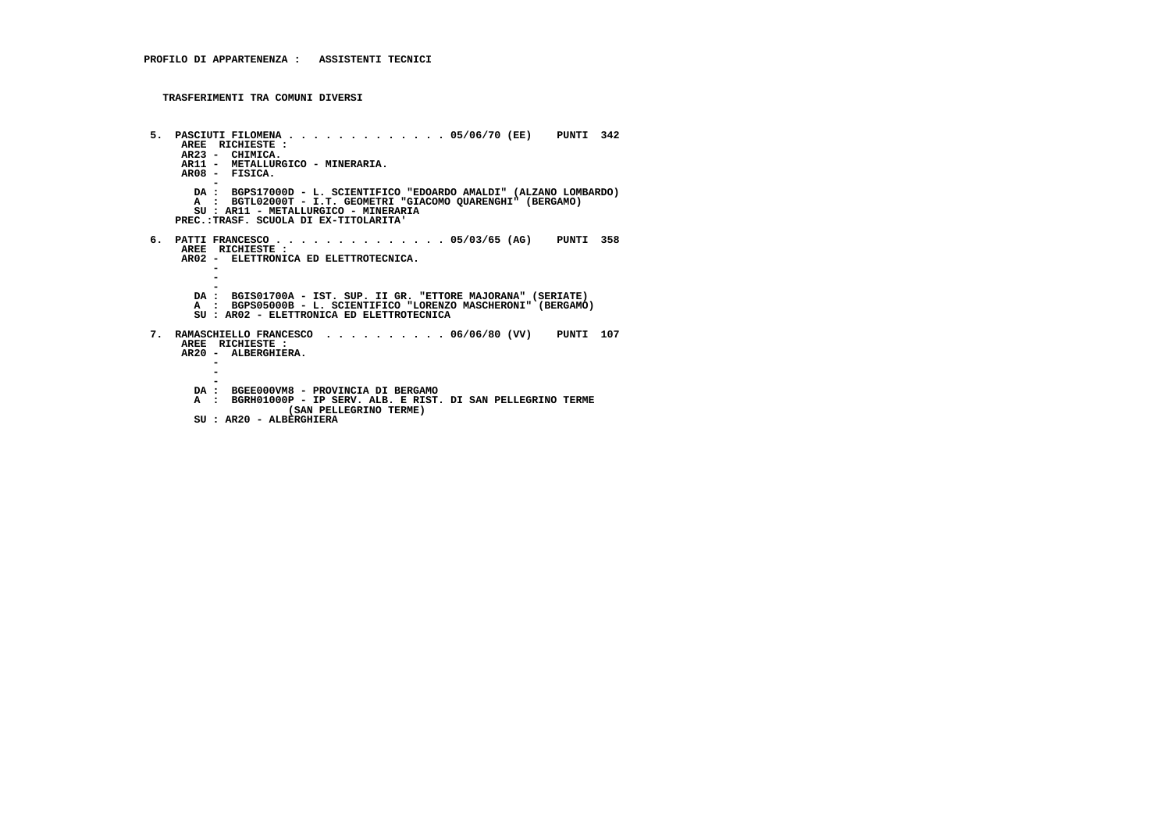```
 5. PASCIUTI FILOMENA . . . . . . . . . . . . . 05/06/70 (EE) PUNTI 342 AREE RICHIESTE :
AR23 - CHIMICA.
AR11 - METALLURGICO - MINERARIA. AR08 - FISICA. -
DA : BGPS17000D - L. SCIENTIFICO "EDOARDO AMALDI" (ALZANO LOMBARDO) A : BGTL02000T - I.T. GEOMETRI "GIACOMO QUARENGHI" (BERGAMO) SU : AR11 - METALLURGICO - MINERARIA PREC.:TRASF. SCUOLA DI EX-TITOLARITA' 6. PATTI FRANCESCO . . . . . . . . . . . . . . 05/03/65 (AG) PUNTI 358 AREE RICHIESTE :
AR02 - ELETTRONICA ED ELETTROTECNICA. -\sim - -
DA : BGIS01700A - IST. SUP. II GR. "ETTORE MAJORANA" (SERIATE)
A : BGPS05000B - L. SCIENTIFICO "LORENZO MASCHERONI" (BERGAMO) SU : AR02 - ELETTRONICA ED ELETTROTECNICA 7. RAMASCHIELLO FRANCESCO . . . . . . . . . . 06/06/80 (VV) PUNTI 107 AREE RICHIESTE :
AR20 - ALBERGHIERA. - - -
DA : BGEE000VM8 - PROVINCIA DI BERGAMO
A : BGRH01000P - IP SERV. ALB. E RIST. DI SAN PELLEGRINO TERME (SAN PELLEGRINO TERME) SU : AR20 - ALBERGHIERA
```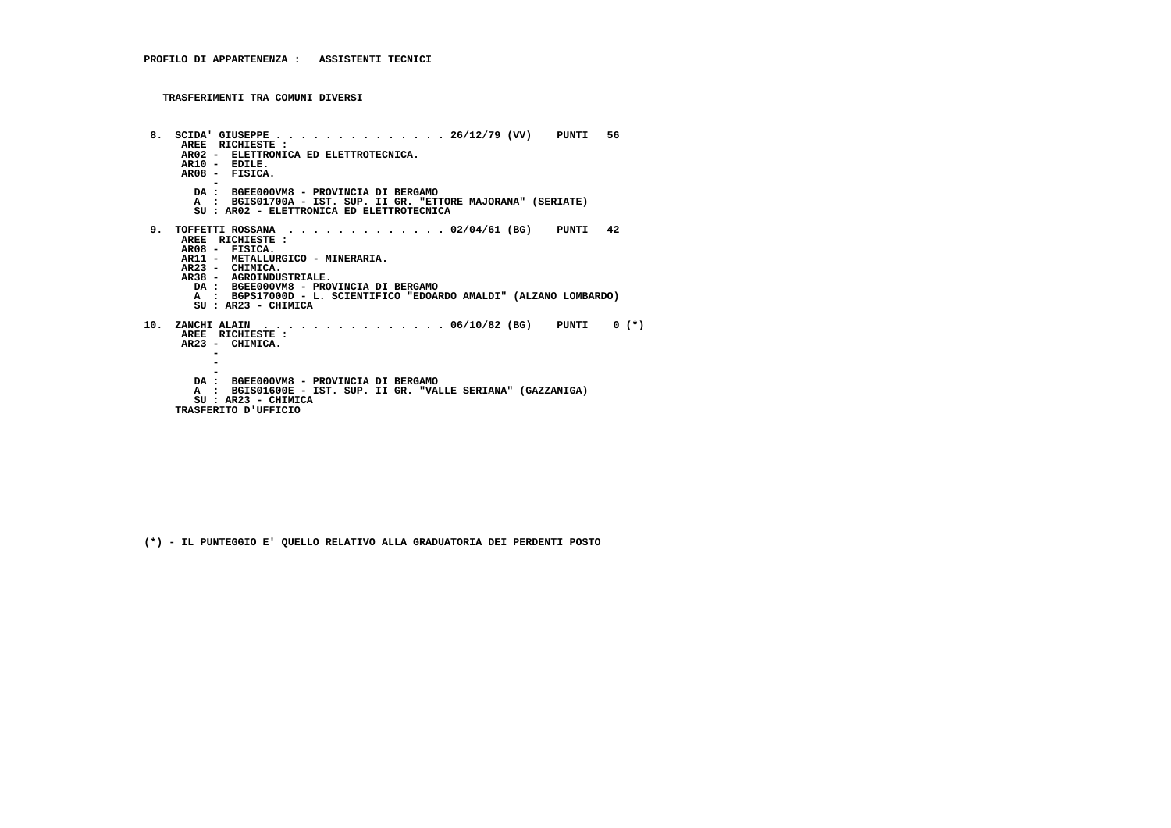```
 8. SCIDA' GIUSEPPE . . . . . . . . . . . . . . 26/12/79 (VV) PUNTI 56 AREE RICHIESTE :
AR02 - ELETTRONICA ED ELETTROTECNICA.
AR10 - EDILE.
AR08 - FISICA. -
DA : BGEE000VM8 - PROVINCIA DI BERGAMO
A : BGIS01700A - IST. SUP. II GR. "ETTORE MAJORANA" (SERIATE) SU : AR02 - ELETTRONICA ED ELETTROTECNICA 9. TOFFETTI ROSSANA . . . . . . . . . . . . . 02/04/61 (BG) PUNTI 42 AREE RICHIESTE : AR08 - FISICA.
AR11 - METALLURGICO - MINERARIA. AR23 - CHIMICA.
AR38 - AGROINDUSTRIALE.
DA : BGEE000VM8 - PROVINCIA DI BERGAMO
A : BGPS17000D - L. SCIENTIFICO "EDOARDO AMALDI" (ALZANO LOMBARDO) SU : AR23 - CHIMICA 10. ZANCHI ALAIN . . . . . . . . . . . . . . . 06/10/82 (BG) PUNTI 0 (*)
AREE RICHIESTE :
AR23 - CHIMICA. - - -
DA : BGEE000VM8 - PROVINCIA DI BERGAMO
A : BGIS01600E - IST. SUP. II GR. "VALLE SERIANA" (GAZZANIGA) SU : AR23 - CHIMICA TRASFERITO D'UFFICIO
```
 **(\*) - IL PUNTEGGIO E' QUELLO RELATIVO ALLA GRADUATORIA DEI PERDENTI POSTO**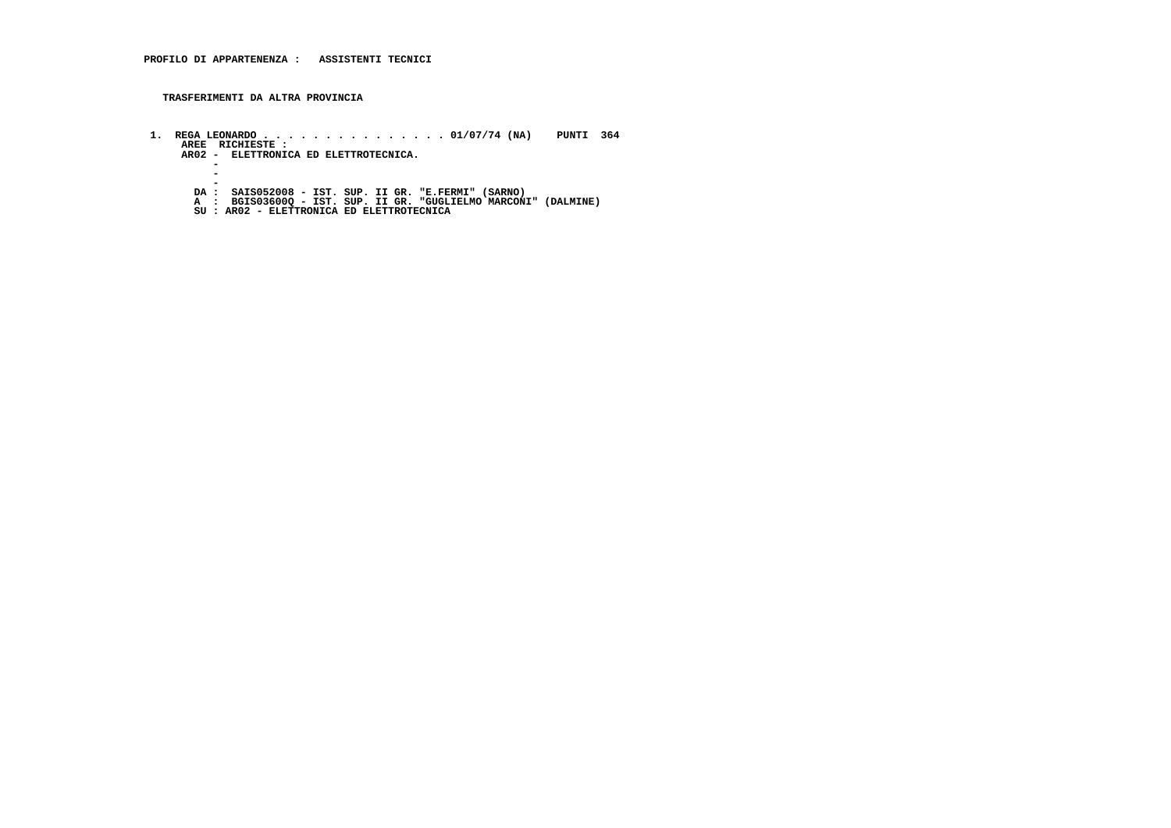**TRASFERIMENTI DA ALTRA PROVINCIA**

 **1. REGA LEONARDO . . . . . . . . . . . . . . . 01/07/74 (NA) PUNTI 364 AREE RICHIESTE : AR02 - ELETTRONICA ED ELETTROTECNICA. -** $\sim$  **-** $\sim$  **- DA : SAIS052008 - IST. SUP. II GR. "E.FERMI" (SARNO) A : BGIS03600Q - IST. SUP. II GR. "GUGLIELMO MARCONI" (DALMINE) SU : AR02 - ELETTRONICA ED ELETTROTECNICA**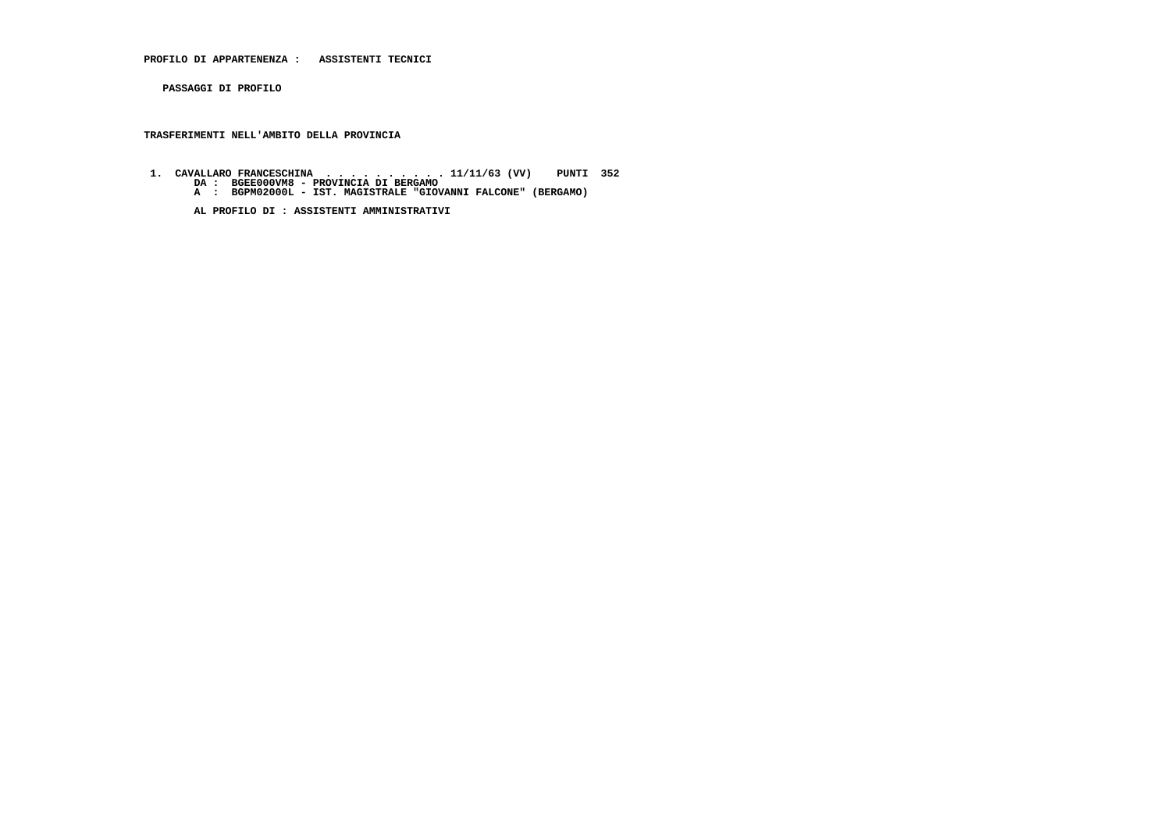**PROFILO DI APPARTENENZA : ASSISTENTI TECNICI**

 **PASSAGGI DI PROFILO**

 **TRASFERIMENTI NELL'AMBITO DELLA PROVINCIA**

- **1. CAVALLARO FRANCESCHINA . . . . . . . . . . 11/11/63 (VV) PUNTI 352 DA : BGEE000VM8 PROVINCIA DI BERGAMO A : BGPM02000L IST. MAGISTRALE "GIOVANNI FALCONE" (BERGAMO)**
	-

 **AL PROFILO DI : ASSISTENTI AMMINISTRATIVI**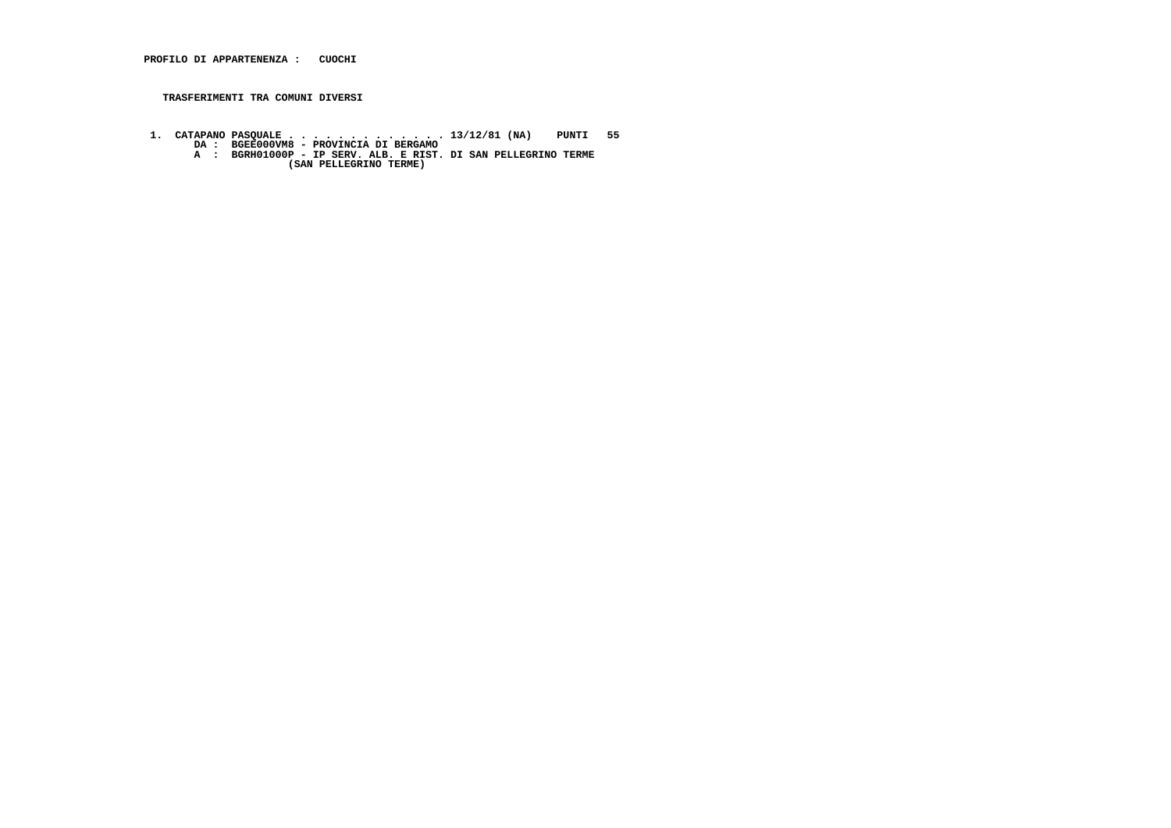1. CATAPANO PASQUALE . . . . . . . . . . . . . . 13/12/81 (NA) PUNTI 55<br>DA : BGEE000VM8 - PROVINCIA DI BERGAMO<br>A : BGRH01000P - IP SERV. ALB. E RIST. DI SAN PELLEGRINO TERME<br>(SAN PELLEGRINO TERME)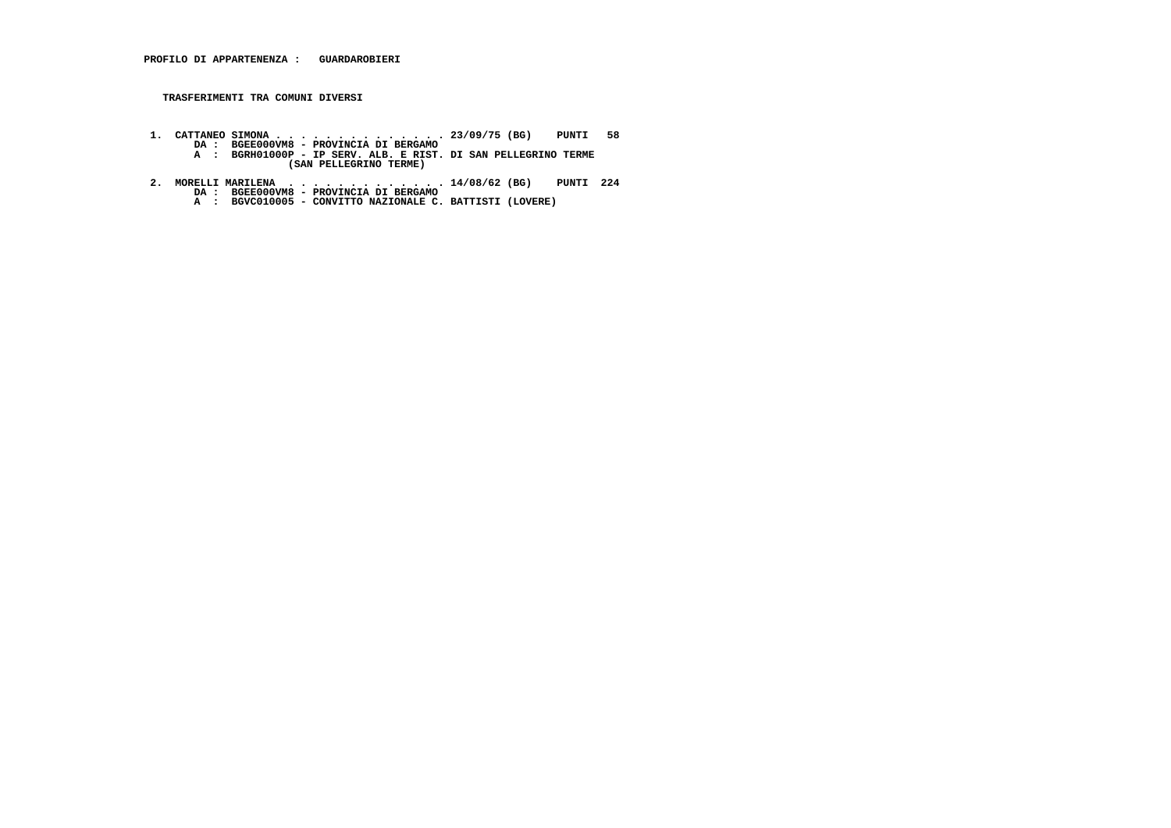- 1. CATTANEO SIMONA . . . . . . . . . . . . . 23/09/75 (BG) PUNTI 58<br>DA : BGEE000VM8 PROVINCIA DI BERGAMO<br>A : BGRH01000P IP SERV. ALB. E RIST. DI SAN PELLEGRINO TERME<br>(SAN PELLEGRINO TERME)
- **2. MORELLI MARILENA . . . . . . . . . . . . . 14/08/62 (BG) PUNTI 224 DA : BGEE000VM8 PROVINCIA DI BERGAMO A : BGVC010005 CONVITTO NAZIONALE C. BATTISTI (LOVERE)**
	-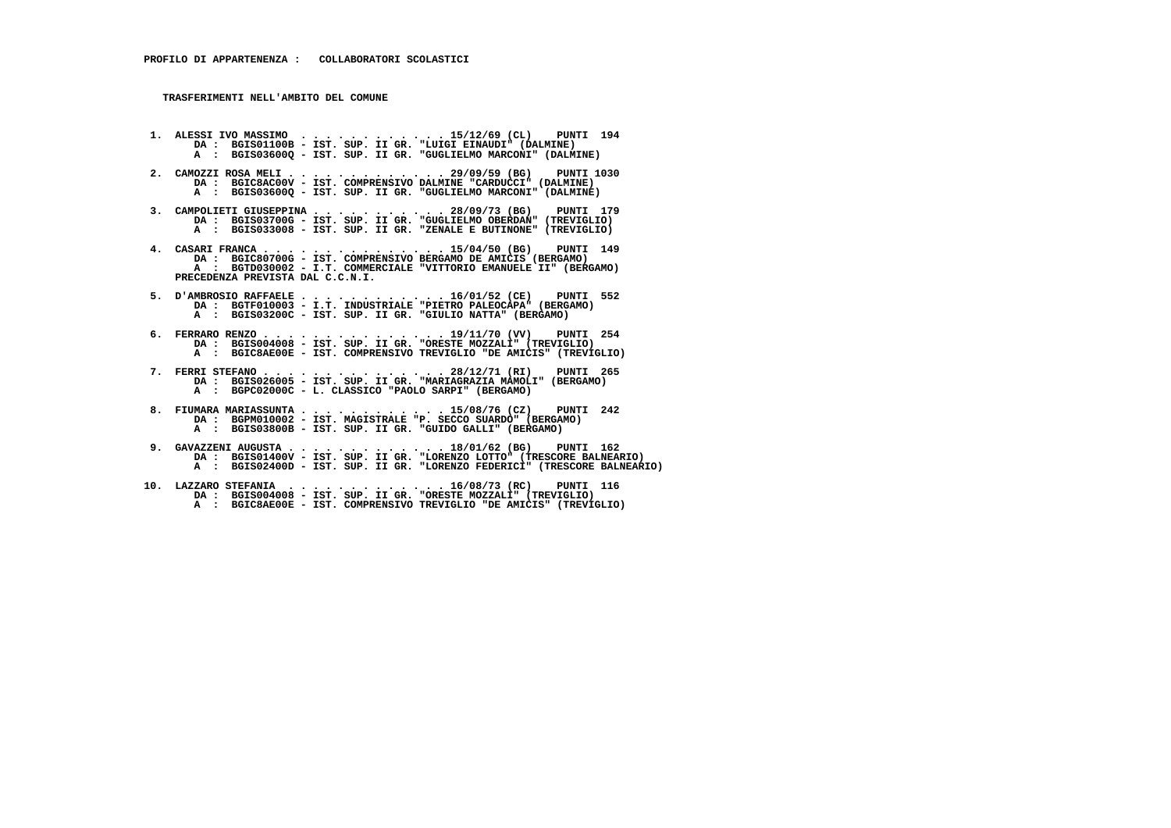- **1. ALESSI IVO MASSIMO . . . . . . . . . . . . 15/12/69 (CL) PUNTI 194 DA : BGIS01100B IST. SUP. II GR. "LUIGI EINAUDI" (DALMINE) A : BGIS03600Q - IST. SUP. II GR. "GUGLIELMO MARCONI" (DALMINE)**
- **2. CAMOZZI ROSA MELI . . . . . . . . . . . . . 29/09/59 (BG) PUNTI 1030 DA : BGIC8AC00V - IST. COMPRENSIVO DALMINE "CARDUCCI" (DALMINE) A : BGIS03600Q - IST. SUP. II GR. "GUGLIELMO MARCONI" (DALMINE)**
- 3. CAMPOLIETI GIUSEPPINA . . . . . . . . . . 28/09/73 (BG) PUNTI 179<br>DA : BGIS03700G IST. SUP. II GR. "GULLELMO OBERDAN" (TREVIGLIO)<br>A : BGIS033008 IST. SUP. II GR. "ZENALE E BUTINONE" (TREVIGLIO)
- **4. CASARI FRANCA . . . . . . . . . . . . . . . 15/04/50 (BG) PUNTI 149 DA : BGIC80700G IST. COMPRENSIVO BERGAMO DE AMICIS (BERGAMO) A : BGTD030002 - I.T. COMMERCIALE "VITTORIO EMANUELE II" (BERGAMO) PRECEDENZA PREVISTA DAL C.C.N.I.**
	- **5. D'AMBROSIO RAFFAELE . . . . . . . . . . . . 16/01/52 (CE) PUNTI 552 DA : BGTF010003 - I.T. INDUSTRIALE "PIETRO PALEOCAPA" (BERGAMO) A : BGIS03200C - IST. SUP. II GR. "GIULIO NATTA" (BERGAMO)**
- **6. FERRARO RENZO . . . . . . . . . . . . . . . 19/11/70 (VV) PUNTI 254 DA : BGIS004008 IST. SUP. II GR. "ORESTE MOZZALI" (TREVIGLIO) A : BGIC8AE00E - IST. COMPRENSIVO TREVIGLIO "DE AMICIS" (TREVIGLIO)**
- **7. FERRI STEFANO . . . . . . . . . . . . . . . 28/12/71 (RI) PUNTI 265 DA : BGIS026005 IST. SUP. II GR. "MARIAGRAZIA MAMOLI" (BERGAMO) A : BGPC02000C - L. CLASSICO "PAOLO SARPI" (BERGAMO)**
- **8. FIUMARA MARIASSUNTA . . . . . . . . . . . . 15/08/76 (CZ) PUNTI 242 DA : BGPM010002 IST. MAGISTRALE "P. SECCO SUARDO" (BERGAMO) A : BGIS03800B - IST. SUP. II GR. "GUIDO GALLI" (BERGAMO)**
- **9. GAVAZZENI AUGUSTA . . . . . . . . . . . . . 18/01/62 (BG) PUNTI 162 DA : BGIS01400V IST. SUP. II GR. "LORENZO LOTTO" (TRESCORE BALNEARIO) A : BGIS02400D - IST. SUP. II GR. "LORENZO FEDERICI" (TRESCORE BALNEARIO)**
- **10. LAZZARO STEFANIA . . . . . . . . . . . . . 16/08/73 (RC) PUNTI 116 DA : BGIS004008 IST. SUP. II GR. "ORESTE MOZZALI" (TREVIGLIO) A : BGIC8AE00E - IST. COMPRENSIVO TREVIGLIO "DE AMICIS" (TREVIGLIO)**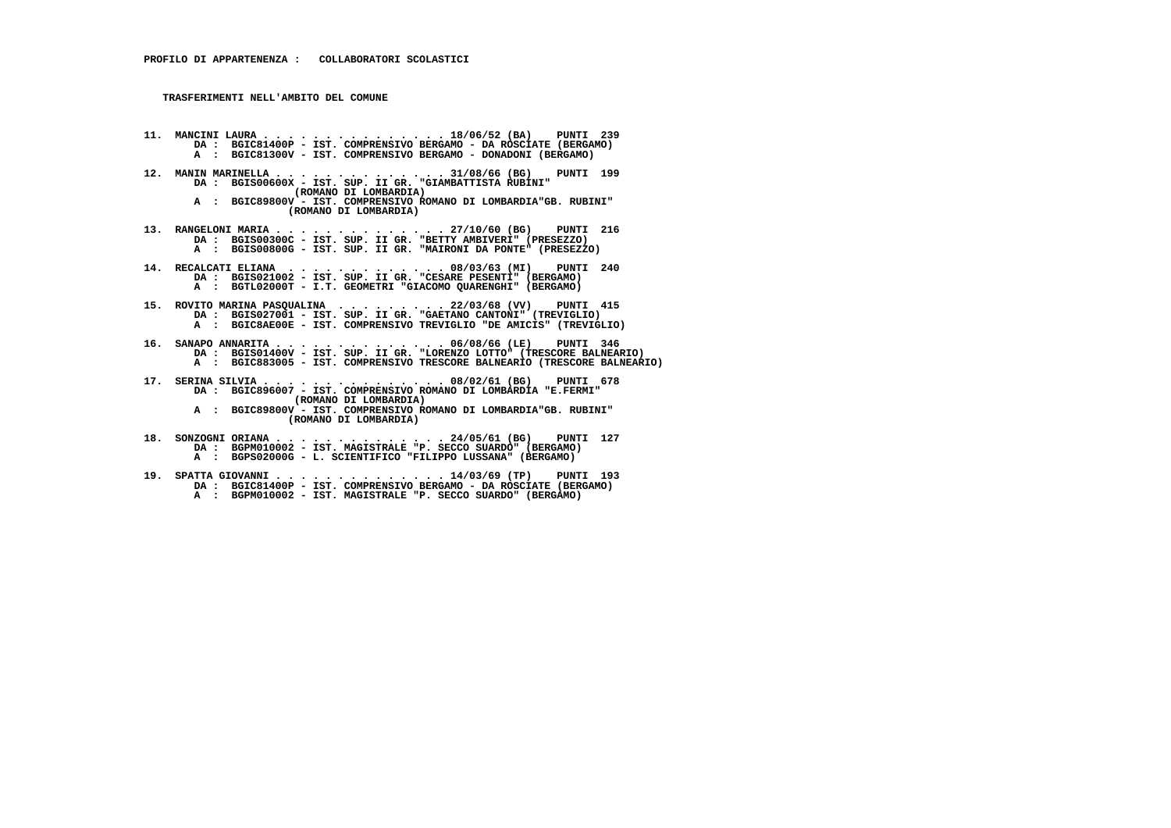- **11. MANCINI LAURA . . . . . . . . . . . . . . . 18/06/52 (BA) PUNTI 239 DA : BGIC81400P IST. COMPRENSIVO BERGAMO DA ROSCIATE (BERGAMO) A : BGIC81300V - IST. COMPRENSIVO BERGAMO - DONADONI (BERGAMO)**
	- **12. MANIN MARINELLA . . . . . . . . . . . . . . 31/08/66 (BG) PUNTI 199 DA : BGIS00600X - IST. SUP. II GR. "GIAMBATTISTA RUBINI" (ROMANO DI LOMBARDIA)**
- **A : BGIC89800V IST. COMPRENSIVO ROMANO DI LOMBARDIA"GB. RUBINI" (ROMANO DI LOMBARDIA)**
- **13. RANGELONI MARIA . . . . . . . . . . . . . . 27/10/60 (BG) PUNTI 216 DA : BGIS00300C IST. SUP. II GR. "BETTY AMBIVERI" (PRESEZZO) A : BGIS00800G IST. SUP. II GR. "MAIRONI DA PONTE" (PRESEZZO)**
- **14. RECALCATI ELIANA . . . . . . . . . . . . . 08/03/63 (MI) PUNTI 240 DA : BGIS021002 IST. SUP. II GR. "CESARE PESENTI" (BERGAMO) A : BGTL02000T I.T. GEOMETRI "GIACOMO QUARENGHI" (BERGAMO)**
- 15. ROVITO MARINA PASQUALINA ......... 22/03/68 (VV) PUNTI 415<br>DA : BGIS027001 IST. SUP. IIGR. "BAETANO CANTONI" (TREVIGLIO)<br>A : BGIC8AE00E IST. COMPRENSIVO TREVIGLIO "DE AMICIS" (TREVIGLIO)
- **16. SANAPO ANNARITA . . . . . . . . . . . . . . 06/08/66 (LE) PUNTI 346 DA : BGIS01400V IST. SUP. II GR. "LORENZO LOTTO" (TRESCORE BALNEARIO) A : BGIC883005 - IST. COMPRENSIVO TRESCORE BALNEARIO (TRESCORE BALNEARIO)**
- **17. SERINA SILVIA . . . . . . . . . . . . . . . 08/02/61 (BG) PUNTI 678 DA : BGIC896007 IST. COMPRENSIVO ROMANO DI LOMBARDIA "E.FERMI" (ROMANO DI LOMBARDIA)**
- **A : BGIC89800V IST. COMPRENSIVO ROMANO DI LOMBARDIA"GB. RUBINI" (ROMANO DI LOMBARDIA)**
- **18. SONZOGNI ORIANA . . . . . . . . . . . . . . 24/05/61 (BG) PUNTI 127 DA : BGPM010002 IST. MAGISTRALE "P. SECCO SUARDO" (BERGAMO) A : BGPS02000G - L. SCIENTIFICO "FILIPPO LUSSANA" (BERGAMO)**
- **19. SPATTA GIOVANNI . . . . . . . . . . . . . . 14/03/69 (TP) PUNTI 193 DA : BGIC81400P IST. COMPRENSIVO BERGAMO DA ROSCIATE (BERGAMO)**A : BGPM010002 - IST. MAGISTRALE "P. SECCO SUARDO" (BERGAMO)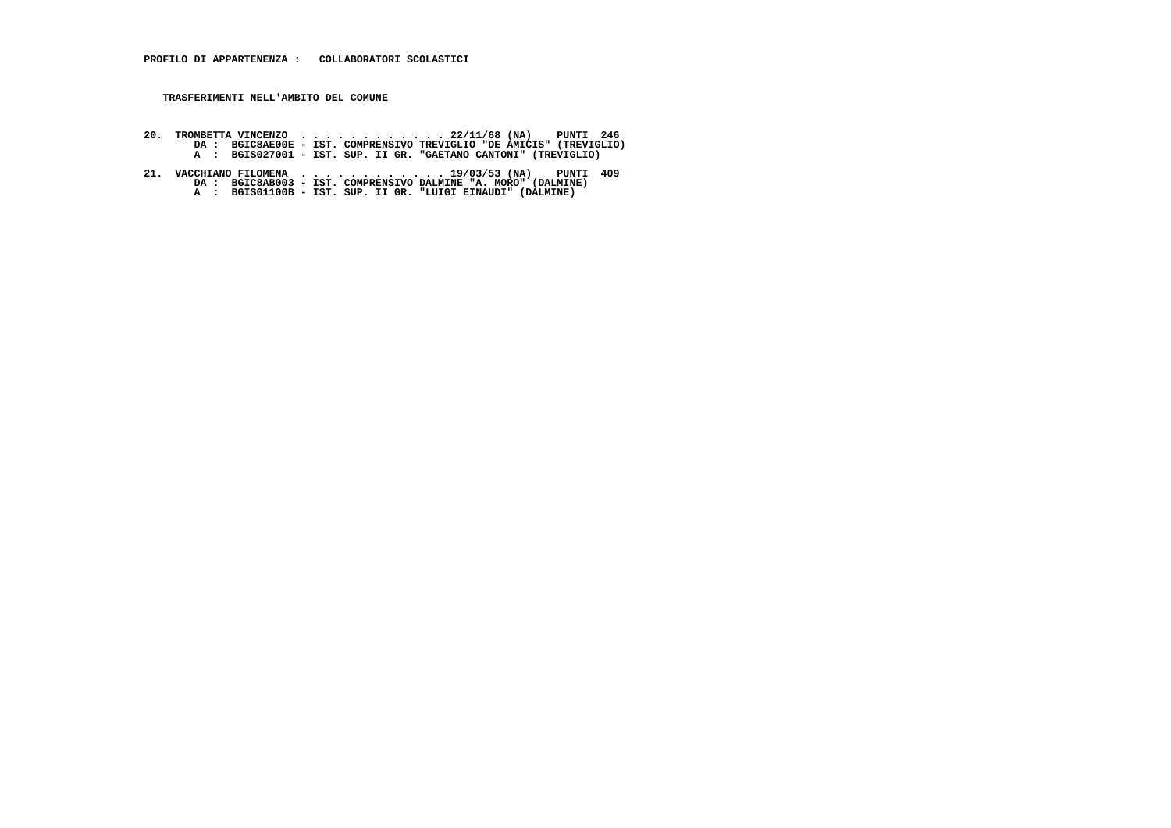- 20. TROMBETTA VINCENZO . ... ..... . 22/11/68 (NA) PUNTI 246<br>DA : BGIC8AE00E IST. COMPRENSIVO TREVIGLIO "DA : BGIC8AE00E IST. GOVPRENSIVO TREVIGLIO<br>A : BGIS027001 IST. SUP. II GR. "GAETANO CANTONI" (TREVIGLIO)
- **21. VACCHIANO FILOMENA . . . . . . . . . . . . 19/03/53 (NA) PUNTI 409 DA : BGIC8AB003 IST. COMPRENSIVO DALMINE "A. MORO" (DALMINE) A : BGIS01100B IST. SUP. II GR. "LUIGI EINAUDI" (DALMINE)**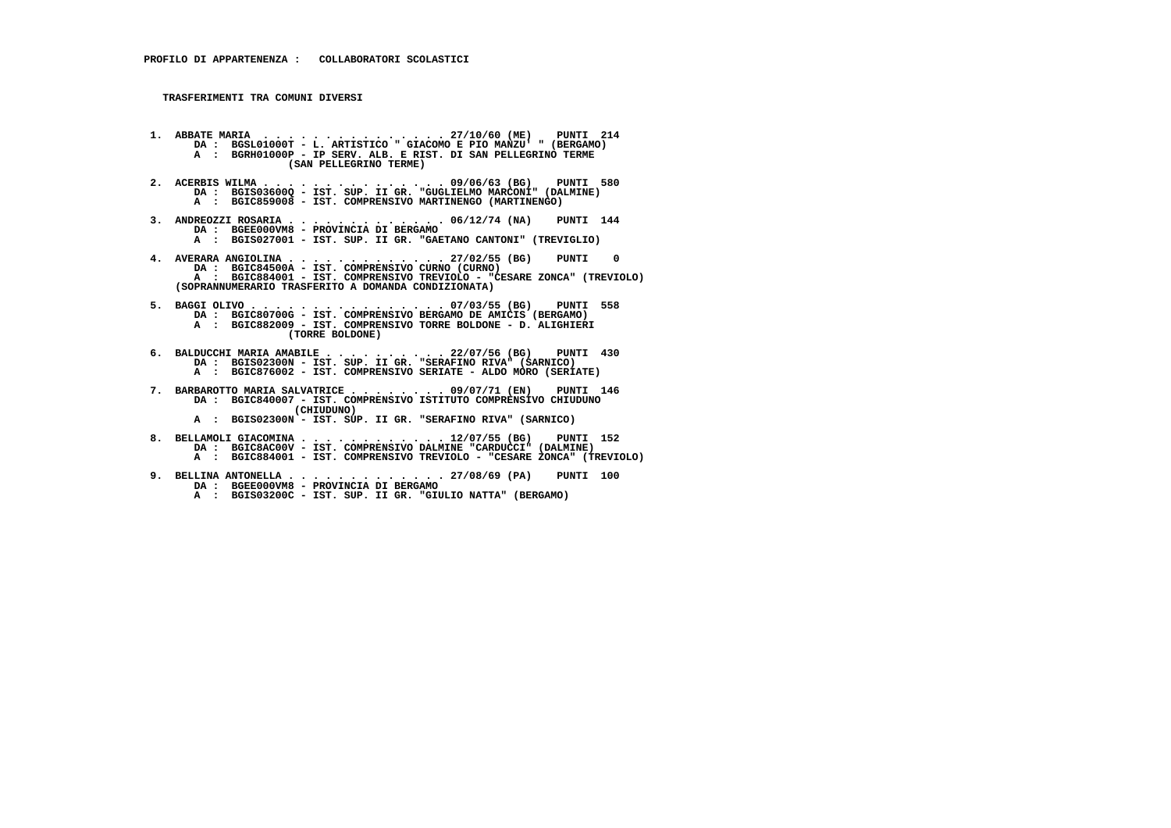- **1. ABBATE MARIA . . . . . . . . . . . . . . . 27/10/60 (ME) PUNTI 214**DA : BGSL01000T - L. ARTISTICO " GIACOMO E PIO MANZU' " (BERGAMO)  **A : BGRH01000P - IP SERV. ALB. E RIST. DI SAN PELLEGRINO TERME (SAN PELLEGRINO TERME)**
- **2. ACERBIS WILMA . . . . . . . . . . . . . . . 09/06/63 (BG) PUNTI 580 DA : BGIS03600Q IST. SUP. II GR. "GUGLIELMO MARCONI" (DALMINE) A : BGIC859008 - IST. COMPRENSIVO MARTINENGO (MARTINENGO)**
- **3. ANDREOZZI ROSARIA . . . . . . . . . . . . . 06/12/74 (NA) PUNTI 144 DA : BGEE000VM8 PROVINCIA DI BERGAMO A : BGIS027001 - IST. SUP. II GR. "GAETANO CANTONI" (TREVIGLIO)**
- **4. AVERARA ANGIOLINA . . . . . . . . . . . . . 27/02/55 (BG) PUNTI 0 DA : BGIC84500A - IST. COMPRENSIVO CURNO (CURNO) A : BGIC884001 - IST. COMPRENSIVO TREVIOLO - "CESARE ZONCA" (TREVIOLO) (SOPRANNUMERARIO TRASFERITO A DOMANDA CONDIZIONATA)**
- **5. BAGGI OLIVO . . . . . . . . . . . . . . . . 07/03/55 (BG) PUNTI 558 DA : BGIC80700G IST. COMPRENSIVO BERGAMO DE AMICIS (BERGAMO) A : BGIC882009 - IST. COMPRENSIVO TORRE BOLDONE - D. ALIGHIERI (TORRE BOLDONE)**
- **6. BALDUCCHI MARIA AMABILE . . . . . . . . . . 22/07/56 (BG) PUNTI 430 DA : BGIS02300N IST. SUP. II GR. "SERAFINO RIVA" (SARNICO) A : BGIC876002 - IST. COMPRENSIVO SERIATE - ALDO MORO (SERIATE)**
	- **7. BARBAROTTO MARIA SALVATRICE . . . . . . . . 09/07/71 (EN) PUNTI 146 DA : BGIC840007 - IST. COMPRENSIVO ISTITUTO COMPRENSIVO CHIUDUNO (CHIUDUNO)**
- **A : BGIS02300N IST. SUP. II GR. "SERAFINO RIVA" (SARNICO)**
- **8. BELLAMOLI GIACOMINA . . . . . . . . . . . . 12/07/55 (BG) PUNTI 152 DA : BGIC8AC00V IST. COMPRENSIVO DALMINE "CARDUCCI" (DALMINE) A : BGIC884001 - IST. COMPRENSIVO TREVIOLO - "CESARE ZONCA" (TREVIOLO)**
	- **9. BELLINA ANTONELLA . . . . . . . . . . . . . 27/08/69 (PA) PUNTI 100 DA : BGEE000VM8 - PROVINCIA DI BERGAMO**
- **A : BGIS03200C IST. SUP. II GR. "GIULIO NATTA" (BERGAMO)**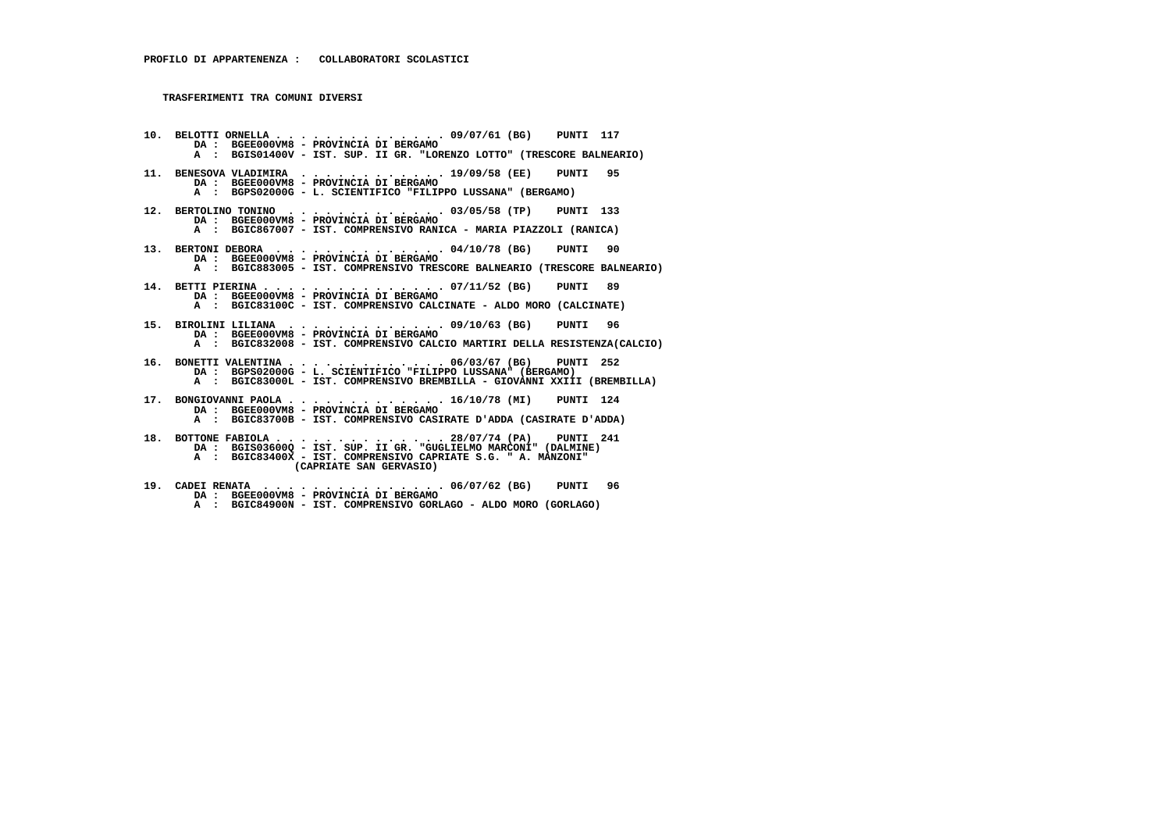**10. BELOTTI ORNELLA . . . . . . . . . . . . . . 09/07/61 (BG) PUNTI 117 DA : BGEE000VM8 - PROVINCIA DI BERGAMO A : BGIS01400V - IST. SUP. II GR. "LORENZO LOTTO" (TRESCORE BALNEARIO) 11. BENESOVA VLADIMIRA . . . . . . . . . . . . 19/09/58 (EE) PUNTI 95 DA : BGEE000VM8 - PROVINCIA DI BERGAMO A : BGPS02000G - L. SCIENTIFICO "FILIPPO LUSSANA" (BERGAMO) 12. BERTOLINO TONINO . . . . . . . . . . . . . 03/05/58 (TP) PUNTI 133 DA : BGEE000VM8 - PROVINCIA DI BERGAMO A : BGIC867007 - IST. COMPRENSIVO RANICA - MARIA PIAZZOLI (RANICA) 13. BERTONI DEBORA . . . . . . . . . . . . . . 04/10/78 (BG) PUNTI 90 DA : BGEE000VM8 - PROVINCIA DI BERGAMO A : BGIC883005 - IST. COMPRENSIVO TRESCORE BALNEARIO (TRESCORE BALNEARIO) 14. BETTI PIERINA . . . . . . . . . . . . . . . 07/11/52 (BG) PUNTI 89 DA : BGEE000VM8 - PROVINCIA DI BERGAMO A : BGIC83100C - IST. COMPRENSIVO CALCINATE - ALDO MORO (CALCINATE) 15. BIROLINI LILIANA . . . . . . . . . . . . . 09/10/63 (BG) PUNTI 96 DA : BGEE000VM8 - PROVINCIA DI BERGAMO A : BGIC832008 - IST. COMPRENSIVO CALCIO MARTIRI DELLA RESISTENZA(CALCIO) 16. BONETTI VALENTINA . . . . . . . . . . . . . 06/03/67 (BG) PUNTI 252 DA : BGPS02000G - L. SCIENTIFICO "FILIPPO LUSSANA" (BERGAMO) A : BGIC83000L - IST. COMPRENSIVO BREMBILLA - GIOVANNI XXIII (BREMBILLA) 17. BONGIOVANNI PAOLA . . . . . . . . . . . . . 16/10/78 (MI) PUNTI 124 DA : BGEE000VM8 - PROVINCIA DI BERGAMO A : BGIC83700B - IST. COMPRENSIVO CASIRATE D'ADDA (CASIRATE D'ADDA) 18. BOTTONE FABIOLA . . . . . . . . . . . . . . 28/07/74 (PA) PUNTI 241 DA : BGIS03600Q - IST. SUP. II GR. "GUGLIELMO MARCONI" (DALMINE) A : BGIC83400X - IST. COMPRENSIVO CAPRIATE S.G. " A. MANZONI" (CAPRIATE SAN GERVASIO)**

 **19. CADEI RENATA . . . . . . . . . . . . . . . 06/07/62 (BG) PUNTI 96 DA : BGEE000VM8 - PROVINCIA DI BERGAMO A : BGIC84900N - IST. COMPRENSIVO GORLAGO - ALDO MORO (GORLAGO)**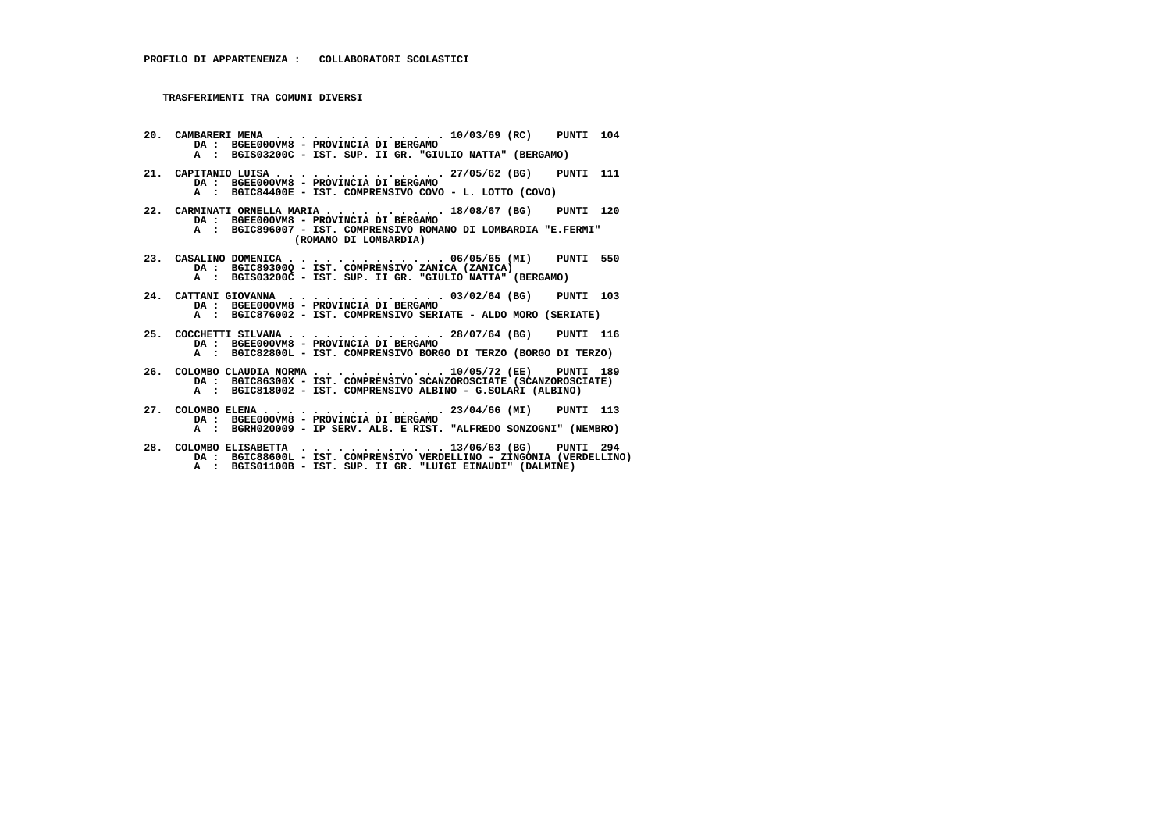- **20. CAMBARERI MENA . . . . . . . . . . . . . . 10/03/69 (RC) PUNTI 104 DA : BGEE000VM8 PROVINCIA DI BERGAMO A : BGIS03200C - IST. SUP. II GR. "GIULIO NATTA" (BERGAMO)**
- **21. CAPITANIO LUISA . . . . . . . . . . . . . . 27/05/62 (BG) PUNTI 111 DA : BGEE000VM8 - PROVINCIA DI BERGAMO A : BGIC84400E - IST. COMPRENSIVO COVO - L. LOTTO (COVO)**
- **22. CARMINATI ORNELLA MARIA . . . . . . . . . . 18/08/67 (BG) PUNTI 120 DA : BGEE000VM8 - PROVINCIA DI BERGAMO A : BGIC896007 - IST. COMPRENSIVO ROMANO DI LOMBARDIA "E.FERMI" (ROMANO DI LOMBARDIA)**
- **23. CASALINO DOMENICA . . . . . . . . . . . . . 06/05/65 (MI) PUNTI 550 DA : BGIC89300Q - IST. COMPRENSIVO ZANICA (ZANICA) A : BGIS03200C - IST. SUP. II GR. "GIULIO NATTA" (BERGAMO)**
- **24. CATTANI GIOVANNA . . . . . . . . . . . . . 03/02/64 (BG) PUNTI 103 DA : BGEE000VM8 - PROVINCIA DI BERGAMO A : BGIC876002 - IST. COMPRENSIVO SERIATE - ALDO MORO (SERIATE)**
- **25. COCCHETTI SILVANA . . . . . . . . . . . . . 28/07/64 (BG) PUNTI 116 DA : BGEE000VM8 - PROVINCIA DI BERGAMO A : BGIC82800L - IST. COMPRENSIVO BORGO DI TERZO (BORGO DI TERZO)**
- **26. COLOMBO CLAUDIA NORMA . . . . . . . . . . . 10/05/72 (EE) PUNTI 189 DA : BGIC86300X IST. COMPRENSIVO SCANZOROSCIATE (SCANZOROSCIATE) A : BGIC818002 - IST. COMPRENSIVO ALBINO - G.SOLARI (ALBINO)**
- **27. COLOMBO ELENA . . . . . . . . . . . . . . . 23/04/66 (MI) PUNTI 113 DA : BGEE000VM8 - PROVINCIA DI BERGAMO A : BGRH020009 - IP SERV. ALB. E RIST. "ALFREDO SONZOGNI" (NEMBRO)**
- **28. COLOMBO ELISABETTA . . . . . . . . . . . . 13/06/63 (BG) PUNTI 294 DA : BGIC88600L IST. COMPRENSIVO VERDELLINO ZINGONIA (VERDELLINO) A : BGIS01100B - IST. SUP. II GR. "LUIGI EINAUDI" (DALMINE)**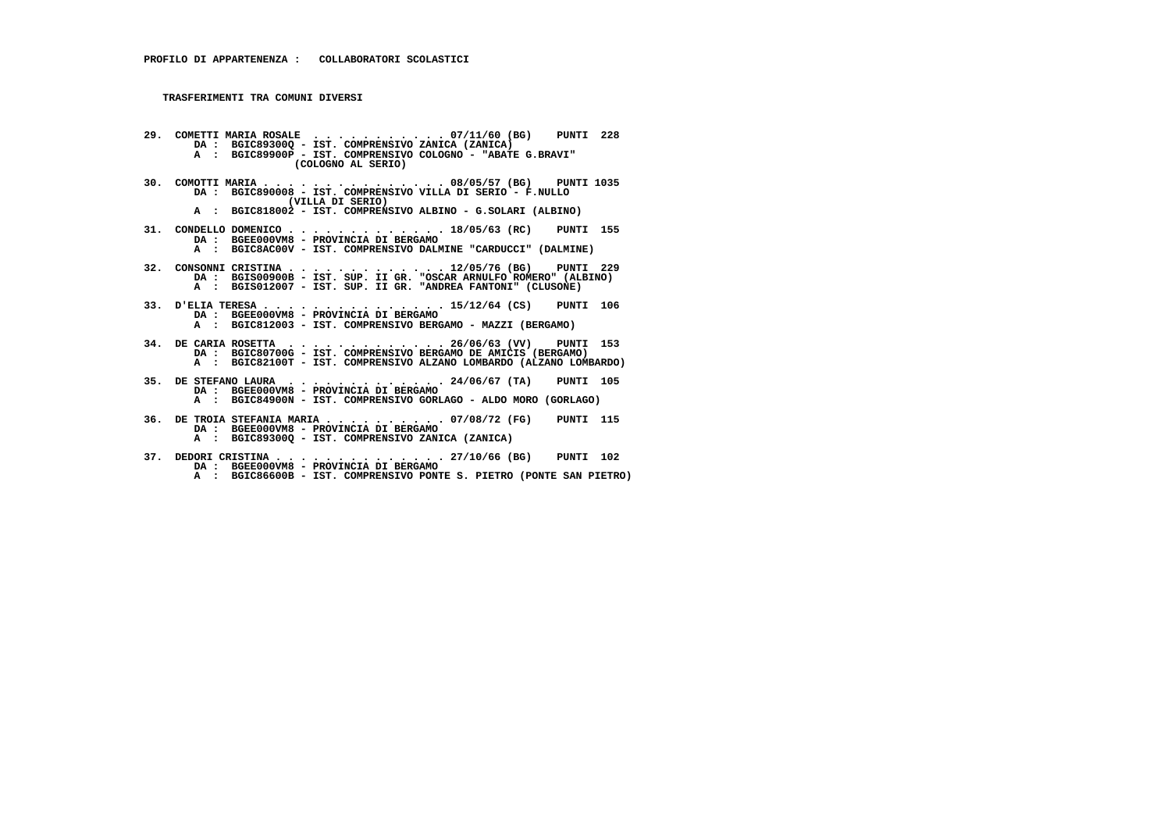- **29. COMETTI MARIA ROSALE . . . . . . . . . . . 07/11/60 (BG) PUNTI 228 DA : BGIC89300Q IST. COMPRENSIVO ZANICA (ZANICA) A : BGIC89900P - IST. COMPRENSIVO COLOGNO - "ABATE G.BRAVI" (COLOGNO AL SERIO)**
	- **30. COMOTTI MARIA . . . . . . . . . . . . . . . 08/05/57 (BG) PUNTI 1035 DA : BGIC890008 - IST. COMPRENSIVO VILLA DI SERIO - F.NULLO (VILLA DI SERIO)**
- **A : BGIC818002 IST. COMPRENSIVO ALBINO G.SOLARI (ALBINO)**
- **31. CONDELLO DOMENICO . . . . . . . . . . . . . 18/05/63 (RC) PUNTI 155 DA : BGEE000VM8 PROVINCIA DI BERGAMO A : BGIC8AC00V - IST. COMPRENSIVO DALMINE "CARDUCCI" (DALMINE)**
- **32. CONSONNI CRISTINA . . . . . . . . . . . . . 12/05/76 (BG) PUNTI 229 DA : BGIS00900B IST. SUP. II GR. "OSCAR ARNULFO ROMERO" (ALBINO) A : BGIS012007 IST. SUP. II GR. "ANDREA FANTONI" (CLUSONE)**
- **33. D'ELIA TERESA . . . . . . . . . . . . . . . 15/12/64 (CS) PUNTI 106 DA : BGEE000VM8 PROVINCIA DI BERGAMO A : BGIC812003 - IST. COMPRENSIVO BERGAMO - MAZZI (BERGAMO)**
- **34. DE CARIA ROSETTA . . . . . . . . . . . . . 26/06/63 (VV) PUNTI 153 DA : BGIC80700G IST. COMPRENSIVO BERGAMO DE AMICIS (BERGAMO) A : BGIC82100T - IST. COMPRENSIVO ALZANO LOMBARDO (ALZANO LOMBARDO)**
- **35. DE STEFANO LAURA . . . . . . . . . . . . . 24/06/67 (TA) PUNTI 105 DA : BGEE000VM8 PROVINCIA DI BERGAMO A : BGIC84900N - IST. COMPRENSIVO GORLAGO - ALDO MORO (GORLAGO)**
- **36. DE TROIA STEFANIA MARIA . . . . . . . . . . 07/08/72 (FG) PUNTI 115 DA : BGEE000VM8 - PROVINCIA DI BERGAMO A : BGIC89300Q - IST. COMPRENSIVO ZANICA (ZANICA)**
	- **37. DEDORI CRISTINA . . . . . . . . . . . . . . 27/10/66 (BG) PUNTI 102 DA : BGEE000VM8 - PROVINCIA DI BERGAMO**
- **A : BGIC86600B IST. COMPRENSIVO PONTE S. PIETRO (PONTE SAN PIETRO)**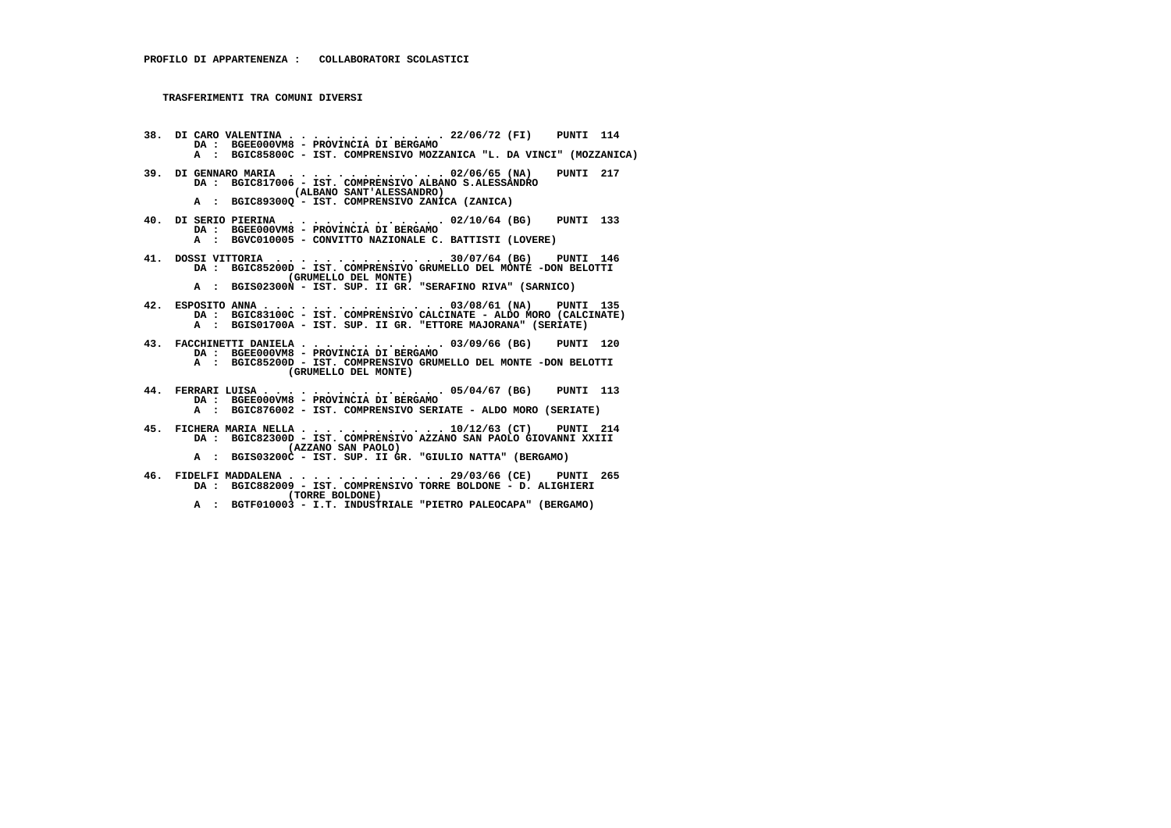- **38. DI CARO VALENTINA . . . . . . . . . . . . . 22/06/72 (FI) PUNTI 114 DA : BGEE000VM8 PROVINCIA DI BERGAMO A : BGIC85800C - IST. COMPRENSIVO MOZZANICA "L. DA VINCI" (MOZZANICA)**
	- **39. DI GENNARO MARIA . . . . . . . . . . . . . 02/06/65 (NA) PUNTI 217 DA : BGIC817006 - IST. COMPRENSIVO ALBANO S.ALESSANDRO (ALBANO SANT'ALESSANDRO)**
- **A : BGIC89300Q IST. COMPRENSIVO ZANICA (ZANICA)**
- **40. DI SERIO PIERINA . . . . . . . . . . . . . 02/10/64 (BG) PUNTI 133 DA : BGEE000VM8 PROVINCIA DI BERGAMO A : BGVC010005 - CONVITTO NAZIONALE C. BATTISTI (LOVERE)**
- **41. DOSSI VITTORIA . . . . . . . . . . . . . . 30/07/64 (BG) PUNTI 146 DA : BGIC85200D - IST. COMPRENSIVO GRUMELLO DEL MONTE -DON BELOTTI (GRUMELLO DEL MONTE)**
- **A : BGIS02300N IST. SUP. II GR. "SERAFINO RIVA" (SARNICO)**
- **42. ESPOSITO ANNA . . . . . . . . . . . . . . . 03/08/61 (NA) PUNTI 135 DA : BGIC83100C IST. COMPRENSIVO CALCINATE ALDO MORO (CALCINATE) A : BGIS01700A - IST. SUP. II GR. "ETTORE MAJORANA" (SERIATE)**
	- **43. FACCHINETTI DANIELA . . . . . . . . . . . . 03/09/66 (BG) PUNTI 120 DA : BGEE000VM8 - PROVINCIA DI BERGAMO**
- **A : BGIC85200D IST. COMPRENSIVO GRUMELLO DEL MONTE -DON BELOTTI (GRUMELLO DEL MONTE)**
- **44. FERRARI LUISA . . . . . . . . . . . . . . . 05/04/67 (BG) PUNTI 113 DA : BGEE000VM8 - PROVINCIA DI BERGAMO A : BGIC876002 - IST. COMPRENSIVO SERIATE - ALDO MORO (SERIATE)**
	- **45. FICHERA MARIA NELLA . . . . . . . . . . . . 10/12/63 (CT) PUNTI 214**
- **DA : BGIC82300D IST. COMPRENSIVO AZZANO SAN PAOLO GIOVANNI XXIII (AZZANO SAN PAOLO)**
- **A : BGIS03200C IST. SUP. II GR. "GIULIO NATTA" (BERGAMO)**
- **46. FIDELFI MADDALENA . . . . . . . . . . . . . 29/03/66 (CE) PUNTI 265 DA : BGIC882009 IST. COMPRENSIVO TORRE BOLDONE D. ALIGHIERI (TORRE BOLDONE)**
- **A : BGTF010003 I.T. INDUSTRIALE "PIETRO PALEOCAPA" (BERGAMO)**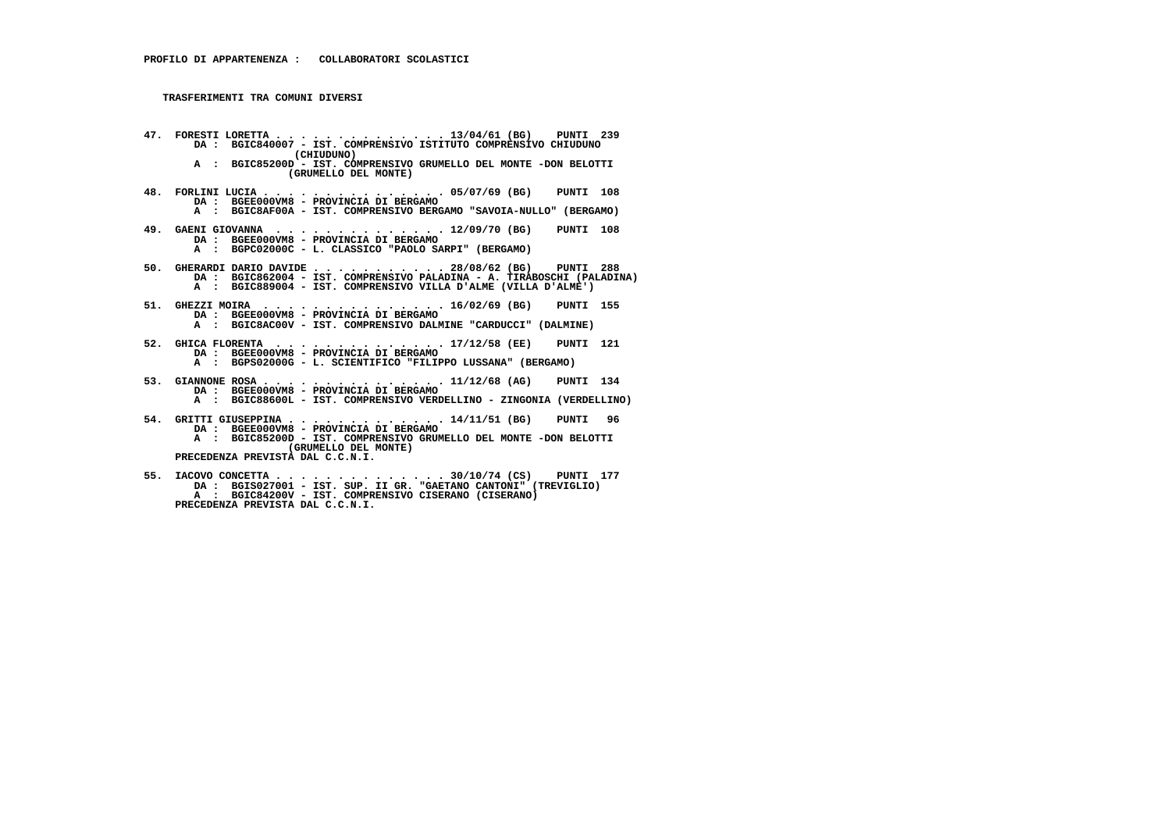- **47. FORESTI LORETTA . . . . . . . . . . . . . . 13/04/61 (BG) PUNTI 239 DA : BGIC840007 IST. COMPRENSIVO ISTITUTO COMPRENSIVO CHIUDUNO (CHIUDUNO) A : BGIC85200D - IST. COMPRENSIVO GRUMELLO DEL MONTE -DON BELOTTI (GRUMELLO DEL MONTE) 48. FORLINI LUCIA . . . . . . . . . . . . . . . 05/07/69 (BG) PUNTI 108 DA : BGEE000VM8 - PROVINCIA DI BERGAMO A : BGIC8AF00A - IST. COMPRENSIVO BERGAMO "SAVOIA-NULLO" (BERGAMO) 49. GAENI GIOVANNA . . . . . . . . . . . . . . 12/09/70 (BG) PUNTI 108 DA : BGEE000VM8 - PROVINCIA DI BERGAMO A : BGPC02000C - L. CLASSICO "PAOLO SARPI" (BERGAMO) 50. GHERARDI DARIO DAVIDE . . . . . . . . . . . 28/08/62 (BG) PUNTI 288 DA : BGIC862004 - IST. COMPRENSIVO PALADINA - A. TIRABOSCHI (PALADINA) A : BGIC889004 - IST. COMPRENSIVO VILLA D'ALME (VILLA D'ALME') 51. GHEZZI MOIRA . . . . . . . . . . . . . . . 16/02/69 (BG) PUNTI 155 DA : BGEE000VM8 - PROVINCIA DI BERGAMO A : BGIC8AC00V - IST. COMPRENSIVO DALMINE "CARDUCCI" (DALMINE) 52. GHICA FLORENTA . . . . . . . . . . . . . . 17/12/58 (EE) PUNTI 121 DA : BGEE000VM8 - PROVINCIA DI BERGAMO A : BGPS02000G - L. SCIENTIFICO "FILIPPO LUSSANA" (BERGAMO) 53. GIANNONE ROSA . . . . . . . . . . . . . . . 11/12/68 (AG) PUNTI 134 DA : BGEE000VM8 - PROVINCIA DI BERGAMO A : BGIC88600L - IST. COMPRENSIVO VERDELLINO - ZINGONIA (VERDELLINO) 54. GRITTI GIUSEPPINA . . . . . . . . . . . . . 14/11/51 (BG) PUNTI 96 DA : BGEE000VM8 - PROVINCIA DI BERGAMO A : BGIC85200D - IST. COMPRENSIVO GRUMELLO DEL MONTE -DON BELOTTI (GRUMELLO DEL MONTE) PRECEDENZA PREVISTA DAL C.C.N.I.**
- **55. IACOVO CONCETTA . . . . . . . . . . . . . . 30/10/74 (CS) PUNTI 177 DA : BGIS027001 IST. SUP. II GR. "GAETANO CANTONI" (TREVIGLIO)**A : BGIC84200V - IST. COMPRENSIVO CISERANO (CISERANO)  **PRECEDENZA PREVISTA DAL C.C.N.I.**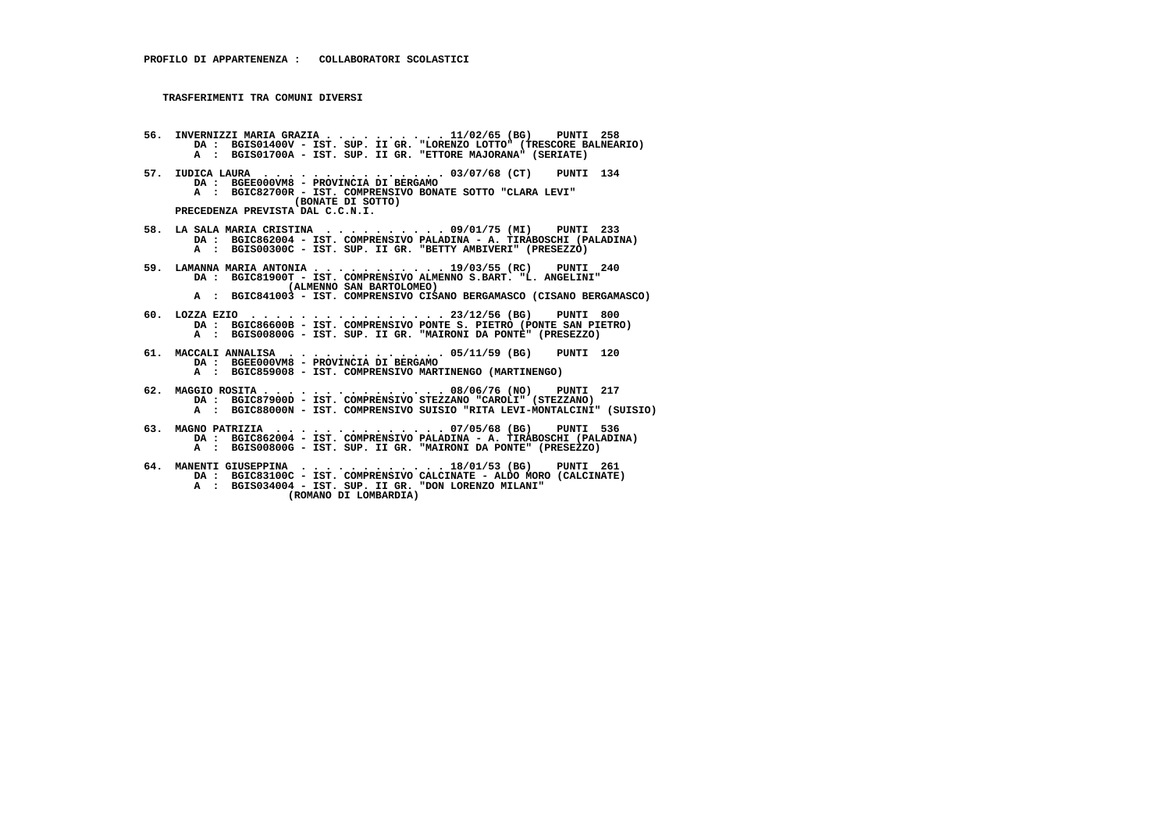- 56. INVERNIZZI MARIA GRAZIA . . . . . . . . . 11/02/65 (BG)<br>DA : BGISO1400V IST. SUP. II GR. "LORENZO LOTTO" (TRESCORE BALNEARIO)<br>A : BGISO1700A IST. SUP. II GR. "ETTORE MAJORANA" (SERIATE)
- **57. IUDICA LAURA . . . . . . . . . . . . . . . 03/07/68 (CT) PUNTI 134 DA : BGEE000VM8 - PROVINCIA DI BERGAMO A : BGIC82700R - IST. COMPRENSIVO BONATE SOTTO "CLARA LEVI" (BONATE DI SOTTO) PRECEDENZA PREVISTA DAL C.C.N.I.**
- **58. LA SALA MARIA CRISTINA . . . . . . . . . . 09/01/75 (MI) PUNTI 233 DA : BGIC862004 IST. COMPRENSIVO PALADINA A. TIRABOSCHI (PALADINA) A : BGIS00300C - IST. SUP. II GR. "BETTY AMBIVERI" (PRESEZZO)**
- **59. LAMANNA MARIA ANTONIA . . . . . . . . . . . 19/03/55 (RC) PUNTI 240 DA : BGIC81900T IST. COMPRENSIVO ALMENNO S.BART. "L. ANGELINI" (ALMENNO SAN BARTOLOMEO)**
- **A : BGIC841003 IST. COMPRENSIVO CISANO BERGAMASCO (CISANO BERGAMASCO)**
- **60. LOZZA EZIO . . . . . . . . . . . . . . . . 23/12/56 (BG) PUNTI 800 DA : BGIC86600B IST. COMPRENSIVO PONTE S. PIETRO (PONTE SAN PIETRO) A : BGIS00800G - IST. SUP. II GR. "MAIRONI DA PONTE" (PRESEZZO)**
- **61. MACCALI ANNALISA . . . . . . . . . . . . . 05/11/59 (BG) PUNTI 120 DA : BGEE000VM8 PROVINCIA DI BERGAMO A : BGIC859008 - IST. COMPRENSIVO MARTINENGO (MARTINENGO)**
- **62. MAGGIO ROSITA . . . . . . . . . . . . . . . 08/06/76 (NO) PUNTI 217 DA : BGIC87900D - IST. COMPRENSIVO STEZZANO "CAROLI" (STEZZANO) A : BGIC88000N - IST. COMPRENSIVO SUISIO "RITA LEVI-MONTALCINI" (SUISIO)**
- **63. MAGNO PATRIZIA . . . . . . . . . . . . . . 07/05/68 (BG) PUNTI 536 DA : BGIC862004 - IST. COMPRENSIVO PALADINA - A. TIRABOSCHI (PALADINA) A : BGIS00800G - IST. SUP. II GR. "MAIRONI DA PONTE" (PRESEZZO)**
- **64. MANENTI GIUSEPPINA . . . . . . . . . . . . 18/01/53 (BG) PUNTI 261 DA : BGIC83100C IST. COMPRENSIVO CALCINATE ALDO MORO (CALCINATE) A : BGIS034004 - IST. SUP. II GR. "DON LORENZO MILANI" (ROMANO DI LOMBARDIA)**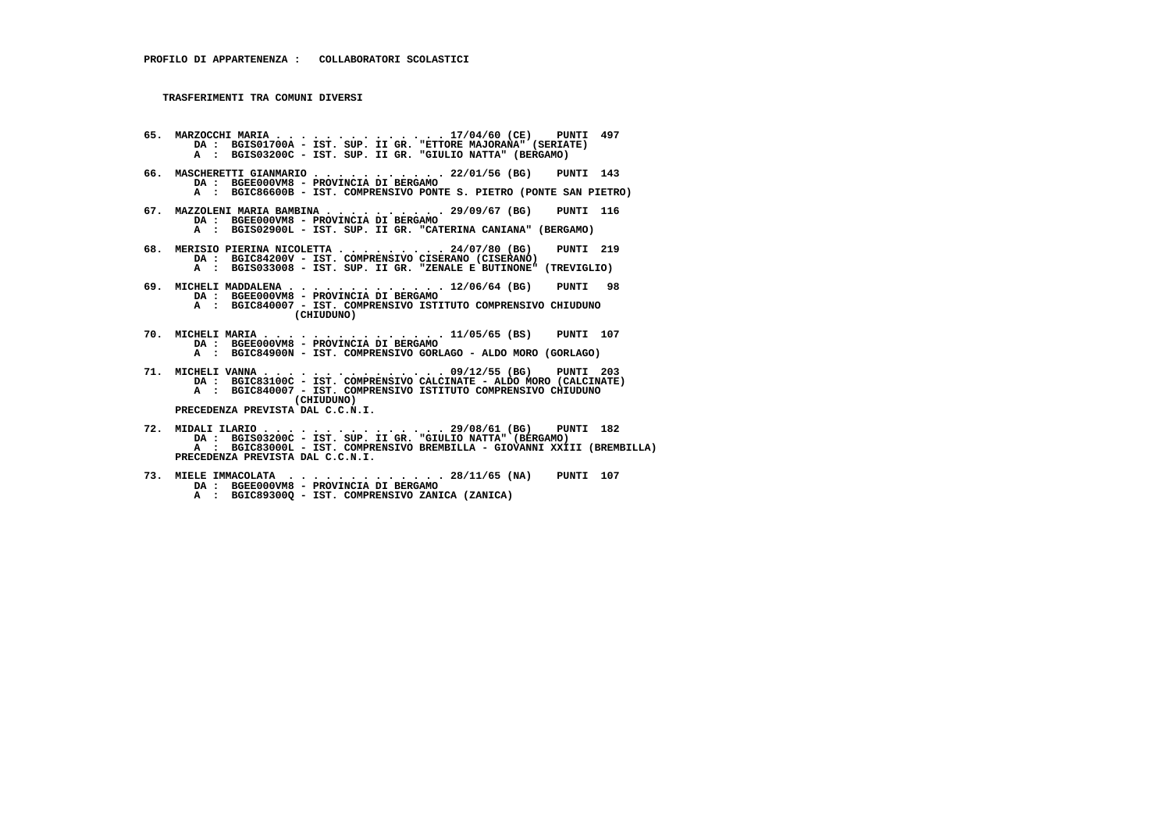- **65. MARZOCCHI MARIA . . . . . . . . . . . . . . 17/04/60 (CE) PUNTI 497 DA : BGIS01700A IST. SUP. II GR. "ETTORE MAJORANA" (SERIATE) A : BGIS03200C - IST. SUP. II GR. "GIULIO NATTA" (BERGAMO)**
- **66. MASCHERETTI GIANMARIO . . . . . . . . . . . 22/01/56 (BG) PUNTI 143 DA : BGEE000VM8 - PROVINCIA DI BERGAMO A : BGIC86600B - IST. COMPRENSIVO PONTE S. PIETRO (PONTE SAN PIETRO)**
	- **67. MAZZOLENI MARIA BAMBINA . . . . . . . . . . 29/09/67 (BG) PUNTI 116 DA : BGEE000VM8 - PROVINCIA DI BERGAMO**
- **A : BGIS02900L IST. SUP. II GR. "CATERINA CANIANA" (BERGAMO)**
- **68. MERISIO PIERINA NICOLETTA . . . . . . . . . 24/07/80 (BG) PUNTI 219 DA : BGIC84200V IST. COMPRENSIVO CISERANO (CISERANO) A : BGIS033008 - IST. SUP. II GR. "ZENALE E BUTINONE" (TREVIGLIO)**
	- **69. MICHELI MADDALENA . . . . . . . . . . . . . 12/06/64 (BG) PUNTI 98 DA : BGEE000VM8 - PROVINCIA DI BERGAMO**
- **A : BGIC840007 IST. COMPRENSIVO ISTITUTO COMPRENSIVO CHIUDUNO (CHIUDUNO)**
- **70. MICHELI MARIA . . . . . . . . . . . . . . . 11/05/65 (BS) PUNTI 107 DA : BGEE000VM8 PROVINCIA DI BERGAMO A : BGIC84900N - IST. COMPRENSIVO GORLAGO - ALDO MORO (GORLAGO)**
- **71. MICHELI VANNA . . . . . . . . . . . . . . . 09/12/55 (BG) PUNTI 203 DA : BGIC83100C IST. COMPRENSIVO CALCINATE ALDO MORO (CALCINATE)**A : BGIC840007 - IST. COMPRENSIVO ISTITUTO COMPRENSIVO CHIUDUNO<sup>'</sup> (CHIUDUNO<sup>'</sup>  **(CHIUDUNO) PRECEDENZA PREVISTA DAL C.C.N.I.**
- **72. MIDALI ILARIO . . . . . . . . . . . . . . . 29/08/61 (BG) PUNTI 182 DA : BGIS03200C - IST. SUP. II GR. "GIULIO NATTA" (BERGAMO) A : BGIC83000L - IST. COMPRENSIVO BREMBILLA - GIOVANNI XXIII (BREMBILLA) PRECEDENZA PREVISTA DAL C.C.N.I.**
	- **73. MIELE IMMACOLATA . . . . . . . . . . . . . 28/11/65 (NA) PUNTI 107 DA : BGEE000VM8 - PROVINCIA DI BERGAMO**
- **A : BGIC89300Q IST. COMPRENSIVO ZANICA (ZANICA)**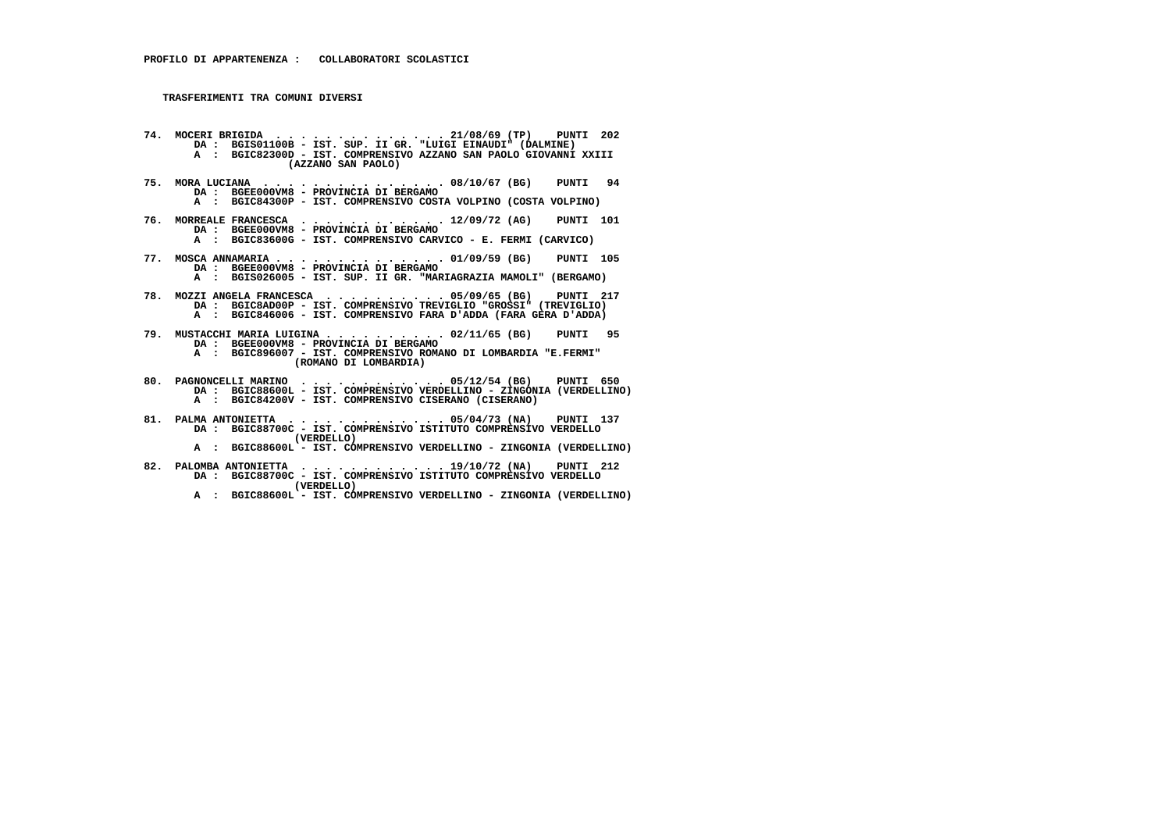- **74. MOCERI BRIGIDA . . . . . . . . . . . . . . 21/08/69 (TP) PUNTI 202 DA : BGIS01100B IST. SUP. II GR. "LUIGI EINAUDI" (DALMINE) A : BGIC82300D - IST. COMPRENSIVO AZZANO SAN PAOLO GIOVANNI XXIII (AZZANO SAN PAOLO)**
- **75. MORA LUCIANA . . . . . . . . . . . . . . . 08/10/67 (BG) PUNTI 94 DA : BGEE000VM8 PROVINCIA DI BERGAMO**
- **A : BGIC84300P IST. COMPRENSIVO COSTA VOLPINO (COSTA VOLPINO)**
- **76. MORREALE FRANCESCA . . . . . . . . . . . . 12/09/72 (AG) PUNTI 101 DA : BGEE000VM8 PROVINCIA DI BERGAMO A : BGIC83600G - IST. COMPRENSIVO CARVICO - E. FERMI (CARVICO)**
	- **77. MOSCA ANNAMARIA . . . . . . . . . . . . . . 01/09/59 (BG) PUNTI 105 DA : BGEE000VM8 - PROVINCIA DI BERGAMO**
- **A : BGIS026005 IST. SUP. II GR. "MARIAGRAZIA MAMOLI" (BERGAMO)**
- **78. MOZZI ANGELA FRANCESCA . . . . . . . . . . 05/09/65 (BG) PUNTI 217 DA : BGIC8AD00P - IST. COMPRENSIVO TREVIGLIO "GROSSI" (TREVIGLIO) A : BGIC846006 - IST. COMPRENSIVO FARA D'ADDA (FARA GERA D'ADDA)**
- **79. MUSTACCHI MARIA LUIGINA . . . . . . . . . . 02/11/65 (BG) PUNTI 95 DA : BGEE000VM8 PROVINCIA DI BERGAMO**
- **A : BGIC896007 IST. COMPRENSIVO ROMANO DI LOMBARDIA "E.FERMI" (ROMANO DI LOMBARDIA)**
- **80. PAGNONCELLI MARINO . . . . . . . . . . . . 05/12/54 (BG) PUNTI 650 DA : BGIC88600L IST. COMPRENSIVO VERDELLINO ZINGONIA (VERDELLINO) A : BGIC84200V - IST. COMPRENSIVO CISERANO (CISERANO)**
- **81. PALMA ANTONIETTA . . . . . . . . . . . . . 05/04/73 (NA) PUNTI 137 DA : BGIC88700C IST. COMPRENSIVO ISTITUTO COMPRENSIVO VERDELLO (VERDELLO)**
- **A : BGIC88600L IST. COMPRENSIVO VERDELLINO ZINGONIA (VERDELLINO)**
- **82. PALOMBA ANTONIETTA . . . . . . . . . . . . 19/10/72 (NA) PUNTI 212 DA : BGIC88700C IST. COMPRENSIVO ISTITUTO COMPRENSIVO VERDELLO (VERDELLO)**
- **A : BGIC88600L IST. COMPRENSIVO VERDELLINO ZINGONIA (VERDELLINO)**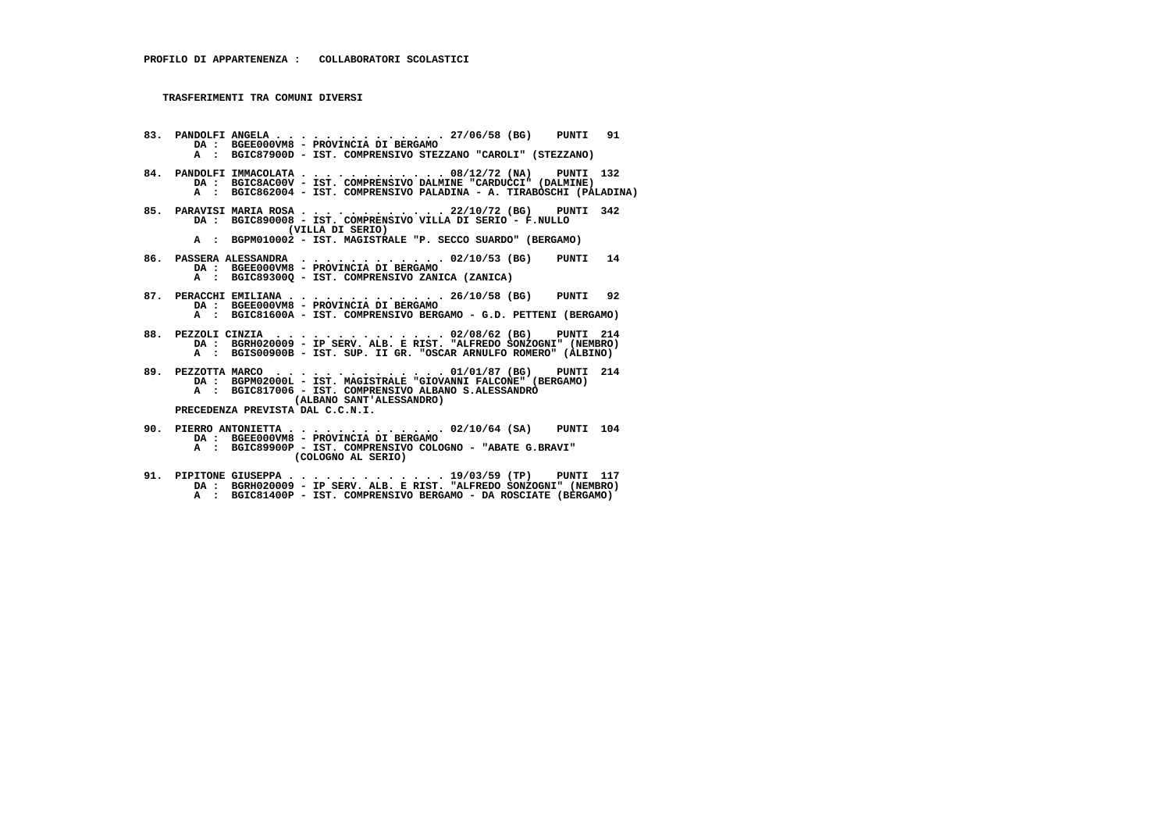**83. PANDOLFI ANGELA . . . . . . . . . . . . . . 27/06/58 (BG) PUNTI 91 DA : BGEE000VM8 - PROVINCIA DI BERGAMO A : BGIC87900D - IST. COMPRENSIVO STEZZANO "CAROLI" (STEZZANO) 84. PANDOLFI IMMACOLATA . . . . . . . . . . . . 08/12/72 (NA) PUNTI 132 DA : BGIC8AC00V - IST. COMPRENSIVO DALMINE "CARDUCCI" (DALMINE) A : BGIC862004 - IST. COMPRENSIVO PALADINA - A. TIRABOSCHI (PALADINA) 85. PARAVISI MARIA ROSA . . . . . . . . . . . . 22/10/72 (BG) PUNTI 342 DA : BGIC890008 - IST. COMPRENSIVO VILLA DI SERIO - F.NULLO (VILLA DI SERIO) A : BGPM010002 - IST. MAGISTRALE "P. SECCO SUARDO" (BERGAMO) 86. PASSERA ALESSANDRA . . . . . . . . . . . . 02/10/53 (BG) PUNTI 14 DA : BGEE000VM8 - PROVINCIA DI BERGAMO A : BGIC89300Q - IST. COMPRENSIVO ZANICA (ZANICA) 87. PERACCHI EMILIANA . . . . . . . . . . . . . 26/10/58 (BG) PUNTI 92 DA : BGEE000VM8 - PROVINCIA DI BERGAMO A : BGIC81600A - IST. COMPRENSIVO BERGAMO - G.D. PETTENI (BERGAMO) 88. PEZZOLI CINZIA . . . . . . . . . . . . . . 02/08/62 (BG) PUNTI 214 DA : BGRH020009 - IP SERV. ALB. E RIST. "ALFREDO SONZOGNI" (NEMBRO) A : BGIS00900B - IST. SUP. II GR. "OSCAR ARNULFO ROMERO" (ALBINO) 89. PEZZOTTA MARCO . . . . . . . . . . . . . . 01/01/87 (BG) PUNTI 214 DA : BGPM02000L - IST. MAGISTRALE "GIOVANNI FALCONE" (BERGAMO) A : BGIC817006 - IST. COMPRENSIVO ALBANO S.ALESSANDRO (ALBANO SANT'ALESSANDRO) PRECEDENZA PREVISTA DAL C.C.N.I. 90. PIERRO ANTONIETTA . . . . . . . . . . . . . 02/10/64 (SA) PUNTI 104 DA : BGEE000VM8 - PROVINCIA DI BERGAMO A : BGIC89900P - IST. COMPRENSIVO COLOGNO - "ABATE G.BRAVI" (COLOGNO AL SERIO)**

 **91. PIPITONE GIUSEPPA . . . . . . . . . . . . . 19/03/59 (TP) PUNTI 117 DA : BGRH020009 - IP SERV. ALB. E RIST. "ALFREDO SONZOGNI" (NEMBRO) A : BGIC81400P - IST. COMPRENSIVO BERGAMO - DA ROSCIATE (BERGAMO)**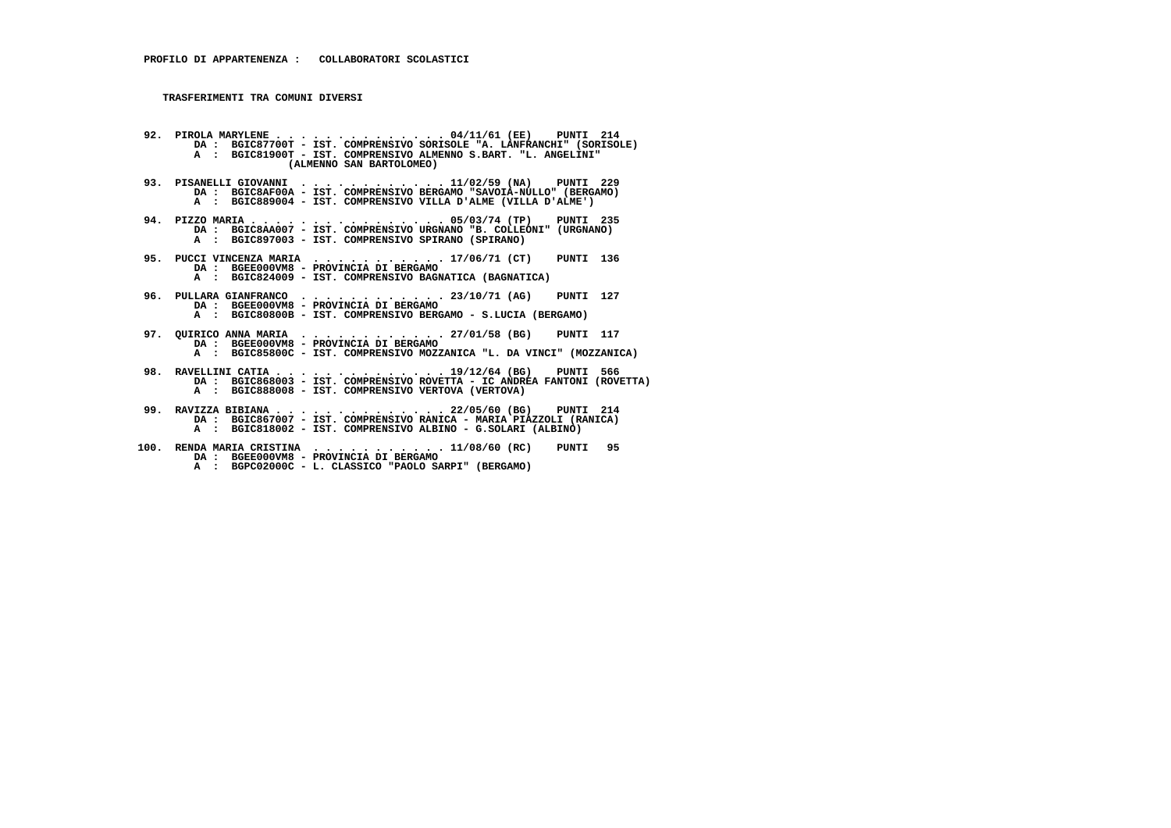**92. PIROLA MARYLENE . . . . . . . . . . . . . . 04/11/61 (EE) PUNTI 214 DA : BGIC87700T - IST. COMPRENSIVO SORISOLE "A. LANFRANCHI" (SORISOLE) A : BGIC81900T - IST. COMPRENSIVO ALMENNO S.BART. "L. ANGELINI" (ALMENNO SAN BARTOLOMEO) 93. PISANELLI GIOVANNI . . . . . . . . . . . . 11/02/59 (NA) PUNTI 229 DA : BGIC8AF00A - IST. COMPRENSIVO BERGAMO "SAVOIA-NULLO" (BERGAMO) A : BGIC889004 - IST. COMPRENSIVO VILLA D'ALME (VILLA D'ALME') 94. PIZZO MARIA . . . . . . . . . . . . . . . . 05/03/74 (TP) PUNTI 235 DA : BGIC8AA007 - IST. COMPRENSIVO URGNANO "B. COLLEONI" (URGNANO) A : BGIC897003 - IST. COMPRENSIVO SPIRANO (SPIRANO) 95. PUCCI VINCENZA MARIA . . . . . . . . . . . 17/06/71 (CT) PUNTI 136 DA : BGEE000VM8 - PROVINCIA DI BERGAMO A : BGIC824009 - IST. COMPRENSIVO BAGNATICA (BAGNATICA) 96. PULLARA GIANFRANCO . . . . . . . . . . . . 23/10/71 (AG) PUNTI 127 DA : BGEE000VM8 - PROVINCIA DI BERGAMO A : BGIC80800B - IST. COMPRENSIVO BERGAMO - S.LUCIA (BERGAMO) 97. QUIRICO ANNA MARIA . . . . . . . . . . . . 27/01/58 (BG) PUNTI 117 DA : BGEE000VM8 - PROVINCIA DI BERGAMO A : BGIC85800C - IST. COMPRENSIVO MOZZANICA "L. DA VINCI" (MOZZANICA) 98. RAVELLINI CATIA . . . . . . . . . . . . . . 19/12/64 (BG) PUNTI 566 DA : BGIC868003 - IST. COMPRENSIVO ROVETTA - IC ANDREA FANTONI (ROVETTA)**A : BGIC888008 - IST. COMPRENSIVO VERTOVA (VERTOVA)

- **99. RAVIZZA BIBIANA . . . . . . . . . . . . . . 22/05/60 (BG) PUNTI 214 DA : BGIC867007 IST. COMPRENSIVO RANICA MARIA PIAZZOLI (RANICA) A : BGIC818002 - IST. COMPRENSIVO ALBINO - G.SOLARI (ALBINO)**
- **100. RENDA MARIA CRISTINA . . . . . . . . . . . 11/08/60 (RC) PUNTI 95 DA : BGEE000VM8 PROVINCIA DI BERGAMO**
- **A : BGPC02000C L. CLASSICO "PAOLO SARPI" (BERGAMO)**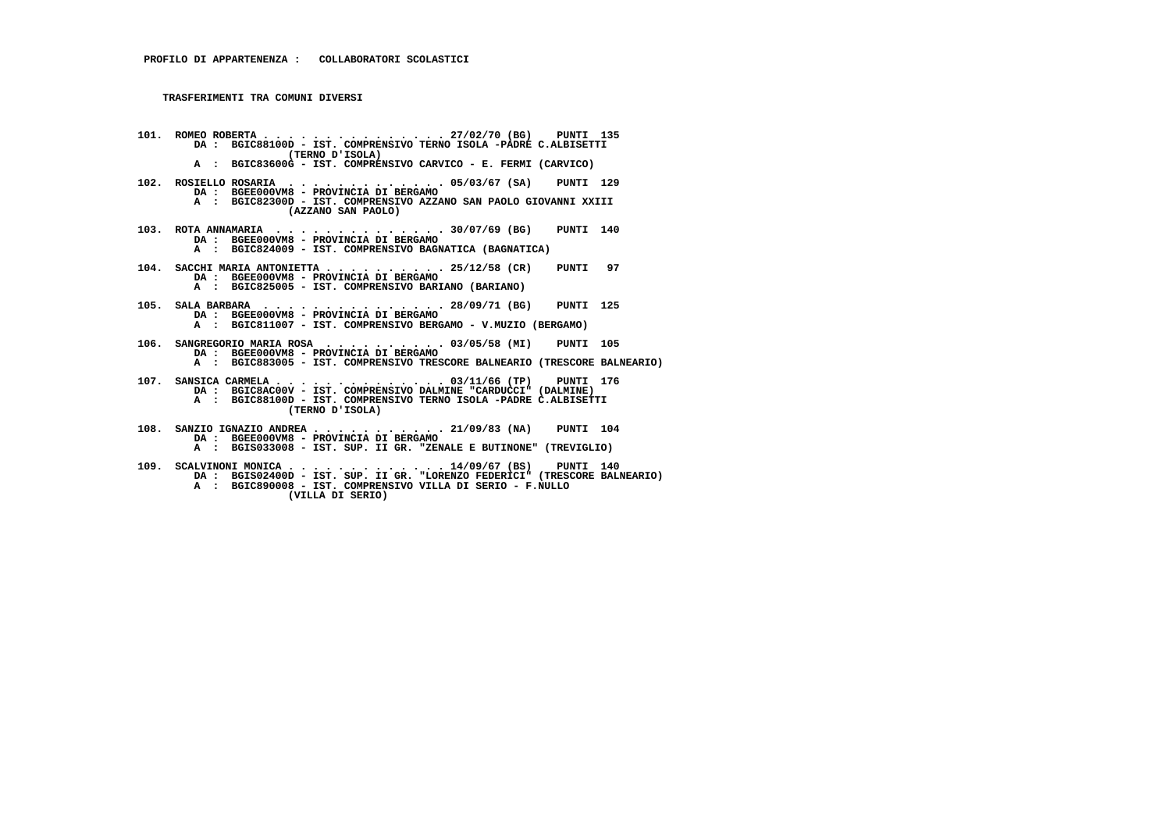- **101. ROMEO ROBERTA . . . . . . . . . . . . . . . 27/02/70 (BG) PUNTI 135 DA : BGIC88100D IST. COMPRENSIVO TERNO ISOLA -PADRE C.ALBISETTI (TERNO D'ISOLA) A : BGIC83600G - IST. COMPRENSIVO CARVICO - E. FERMI (CARVICO)**
- **102. ROSIELLO ROSARIA . . . . . . . . . . . . . 05/03/67 (SA) PUNTI 129 DA : BGEE000VM8 PROVINCIA DI BERGAMO A : BGIC82300D - IST. COMPRENSIVO AZZANO SAN PAOLO GIOVANNI XXIII**
	- **(AZZANO SAN PAOLO)**
- **103. ROTA ANNAMARIA . . . . . . . . . . . . . . 30/07/69 (BG) PUNTI 140 DA : BGEE000VM8 PROVINCIA DI BERGAMO A : BGIC824009 - IST. COMPRENSIVO BAGNATICA (BAGNATICA)**
- **104. SACCHI MARIA ANTONIETTA . . . . . . . . . . 25/12/58 (CR) PUNTI 97 DA : BGEE000VM8 PROVINCIA DI BERGAMO A : BGIC825005 IST. COMPRENSIVO BARIANO (BARIANO)**
- **105. SALA BARBARA . . . . . . . . . . . . . . . 28/09/71 (BG) PUNTI 125 DA : BGEE000VM8 PROVINCIA DI BERGAMO A : BGIC811007 IST. COMPRENSIVO BERGAMO V.MUZIO (BERGAMO)**
- **106. SANGREGORIO MARIA ROSA . . . . . . . . . . 03/05/58 (MI) PUNTI 105 DA : BGEE000VM8 - PROVINCIA DI BERGAMO**
- **A : BGIC883005 IST. COMPRENSIVO TRESCORE BALNEARIO (TRESCORE BALNEARIO)**
- **107. SANSICA CARMELA . . . . . . . . . . . . . . 03/11/66 (TP) PUNTI 176 DA : BGIC8AC00V IST. COMPRENSIVO DALMINE "CARDUCCI" (DALMINE) A : BGIC88100D - IST. COMPRENSIVO TERNO ISOLA -PADRE C.ALBISETTI (TERNO D'ISOLA)**
- **108. SANZIO IGNAZIO ANDREA . . . . . . . . . . . 21/09/83 (NA) PUNTI 104 DA : BGEE000VM8 - PROVINCIA DI BERGAMO A : BGIS033008 - IST. SUP. II GR. "ZENALE E BUTINONE" (TREVIGLIO)**
- **109. SCALVINONI MONICA . . . . . . . . . . . . . 14/09/67 (BS) PUNTI 140 DA : BGIS02400D IST. SUP. II GR. "LORENZO FEDERICI" (TRESCORE BALNEARIO) A : BGIC890008 - IST. COMPRENSIVO VILLA DI SERIO - F.NULLO (VILLA DI SERIO)**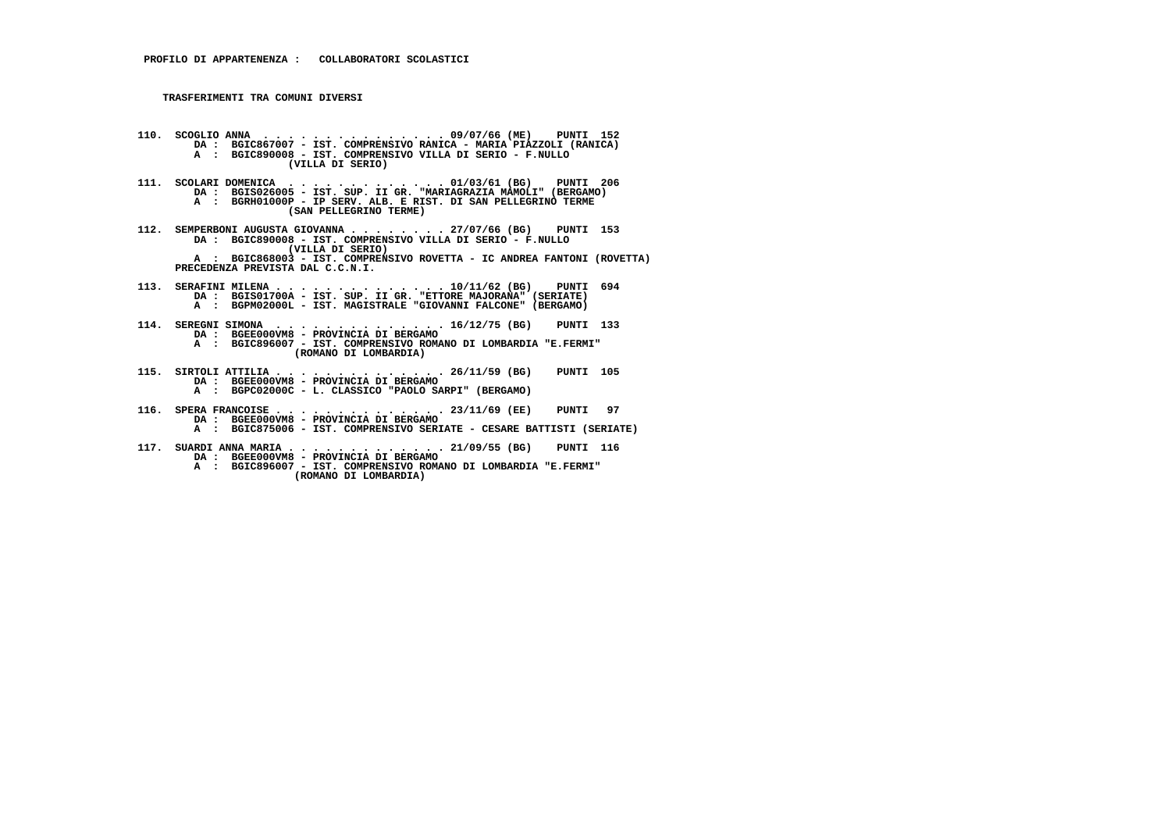- **110. SCOGLIO ANNA . . . . . . . . . . . . . . . 09/07/66 (ME) PUNTI 152 DA : BGIC867007 IST. COMPRENSIVO RANICA MARIA PIAZZOLI (RANICA) A : BGIC890008 - IST. COMPRENSIVO VILLA DI SERIO - F.NULLO (VILLA DI SERIO)**
- **111. SCOLARI DOMENICA . . . . . . . . . . . . . 01/03/61 (BG) PUNTI 206 DA : BGIS026005 IST. SUP. II GR. "MARIAGRAZIA MAMOLI" (BERGAMO) A : BGRH01000P - IP SERV. ALB. E RIST. DI SAN PELLEGRINO TERME (SAN PELLEGRINO TERME)**
- **112. SEMPERBONI AUGUSTA GIOVANNA . . . . . . . . 27/07/66 (BG) PUNTI 153 DA : BGIC890008 IST. COMPRENSIVO VILLA DI SERIO F.NULLO (VILLA DI SERIO) A : BGIC868003 - IST. COMPRENSIVO ROVETTA - IC ANDREA FANTONI (ROVETTA) PRECEDENZA PREVISTA DAL C.C.N.I.**
- **113. SERAFINI MILENA . . . . . . . . . . . . . . 10/11/62 (BG) PUNTI 694 DA : BGIS01700A IST. SUP. II GR. "ETTORE MAJORANA" (SERIATE) A : BGPM02000L - IST. MAGISTRALE "GIOVANNI FALCONE" (BERGAMO)**
- **114. SEREGNI SIMONA . . . . . . . . . . . . . . 16/12/75 (BG) PUNTI 133 DA : BGEE000VM8 - PROVINCIA DI BERGAMO A : BGIC896007 - IST. COMPRENSIVO ROMANO DI LOMBARDIA "E.FERMI" (ROMANO DI LOMBARDIA)**
- **115. SIRTOLI ATTILIA . . . . . . . . . . . . . . 26/11/59 (BG) PUNTI 105 DA : BGEE000VM8 PROVINCIA DI BERGAMO A : BGPC02000C - L. CLASSICO "PAOLO SARPI" (BERGAMO)**
- **116. SPERA FRANCOISE . . . . . . . . . . . . . . 23/11/69 (EE) PUNTI 97 DA : BGEE000VM8 PROVINCIA DI BERGAMO A : BGIC875006 - IST. COMPRENSIVO SERIATE - CESARE BATTISTI (SERIATE)**
- **117. SUARDI ANNA MARIA . . . . . . . . . . . . . 21/09/55 (BG) PUNTI 116 DA : BGEE000VM8 PROVINCIA DI BERGAMO A : BGIC896007 - IST. COMPRENSIVO ROMANO DI LOMBARDIA "E.FERMI" (ROMANO DI LOMBARDIA)**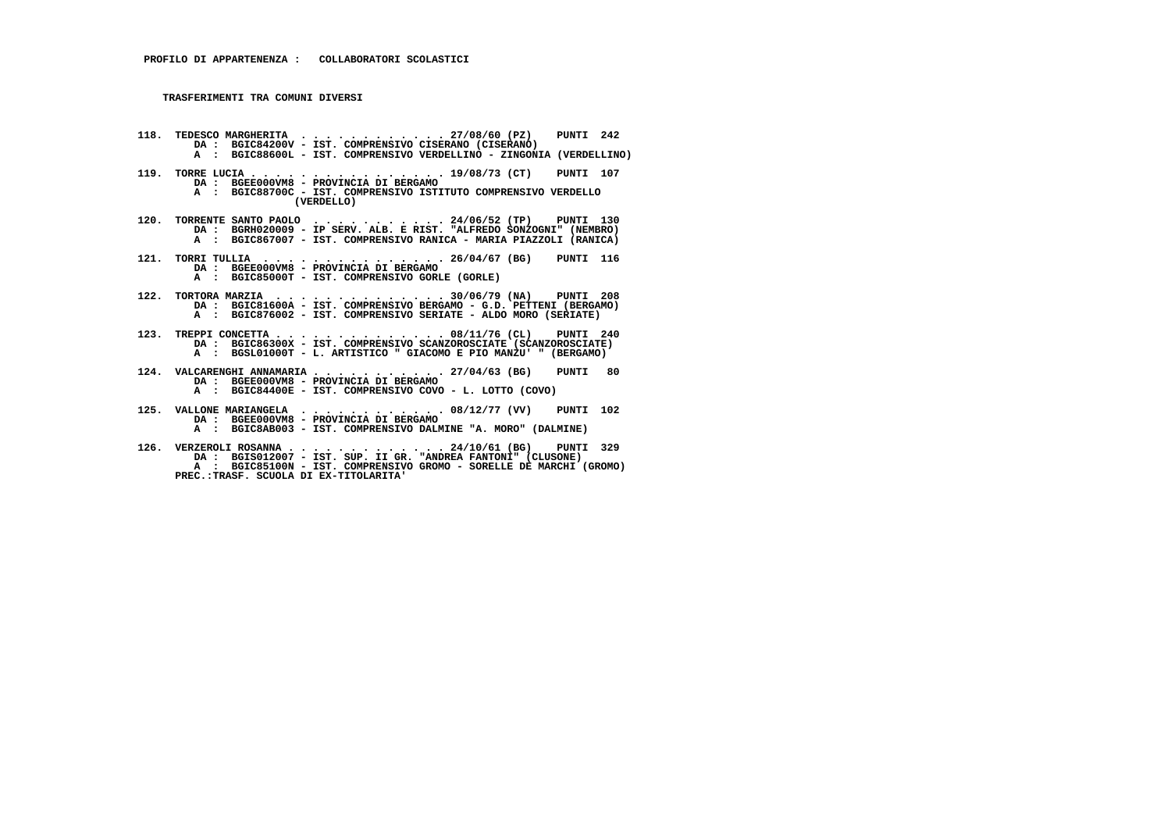- **118. TEDESCO MARGHERITA . . . . . . . . . . . . 27/08/60 (PZ) PUNTI 242 DA : BGIC84200V IST. COMPRENSIVO CISERANO (CISERANO) A : BGIC88600L - IST. COMPRENSIVO VERDELLINO - ZINGONIA (VERDELLINO)**
- **119. TORRE LUCIA . . . . . . . . . . . . . . . . 19/08/73 (CT) PUNTI 107 DA : BGEE000VM8 - PROVINCIA DI BERGAMO A : BGIC88700C - IST. COMPRENSIVO ISTITUTO COMPRENSIVO VERDELLO (VERDELLO)**
- 120. TORRENTE SANTO PAOLO ........... 24/06/52 (TP) PUNTI 130<br>DA : BGRH020009 IP SERV. ALB. E RIST. "ALFREDO 000! BA<br>A : BGIC867007 IST. COMPRENSIVO RANICA MARIA PIAZZOLI (RANICA)
- **121. TORRI TULLIA . . . . . . . . . . . . . . . 26/04/67 (BG) PUNTI 116 DA : BGEE000VM8 - PROVINCIA DI BERGAMO A : BGIC85000T - IST. COMPRENSIVO GORLE (GORLE)**
- **122. TORTORA MARZIA . . . . . . . . . . . . . . 30/06/79 (NA) PUNTI 208 DA : BGIC81600A - IST. COMPRENSIVO BERGAMO - G.D. PETTENI (BERGAMO) A : BGIC876002 - IST. COMPRENSIVO SERIATE - ALDO MORO (SERIATE)**
- **123. TREPPI CONCETTA . . . . . . . . . . . . . . 08/11/76 (CL) PUNTI 240 DA : BGIC86300X IST. COMPRENSIVO SCANZOROSCIATE (SCANZOROSCIATE) A : BGSL01000T - L. ARTISTICO " GIACOMO E PIO MANZU' " (BERGAMO)**
- **124. VALCARENGHI ANNAMARIA . . . . . . . . . . . 27/04/63 (BG) PUNTI 80 DA : BGEE000VM8 - PROVINCIA DI BERGAMO A : BGIC84400E - IST. COMPRENSIVO COVO - L. LOTTO (COVO)**
- **125. VALLONE MARIANGELA . . . . . . . . . . . . 08/12/77 (VV) PUNTI 102 DA : BGEE000VM8 PROVINCIA DI BERGAMO**
- **A : BGIC8AB003 IST. COMPRENSIVO DALMINE "A. MORO" (DALMINE)**
- **126. VERZEROLI ROSANNA . . . . . . . . . . . . . 24/10/61 (BG) PUNTI 329 DA : BGIS012007 IST. SUP. II GR. "ANDREA FANTONI" (CLUSONE) A : BGIC85100N - IST. COMPRENSIVO GROMO - SORELLE DE MARCHI (GROMO) PREC.:TRASF. SCUOLA DI EX-TITOLARITA'**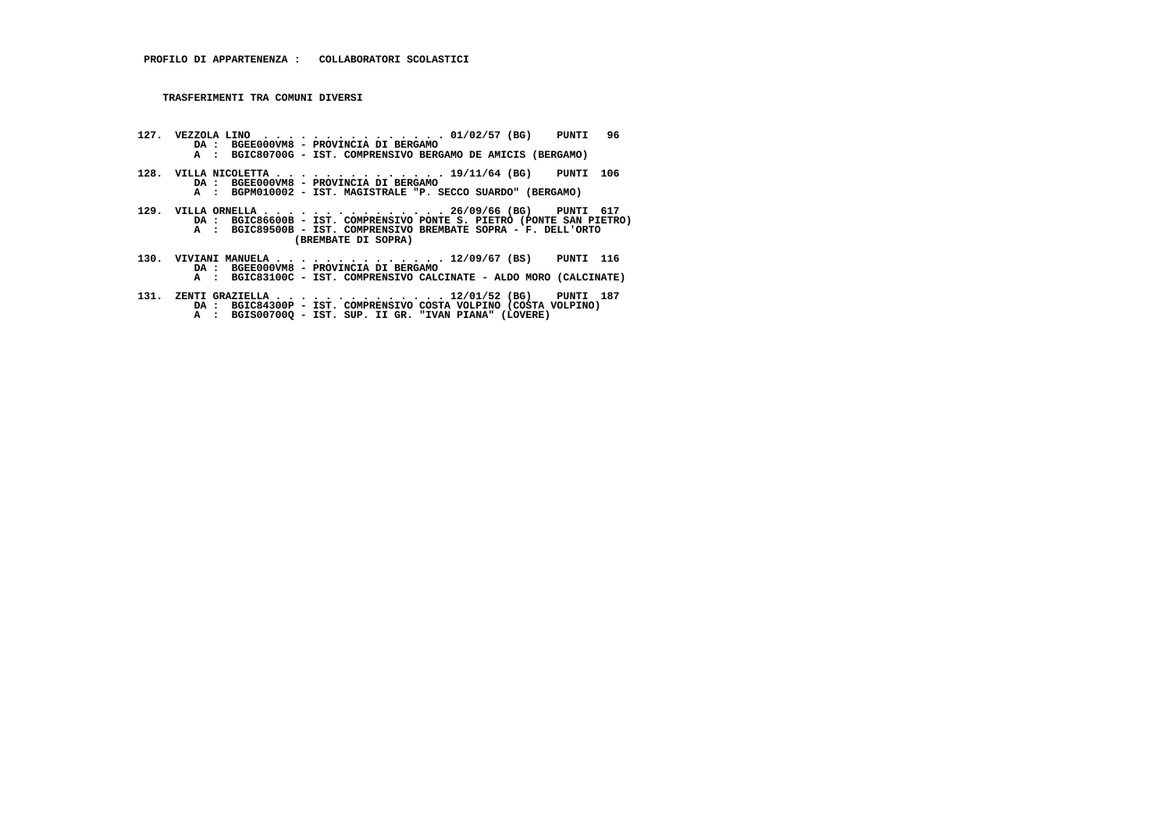- **127. VEZZOLA LINO . . . . . . . . . . . . . . . 01/02/57 (BG) PUNTI 96 DA : BGEE000VM8 PROVINCIA DI BERGAMO A : BGIC80700G - IST. COMPRENSIVO BERGAMO DE AMICIS (BERGAMO)**
- **128. VILLA NICOLETTA . . . . . . . . . . . . . . 19/11/64 (BG) PUNTI 106 DA : BGEE000VM8 - PROVINCIA DI BERGAMO**
- **A : BGPM010002 IST. MAGISTRALE "P. SECCO SUARDO" (BERGAMO)**
- **129. VILLA ORNELLA . . . . . . . . . . . . . . . 26/09/66 (BG) PUNTI 617 DA : BGIC86600B IST. COMPRENSIVO PONTE S. PIETRO (PONTE SAN PIETRO) A : BGIC89500B - IST. COMPRENSIVO BREMBATE SOPRA - F. DELL'ORTO (BREMBATE DI SOPRA)**
- **130. VIVIANI MANUELA . . . . . . . . . . . . . . 12/09/67 (BS) PUNTI 116 DA : BGEE000VM8 PROVINCIA DI BERGAMO A : BGIC83100C - IST. COMPRENSIVO CALCINATE - ALDO MORO (CALCINATE)**
- **131. ZENTI GRAZIELLA . . . . . . . . . . . . . . 12/01/52 (BG) PUNTI 187 DA : BGIC84300P IST. COMPRENSIVO COSTA VOLPINO (COSTA VOLPINO) A : BGIS00700Q IST. SUP. II GR. "IVAN PIANA" (LOVERE)**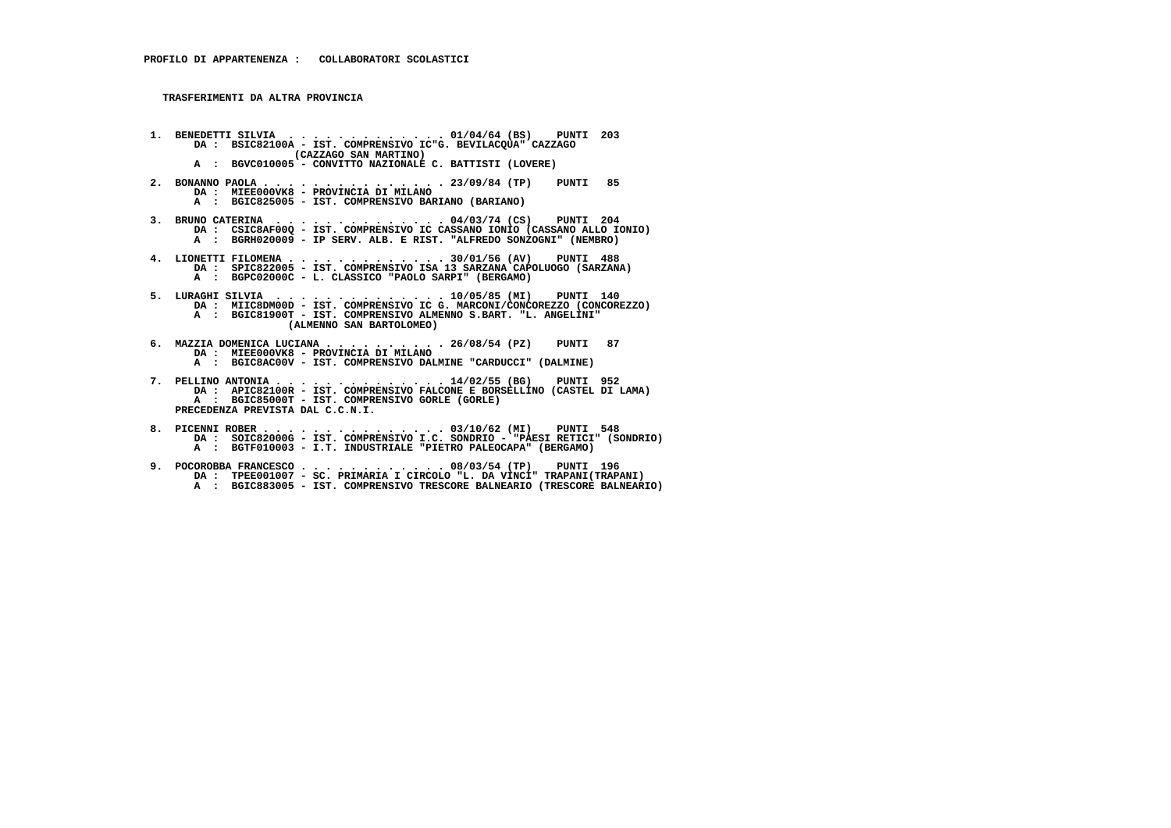**TRASFERIMENTI DA ALTRA PROVINCIA**

- **1. BENEDETTI SILVIA . . . . . . . . . . . . . 01/04/64 (BS) PUNTI 203 DA : BSIC82100A IST. COMPRENSIVO IC"G. BEVILACQUA" CAZZAGO (CAZZAGO SAN MARTINO) A : BGVC010005 - CONVITTO NAZIONALE C. BATTISTI (LOVERE)**
- **2. BONANNO PAOLA . . . . . . . . . . . . . . . 23/09/84 (TP) PUNTI 85 DA : MIEE000VK8 PROVINCIA DI MILANO A : BGIC825005 - IST. COMPRENSIVO BARIANO (BARIANO)**
- **3. BRUNO CATERINA . . . . . . . . . . . . . . 04/03/74 (CS) PUNTI 204 DA : CSIC8AF00Q IST. COMPRENSIVO IC CASSANO IONIO (CASSANO ALLO IONIO) A : BGRH020009 - IP SERV. ALB. E RIST. "ALFREDO SONZOGNI" (NEMBRO)**
- **4. LIONETTI FILOMENA . . . . . . . . . . . . . 30/01/56 (AV) PUNTI 488 DA : SPIC822005 IST. COMPRENSIVO ISA 13 SARZANA CAPOLUOGO (SARZANA) A : BGPC02000C - L. CLASSICO "PAOLO SARPI" (BERGAMO)**
- **5. LURAGHI SILVIA . . . . . . . . . . . . . . 10/05/85 (MI) PUNTI 140 DA : MIIC8DM00D - IST. COMPRENSIVO IC G. MARCONI/CONCOREZZO (CONCOREZZO) A : BGIC81900T - IST. COMPRENSIVO ALMENNO S.BART. "L. ANGELINI" (ALMENNO SAN BARTOLOMEO)**
	- **6. MAZZIA DOMENICA LUCIANA . . . . . . . . . . 26/08/54 (PZ) PUNTI 87 DA : MIEE000VK8 - PROVINCIA DI MILANO**
- **A : BGIC8AC00V IST. COMPRENSIVO DALMINE "CARDUCCI" (DALMINE)**
- **7. PELLINO ANTONIA . . . . . . . . . . . . . . 14/02/55 (BG) PUNTI 952 DA : APIC82100R IST. COMPRENSIVO FALCONE E BORSELLINO (CASTEL DI LAMA) A : BGIC85000T - IST. COMPRENSIVO GORLE (GORLE) PRECEDENZA PREVISTA DAL C.C.N.I.**
- **8. PICENNI ROBER . . . . . . . . . . . . . . . 03/10/62 (MI) PUNTI 548 DA : SOIC82000G - IST. COMPRENSIVO I.C. SONDRIO - "PAESI RETICI" (SONDRIO) A : BGTF010003 - I.T. INDUSTRIALE "PIETRO PALEOCAPA" (BERGAMO)**
- **9. POCOROBBA FRANCESCO . . . . . . . . . . . . 08/03/54 (TP) PUNTI 196 DA : TPEE001007 SC. PRIMARIA I CIRCOLO "L. DA VINCI" TRAPANI(TRAPANI) A : BGIC883005 - IST. COMPRENSIVO TRESCORE BALNEARIO (TRESCORE BALNEARIO)**